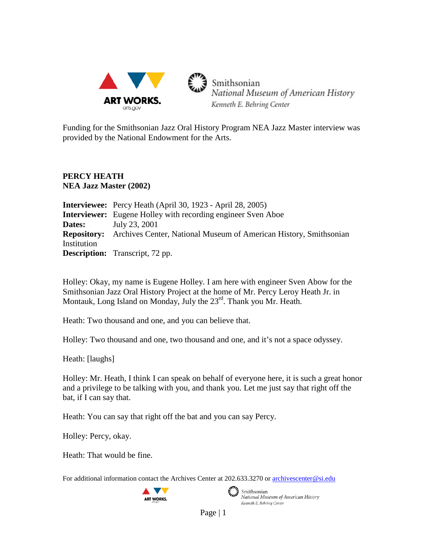

Funding for the Smithsonian Jazz Oral History Program NEA Jazz Master interview was provided by the National Endowment for the Arts.

## **PERCY HEATH NEA Jazz Master (2002)**

|             | <b>Interviewee:</b> Percy Heath (April 30, 1923 - April 28, 2005)                    |
|-------------|--------------------------------------------------------------------------------------|
|             | <b>Interviewer:</b> Eugene Holley with recording engineer Sven Aboe                  |
| Dates:      | July 23, 2001                                                                        |
|             | <b>Repository:</b> Archives Center, National Museum of American History, Smithsonian |
| Institution |                                                                                      |
|             | <b>Description:</b> Transcript, 72 pp.                                               |

Holley: Okay, my name is Eugene Holley. I am here with engineer Sven Abow for the Smithsonian Jazz Oral History Project at the home of Mr. Percy Leroy Heath Jr. in Montauk, Long Island on Monday, July the 23<sup>rd</sup>. Thank you Mr. Heath.

Heath: Two thousand and one, and you can believe that.

Holley: Two thousand and one, two thousand and one, and it's not a space odyssey.

Heath: [laughs]

Holley: Mr. Heath, I think I can speak on behalf of everyone here, it is such a great honor and a privilege to be talking with you, and thank you. Let me just say that right off the bat, if I can say that.

Heath: You can say that right off the bat and you can say Percy.

Holley: Percy, okay.

Heath: That would be fine.

For additional information contact the Archives Center at 202.633.3270 o[r archivescenter@si.edu](mailto:archivescenter@si.edu)





Smithsonian<br>National Museum of American History Kenneth E. Behring Center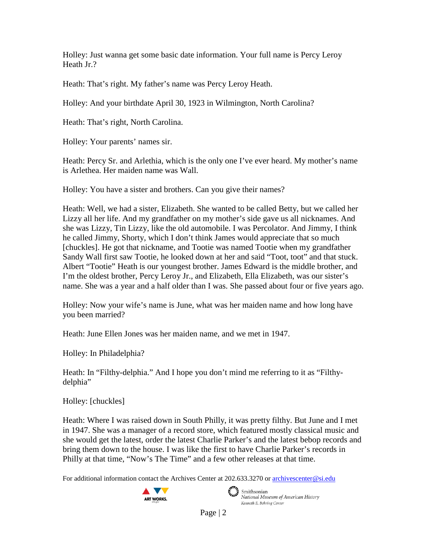Holley: Just wanna get some basic date information. Your full name is Percy Leroy Heath Jr.?

Heath: That's right. My father's name was Percy Leroy Heath.

Holley: And your birthdate April 30, 1923 in Wilmington, North Carolina?

Heath: That's right, North Carolina.

Holley: Your parents' names sir.

Heath: Percy Sr. and Arlethia, which is the only one I've ever heard. My mother's name is Arlethea. Her maiden name was Wall.

Holley: You have a sister and brothers. Can you give their names?

Heath: Well, we had a sister, Elizabeth. She wanted to be called Betty, but we called her Lizzy all her life. And my grandfather on my mother's side gave us all nicknames. And she was Lizzy, Tin Lizzy, like the old automobile. I was Percolator. And Jimmy, I think he called Jimmy, Shorty, which I don't think James would appreciate that so much [chuckles]. He got that nickname, and Tootie was named Tootie when my grandfather Sandy Wall first saw Tootie, he looked down at her and said "Toot, toot" and that stuck. Albert "Tootie" Heath is our youngest brother. James Edward is the middle brother, and I'm the oldest brother, Percy Leroy Jr., and Elizabeth, Ella Elizabeth, was our sister's name. She was a year and a half older than I was. She passed about four or five years ago.

Holley: Now your wife's name is June, what was her maiden name and how long have you been married?

Heath: June Ellen Jones was her maiden name, and we met in 1947.

Holley: In Philadelphia?

Heath: In "Filthy-delphia." And I hope you don't mind me referring to it as "Filthydelphia"

Holley: [chuckles]

Heath: Where I was raised down in South Philly, it was pretty filthy. But June and I met in 1947. She was a manager of a record store, which featured mostly classical music and she would get the latest, order the latest Charlie Parker's and the latest bebop records and bring them down to the house. I was like the first to have Charlie Parker's records in Philly at that time, "Now's The Time" and a few other releases at that time.

For additional information contact the Archives Center at 202.633.3270 o[r archivescenter@si.edu](mailto:archivescenter@si.edu)



 $\epsilon$   $\rightarrow$  Smithsonian National Museum of American History Kenneth E. Behring Center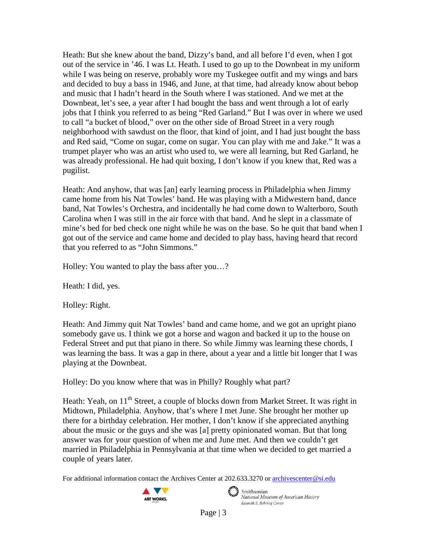Heath: But she knew about the band, Dizzy's band, and all before I'd even, when I got out of the service in '46. I was Lt. Heath. I used to go up to the Downbeat in my uniform while I was being on reserve, probably wore my Tuskegee outfit and my wings and bars and decided to buy a bass in 1946, and June, at that time, had already know about bebop and music that I hadn't heard in the South where I was stationed. And we met at the Downbeat, let's see, a year after I had bought the bass and went through a lot of early jobs that I think you referred to as being "Red Garland." But I was over in where we used to call "a bucket of blood," over on the other side of Broad Street in a very rough neighborhood with sawdust on the floor, that kind of joint, and I had just bought the bass and Red said, "Come on sugar, come on sugar. You can play with me and Jake." It was a trumpet player who was an artist who used to, we were all learning, but Red Garland, he was already professional. He had quit boxing, I don't know if you knew that, Red was a pugilist.

Heath: And anyhow, that was [an] early learning process in Philadelphia when Jimmy came home from his Nat Towles' band. He was playing with a Midwestern band, dance band, Nat Towles's Orchestra, and incidentally he had come down to Walterboro, South Carolina when I was still in the air force with that band. And he slept in a classmate of mine's bed for bed check one night while he was on the base. So he quit that band when I got out of the service and came home and decided to play bass, having heard that record that you referred to as "John Simmons."

Holley: You wanted to play the bass after you…?

Heath: I did, yes.

Holley: Right.

Heath: And Jimmy quit Nat Towles' band and came home, and we got an upright piano somebody gave us. I think we got a horse and wagon and backed it up to the house on Federal Street and put that piano in there. So while Jimmy was learning these chords, I was learning the bass. It was a gap in there, about a year and a little bit longer that I was playing at the Downbeat.

Holley: Do you know where that was in Philly? Roughly what part?

Heath: Yeah, on 11<sup>th</sup> Street, a couple of blocks down from Market Street. It was right in Midtown, Philadelphia. Anyhow, that's where I met June. She brought her mother up there for a birthday celebration. Her mother, I don't know if she appreciated anything about the music or the guys and she was [a] pretty opinionated woman. But that long answer was for your question of when me and June met. And then we couldn't get married in Philadelphia in Pennsylvania at that time when we decided to get married a couple of years later.

For additional information contact the Archives Center at 202.633.3270 o[r archivescenter@si.edu](mailto:archivescenter@si.edu)



 $\epsilon$   $\rightarrow$  Smithsonian National Museum of American History Kenneth E. Behring Center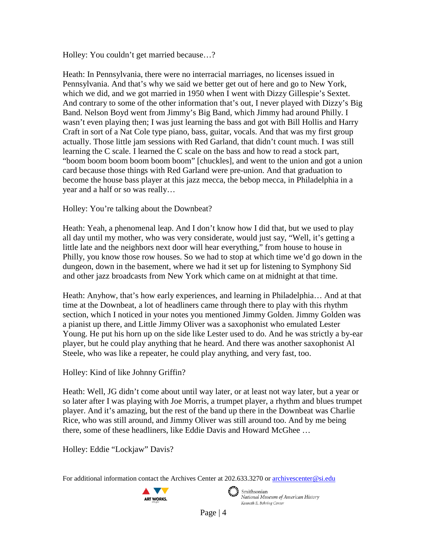Holley: You couldn't get married because…?

Heath: In Pennsylvania, there were no interracial marriages, no licenses issued in Pennsylvania. And that's why we said we better get out of here and go to New York, which we did, and we got married in 1950 when I went with Dizzy Gillespie's Sextet. And contrary to some of the other information that's out, I never played with Dizzy's Big Band. Nelson Boyd went from Jimmy's Big Band, which Jimmy had around Philly. I wasn't even playing then; I was just learning the bass and got with Bill Hollis and Harry Craft in sort of a Nat Cole type piano, bass, guitar, vocals. And that was my first group actually. Those little jam sessions with Red Garland, that didn't count much. I was still learning the C scale. I learned the C scale on the bass and how to read a stock part, "boom boom boom boom boom boom" [chuckles], and went to the union and got a union card because those things with Red Garland were pre-union. And that graduation to become the house bass player at this jazz mecca, the bebop mecca, in Philadelphia in a year and a half or so was really…

Holley: You're talking about the Downbeat?

Heath: Yeah, a phenomenal leap. And I don't know how I did that, but we used to play all day until my mother, who was very considerate, would just say, "Well, it's getting a little late and the neighbors next door will hear everything," from house to house in Philly, you know those row houses. So we had to stop at which time we'd go down in the dungeon, down in the basement, where we had it set up for listening to Symphony Sid and other jazz broadcasts from New York which came on at midnight at that time.

Heath: Anyhow, that's how early experiences, and learning in Philadelphia… And at that time at the Downbeat, a lot of headliners came through there to play with this rhythm section, which I noticed in your notes you mentioned Jimmy Golden. Jimmy Golden was a pianist up there, and Little Jimmy Oliver was a saxophonist who emulated Lester Young. He put his horn up on the side like Lester used to do. And he was strictly a by-ear player, but he could play anything that he heard. And there was another saxophonist Al Steele, who was like a repeater, he could play anything, and very fast, too.

Holley: Kind of like Johnny Griffin?

Heath: Well, JG didn't come about until way later, or at least not way later, but a year or so later after I was playing with Joe Morris, a trumpet player, a rhythm and blues trumpet player. And it's amazing, but the rest of the band up there in the Downbeat was Charlie Rice, who was still around, and Jimmy Oliver was still around too. And by me being there, some of these headliners, like Eddie Davis and Howard McGhee …

Holley: Eddie "Lockjaw" Davis?

For additional information contact the Archives Center at 202.633.3270 o[r archivescenter@si.edu](mailto:archivescenter@si.edu)



 $\epsilon$   $\rightarrow$  Smithsonian

National Museum of American History Kenneth E. Behring Center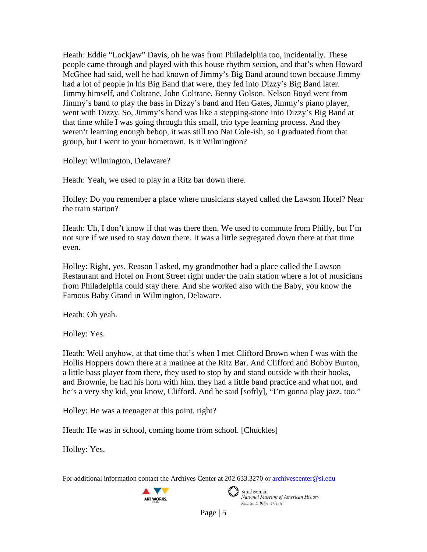Heath: Eddie "Lockjaw" Davis, oh he was from Philadelphia too, incidentally. These people came through and played with this house rhythm section, and that's when Howard McGhee had said, well he had known of Jimmy's Big Band around town because Jimmy had a lot of people in his Big Band that were, they fed into Dizzy's Big Band later. Jimmy himself, and Coltrane, John Coltrane, Benny Golson. Nelson Boyd went from Jimmy's band to play the bass in Dizzy's band and Hen Gates, Jimmy's piano player, went with Dizzy. So, Jimmy's band was like a stepping-stone into Dizzy's Big Band at that time while I was going through this small, trio type learning process. And they weren't learning enough bebop, it was still too Nat Cole-ish, so I graduated from that group, but I went to your hometown. Is it Wilmington?

Holley: Wilmington, Delaware?

Heath: Yeah, we used to play in a Ritz bar down there.

Holley: Do you remember a place where musicians stayed called the Lawson Hotel? Near the train station?

Heath: Uh, I don't know if that was there then. We used to commute from Philly, but I'm not sure if we used to stay down there. It was a little segregated down there at that time even.

Holley: Right, yes. Reason I asked, my grandmother had a place called the Lawson Restaurant and Hotel on Front Street right under the train station where a lot of musicians from Philadelphia could stay there. And she worked also with the Baby, you know the Famous Baby Grand in Wilmington, Delaware.

Heath: Oh yeah.

Holley: Yes.

Heath: Well anyhow, at that time that's when I met Clifford Brown when I was with the Hollis Hoppers down there at a matinee at the Ritz Bar. And Clifford and Bobby Burton, a little bass player from there, they used to stop by and stand outside with their books, and Brownie, he had his horn with him, they had a little band practice and what not, and he's a very shy kid, you know, Clifford. And he said [softly], "I'm gonna play jazz, too."

Holley: He was a teenager at this point, right?

Heath: He was in school, coming home from school. [Chuckles]

Holley: Yes.

For additional information contact the Archives Center at 202.633.3270 o[r archivescenter@si.edu](mailto:archivescenter@si.edu)





 $\epsilon$   $\rightarrow$  Smithsonian National Museum of American History Kenneth E. Behring Center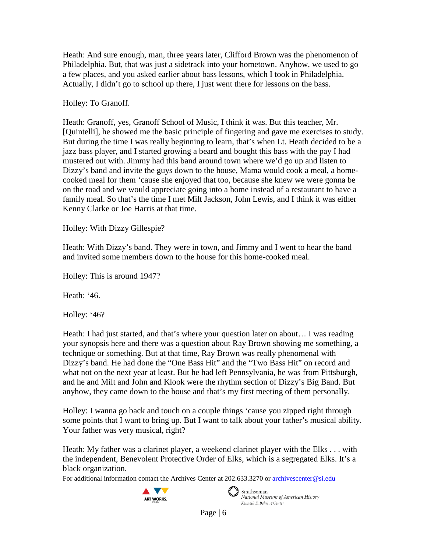Heath: And sure enough, man, three years later, Clifford Brown was the phenomenon of Philadelphia. But, that was just a sidetrack into your hometown. Anyhow, we used to go a few places, and you asked earlier about bass lessons, which I took in Philadelphia. Actually, I didn't go to school up there, I just went there for lessons on the bass.

Holley: To Granoff.

Heath: Granoff, yes, Granoff School of Music, I think it was. But this teacher, Mr. [Quintelli], he showed me the basic principle of fingering and gave me exercises to study. But during the time I was really beginning to learn, that's when Lt. Heath decided to be a jazz bass player, and I started growing a beard and bought this bass with the pay I had mustered out with. Jimmy had this band around town where we'd go up and listen to Dizzy's band and invite the guys down to the house, Mama would cook a meal, a homecooked meal for them 'cause she enjoyed that too, because she knew we were gonna be on the road and we would appreciate going into a home instead of a restaurant to have a family meal. So that's the time I met Milt Jackson, John Lewis, and I think it was either Kenny Clarke or Joe Harris at that time.

Holley: With Dizzy Gillespie?

Heath: With Dizzy's band. They were in town, and Jimmy and I went to hear the band and invited some members down to the house for this home-cooked meal.

Holley: This is around 1947?

Heath: '46.

Holley: '46?

Heath: I had just started, and that's where your question later on about… I was reading your synopsis here and there was a question about Ray Brown showing me something, a technique or something. But at that time, Ray Brown was really phenomenal with Dizzy's band. He had done the "One Bass Hit" and the "Two Bass Hit" on record and what not on the next year at least. But he had left Pennsylvania, he was from Pittsburgh, and he and Milt and John and Klook were the rhythm section of Dizzy's Big Band. But anyhow, they came down to the house and that's my first meeting of them personally.

Holley: I wanna go back and touch on a couple things 'cause you zipped right through some points that I want to bring up. But I want to talk about your father's musical ability. Your father was very musical, right?

Heath: My father was a clarinet player, a weekend clarinet player with the Elks . . . with the independent, Benevolent Protective Order of Elks, which is a segregated Elks. It's a black organization.

For additional information contact the Archives Center at 202.633.3270 o[r archivescenter@si.edu](mailto:archivescenter@si.edu)





 $\epsilon$   $\rightarrow$  Smithsonian National Museum of American History Kenneth E. Behring Center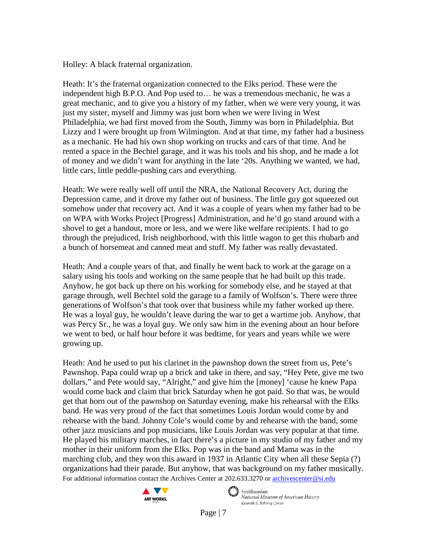Holley: A black fraternal organization.

Heath: It's the fraternal organization connected to the Elks period. These were the independent high B.P.O. And Pop used to… he was a tremendous mechanic, he was a great mechanic, and to give you a history of my father, when we were very young, it was just my sister, myself and Jimmy was just born when we were living in West Philadelphia, we had first moved from the South, Jimmy was born in Philadelphia. But Lizzy and I were brought up from Wilmington. And at that time, my father had a business as a mechanic. He had his own shop working on trucks and cars of that time. And he rented a space in the Bechtel garage, and it was his tools and his shop, and he made a lot of money and we didn't want for anything in the late '20s. Anything we wanted, we had, little cars, little peddle-pushing cars and everything.

Heath: We were really well off until the NRA, the National Recovery Act, during the Depression came, and it drove my father out of business. The little guy got squeezed out somehow under that recovery act. And it was a couple of years when my father had to be on WPA with Works Project [Progress] Administration, and he'd go stand around with a shovel to get a handout, more or less, and we were like welfare recipients. I had to go through the prejudiced, Irish neighborhood, with this little wagon to get this rhubarb and a bunch of horsemeat and canned meat and stuff. My father was really devastated.

Heath: And a couple years of that, and finally he went back to work at the garage on a salary using his tools and working on the same people that he had built up this trade. Anyhow, he got back up there on his working for somebody else, and he stayed at that garage through, well Bechtel sold the garage to a family of Wolfson's. There were three generations of Wolfson's that took over that business while my father worked up there. He was a loyal guy, he wouldn't leave during the war to get a wartime job. Anyhow, that was Percy Sr., he was a loyal guy. We only saw him in the evening about an hour before we went to bed, or half hour before it was bedtime, for years and years while we were growing up.

For additional information contact the Archives Center at 202.633.3270 o[r archivescenter@si.edu](mailto:archivescenter@si.edu) Heath: And he used to put his clarinet in the pawnshop down the street from us, Pete's Pawnshop. Papa could wrap up a brick and take in there, and say, "Hey Pete, give me two dollars," and Pete would say, "Alright," and give him the [money] 'cause he knew Papa would come back and claim that brick Saturday when he got paid. So that was, he would get that horn out of the pawnshop on Saturday evening, make his rehearsal with the Elks band. He was very proud of the fact that sometimes Louis Jordan would come by and rehearse with the band. Johnny Cole's would come by and rehearse with the band, some other jazz musicians and pop musicians, like Louis Jordan was very popular at that time. He played his military marches, in fact there's a picture in my studio of my father and my mother in their uniform from the Elks. Pop was in the band and Mama was in the marching club, and they won this award in 1937 in Atlantic City when all these Sepia (?) organizations had their parade. But anyhow, that was background on my father musically.



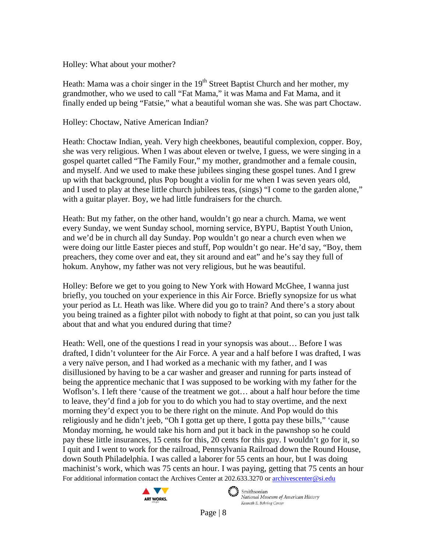#### Holley: What about your mother?

Heath: Mama was a choir singer in the  $19<sup>th</sup>$  Street Baptist Church and her mother, my grandmother, who we used to call "Fat Mama," it was Mama and Fat Mama, and it finally ended up being "Fatsie," what a beautiful woman she was. She was part Choctaw.

## Holley: Choctaw, Native American Indian?

Heath: Choctaw Indian, yeah. Very high cheekbones, beautiful complexion, copper. Boy, she was very religious. When I was about eleven or twelve, I guess, we were singing in a gospel quartet called "The Family Four," my mother, grandmother and a female cousin, and myself. And we used to make these jubilees singing these gospel tunes. And I grew up with that background, plus Pop bought a violin for me when I was seven years old, and I used to play at these little church jubilees teas, (sings) "I come to the garden alone," with a guitar player. Boy, we had little fundraisers for the church.

Heath: But my father, on the other hand, wouldn't go near a church. Mama, we went every Sunday, we went Sunday school, morning service, BYPU, Baptist Youth Union, and we'd be in church all day Sunday. Pop wouldn't go near a church even when we were doing our little Easter pieces and stuff, Pop wouldn't go near. He'd say, "Boy, them preachers, they come over and eat, they sit around and eat" and he's say they full of hokum. Anyhow, my father was not very religious, but he was beautiful.

Holley: Before we get to you going to New York with Howard McGhee, I wanna just briefly, you touched on your experience in this Air Force. Briefly synopsize for us what your period as Lt. Heath was like. Where did you go to train? And there's a story about you being trained as a fighter pilot with nobody to fight at that point, so can you just talk about that and what you endured during that time?

For additional information contact the Archives Center at 202.633.3270 o[r archivescenter@si.edu](mailto:archivescenter@si.edu) Heath: Well, one of the questions I read in your synopsis was about... Before I was drafted, I didn't volunteer for the Air Force. A year and a half before I was drafted, I was a very naïve person, and I had worked as a mechanic with my father, and I was disillusioned by having to be a car washer and greaser and running for parts instead of being the apprentice mechanic that I was supposed to be working with my father for the Woflson's. I left there 'cause of the treatment we got… about a half hour before the time to leave, they'd find a job for you to do which you had to stay overtime, and the next morning they'd expect you to be there right on the minute. And Pop would do this religiously and he didn't jeeb, "Oh I gotta get up there, I gotta pay these bills," 'cause Monday morning, he would take his horn and put it back in the pawnshop so he could pay these little insurances, 15 cents for this, 20 cents for this guy. I wouldn't go for it, so I quit and I went to work for the railroad, Pennsylvania Railroad down the Round House, down South Philadelphia. I was called a laborer for 55 cents an hour, but I was doing machinist's work, which was 75 cents an hour. I was paying, getting that 75 cents an hour



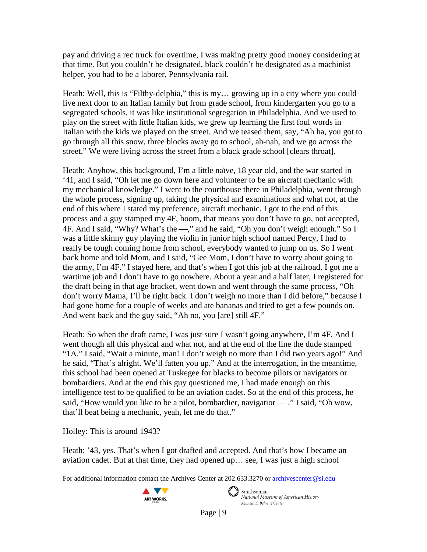pay and driving a rec truck for overtime, I was making pretty good money considering at that time. But you couldn't be designated, black couldn't be designated as a machinist helper, you had to be a laborer, Pennsylvania rail.

Heath: Well, this is "Filthy-delphia," this is my… growing up in a city where you could live next door to an Italian family but from grade school, from kindergarten you go to a segregated schools, it was like institutional segregation in Philadelphia. And we used to play on the street with little Italian kids, we grew up learning the first foul words in Italian with the kids we played on the street. And we teased them, say, "Ah ha, you got to go through all this snow, three blocks away go to school, ah-nah, and we go across the street." We were living across the street from a black grade school [clears throat].

Heath: Anyhow, this background, I'm a little naïve, 18 year old, and the war started in '41, and I said, "Oh let me go down here and volunteer to be an aircraft mechanic with my mechanical knowledge." I went to the courthouse there in Philadelphia, went through the whole process, signing up, taking the physical and examinations and what not, at the end of this where I stated my preference, aircraft mechanic. I got to the end of this process and a guy stamped my 4F, boom, that means you don't have to go, not accepted, 4F. And I said, "Why? What's the - "," and he said, "Oh you don't weigh enough." So I was a little skinny guy playing the violin in junior high school named Percy, I had to really be tough coming home from school, everybody wanted to jump on us. So I went back home and told Mom, and I said, "Gee Mom, I don't have to worry about going to the army, I'm 4F." I stayed here, and that's when I got this job at the railroad. I got me a wartime job and I don't have to go nowhere. About a year and a half later, I registered for the draft being in that age bracket, went down and went through the same process, "Oh don't worry Mama, I'll be right back. I don't weigh no more than I did before," because I had gone home for a couple of weeks and ate bananas and tried to get a few pounds on. And went back and the guy said, "Ah no, you [are] still 4F."

Heath: So when the draft came, I was just sure I wasn't going anywhere, I'm 4F. And I went though all this physical and what not, and at the end of the line the dude stamped "1A." I said, "Wait a minute, man! I don't weigh no more than I did two years ago!" And he said, "That's alright. We'll fatten you up." And at the interrogation, in the meantime, this school had been opened at Tuskegee for blacks to become pilots or navigators or bombardiers. And at the end this guy questioned me, I had made enough on this intelligence test to be qualified to be an aviation cadet. So at the end of this process, he said, "How would you like to be a pilot, bombardier, navigatior  $-$ ." I said, "Oh wow, that'll beat being a mechanic, yeah, let me do that."

Holley: This is around 1943?

Heath: '43, yes. That's when I got drafted and accepted. And that's how I became an aviation cadet. But at that time, they had opened up… see, I was just a high school

For additional information contact the Archives Center at 202.633.3270 o[r archivescenter@si.edu](mailto:archivescenter@si.edu)



 $\epsilon$   $\rightarrow$  Smithsonian National Museum of American History Kenneth E. Behring Center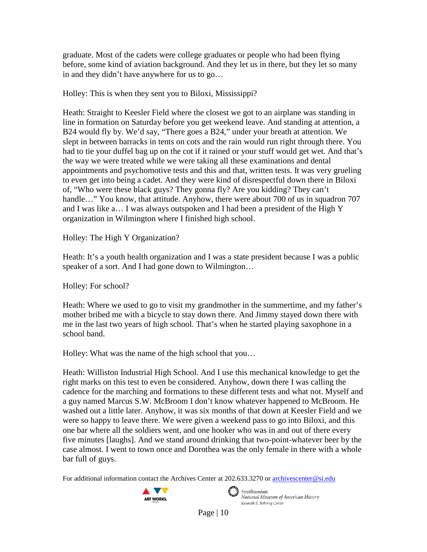graduate. Most of the cadets were college graduates or people who had been flying before, some kind of aviation background. And they let us in there, but they let so many in and they didn't have anywhere for us to go…

## Holley: This is when they sent you to Biloxi, Mississippi?

Heath: Straight to Keesler Field where the closest we got to an airplane was standing in line in formation on Saturday before you get weekend leave. And standing at attention, a B24 would fly by. We'd say, "There goes a B24," under your breath at attention. We slept in between barracks in tents on cots and the rain would run right through there. You had to tie your duffel bag up on the cot if it rained or your stuff would get wet. And that's the way we were treated while we were taking all these examinations and dental appointments and psychomotive tests and this and that, written tests. It was very grueling to even get into being a cadet. And they were kind of disrespectful down there in Biloxi of, "Who were these black guys? They gonna fly? Are you kidding? They can't handle..." You know, that attitude. Anyhow, there were about 700 of us in squadron 707 and I was like a… I was always outspoken and I had been a president of the High Y organization in Wilmington where I finished high school.

Holley: The High Y Organization?

Heath: It's a youth health organization and I was a state president because I was a public speaker of a sort. And I had gone down to Wilmington...

Holley: For school?

Heath: Where we used to go to visit my grandmother in the summertime, and my father's mother bribed me with a bicycle to stay down there. And Jimmy stayed down there with me in the last two years of high school. That's when he started playing saxophone in a school band.

Holley: What was the name of the high school that you…

Heath: Williston Industrial High School. And I use this mechanical knowledge to get the right marks on this test to even be considered. Anyhow, down there I was calling the cadence for the marching and formations to these different tests and what not. Myself and a guy named Marcus S.W. McBroom I don't know whatever happened to McBroom. He washed out a little later. Anyhow, it was six months of that down at Keesler Field and we were so happy to leave there. We were given a weekend pass to go into Biloxi, and this one bar where all the soldiers went, and one hooker who was in and out of there every five minutes [laughs]. And we stand around drinking that two-point-whatever beer by the case almost. I went to town once and Dorothea was the only female in there with a whole bar full of guys.

For additional information contact the Archives Center at 202.633.3270 o[r archivescenter@si.edu](mailto:archivescenter@si.edu)



Smithsonian<br>National Museum of American History Kenneth E. Behring Center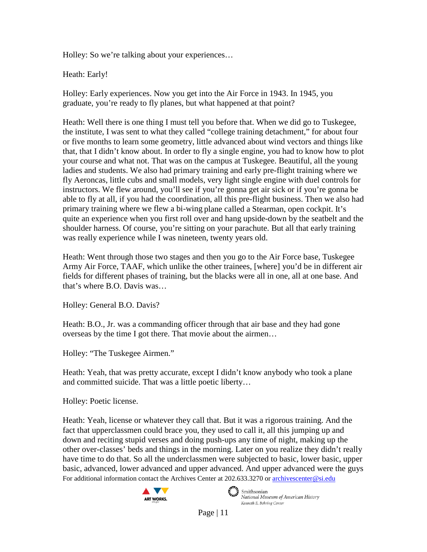Holley: So we're talking about your experiences…

Heath: Early!

Holley: Early experiences. Now you get into the Air Force in 1943. In 1945, you graduate, you're ready to fly planes, but what happened at that point?

Heath: Well there is one thing I must tell you before that. When we did go to Tuskegee, the institute, I was sent to what they called "college training detachment," for about four or five months to learn some geometry, little advanced about wind vectors and things like that, that I didn't know about. In order to fly a single engine, you had to know how to plot your course and what not. That was on the campus at Tuskegee. Beautiful, all the young ladies and students. We also had primary training and early pre-flight training where we fly Aeroncas, little cubs and small models, very light single engine with duel controls for instructors. We flew around, you'll see if you're gonna get air sick or if you're gonna be able to fly at all, if you had the coordination, all this pre-flight business. Then we also had primary training where we flew a bi-wing plane called a Stearman, open cockpit. It's quite an experience when you first roll over and hang upside-down by the seatbelt and the shoulder harness. Of course, you're sitting on your parachute. But all that early training was really experience while I was nineteen, twenty years old.

Heath: Went through those two stages and then you go to the Air Force base, Tuskegee Army Air Force, TAAF, which unlike the other trainees, [where] you'd be in different air fields for different phases of training, but the blacks were all in one, all at one base. And that's where B.O. Davis was…

Holley: General B.O. Davis?

Heath: B.O., Jr. was a commanding officer through that air base and they had gone overseas by the time I got there. That movie about the airmen…

Holley: "The Tuskegee Airmen."

Heath: Yeah, that was pretty accurate, except I didn't know anybody who took a plane and committed suicide. That was a little poetic liberty…

Holley: Poetic license.

For additional information contact the Archives Center at 202.633.3270 o[r archivescenter@si.edu](mailto:archivescenter@si.edu) Heath: Yeah, license or whatever they call that. But it was a rigorous training. And the fact that upperclassmen could brace you, they used to call it, all this jumping up and down and reciting stupid verses and doing push-ups any time of night, making up the other over-classes' beds and things in the morning. Later on you realize they didn't really have time to do that. So all the underclassmen were subjected to basic, lower basic, upper basic, advanced, lower advanced and upper advanced. And upper advanced were the guys





 $\epsilon$   $\rightarrow$  Smithsonian National Museum of American History Kenneth E. Behring Center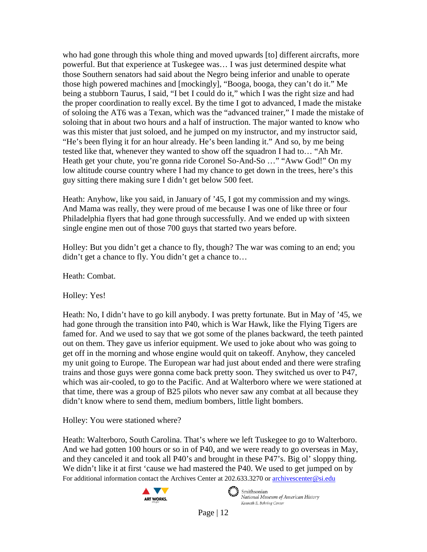who had gone through this whole thing and moved upwards [to] different aircrafts, more powerful. But that experience at Tuskegee was… I was just determined despite what those Southern senators had said about the Negro being inferior and unable to operate those high powered machines and [mockingly], "Booga, booga, they can't do it." Me being a stubborn Taurus, I said, "I bet I could do it," which I was the right size and had the proper coordination to really excel. By the time I got to advanced, I made the mistake of soloing the AT6 was a Texan, which was the "advanced trainer," I made the mistake of soloing that in about two hours and a half of instruction. The major wanted to know who was this mister that just soloed, and he jumped on my instructor, and my instructor said, "He's been flying it for an hour already. He's been landing it." And so, by me being tested like that, whenever they wanted to show off the squadron I had to… "Ah Mr. Heath get your chute, you're gonna ride Coronel So-And-So ..." "Aww God!" On my low altitude course country where I had my chance to get down in the trees, here's this guy sitting there making sure I didn't get below 500 feet.

Heath: Anyhow, like you said, in January of '45, I got my commission and my wings. And Mama was really, they were proud of me because I was one of like three or four Philadelphia flyers that had gone through successfully. And we ended up with sixteen single engine men out of those 700 guys that started two years before.

Holley: But you didn't get a chance to fly, though? The war was coming to an end; you didn't get a chance to fly. You didn't get a chance to…

Heath: Combat.

Holley: Yes!

Heath: No, I didn't have to go kill anybody. I was pretty fortunate. But in May of '45, we had gone through the transition into P40, which is War Hawk, like the Flying Tigers are famed for. And we used to say that we got some of the planes backward, the teeth painted out on them. They gave us inferior equipment. We used to joke about who was going to get off in the morning and whose engine would quit on takeoff. Anyhow, they canceled my unit going to Europe. The European war had just about ended and there were strafing trains and those guys were gonna come back pretty soon. They switched us over to P47, which was air-cooled, to go to the Pacific. And at Walterboro where we were stationed at that time, there was a group of B25 pilots who never saw any combat at all because they didn't know where to send them, medium bombers, little light bombers.

Holley: You were stationed where?

For additional information contact the Archives Center at 202.633.3270 o[r archivescenter@si.edu](mailto:archivescenter@si.edu) Heath: Walterboro, South Carolina. That's where we left Tuskegee to go to Walterboro. And we had gotten 100 hours or so in of P40, and we were ready to go overseas in May, and they canceled it and took all P40's and brought in these P47's. Big ol' sloppy thing. We didn't like it at first 'cause we had mastered the P40. We used to get jumped on by



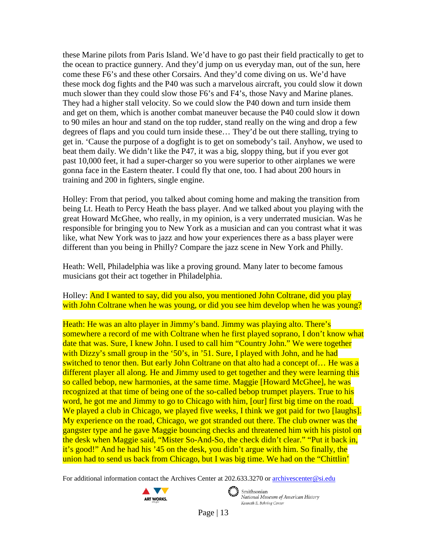these Marine pilots from Paris Island. We'd have to go past their field practically to get to the ocean to practice gunnery. And they'd jump on us everyday man, out of the sun, here come these F6's and these other Corsairs. And they'd come diving on us. We'd have these mock dog fights and the P40 was such a marvelous aircraft, you could slow it down much slower than they could slow those F6's and F4's, those Navy and Marine planes. They had a higher stall velocity. So we could slow the P40 down and turn inside them and get on them, which is another combat maneuver because the P40 could slow it down to 90 miles an hour and stand on the top rudder, stand really on the wing and drop a few degrees of flaps and you could turn inside these… They'd be out there stalling, trying to get in. 'Cause the purpose of a dogfight is to get on somebody's tail. Anyhow, we used to beat them daily. We didn't like the P47, it was a big, sloppy thing, but if you ever got past 10,000 feet, it had a super-charger so you were superior to other airplanes we were gonna face in the Eastern theater. I could fly that one, too. I had about 200 hours in training and 200 in fighters, single engine.

Holley: From that period, you talked about coming home and making the transition from being Lt. Heath to Percy Heath the bass player. And we talked about you playing with the great Howard McGhee, who really, in my opinion, is a very underrated musician. Was he responsible for bringing you to New York as a musician and can you contrast what it was like, what New York was to jazz and how your experiences there as a bass player were different than you being in Philly? Compare the jazz scene in New York and Philly.

Heath: Well, Philadelphia was like a proving ground. Many later to become famous musicians got their act together in Philadelphia.

Holley: And I wanted to say, did you also, you mentioned John Coltrane, did you play with John Coltrane when he was young, or did you see him develop when he was young?

Heath: He was an alto player in Jimmy's band. Jimmy was playing alto. There's somewhere a record of me with Coltrane when he first played soprano, I don't know what date that was. Sure, I knew John. I used to call him "Country John." We were together with Dizzy's small group in the '50's, in '51. Sure, I played with John, and he had switched to tenor then. But early John Coltrane on that alto had a concept of… He was a different player all along. He and Jimmy used to get together and they were learning this so called bebop, new harmonies, at the same time. Maggie [Howard McGhee], he was recognized at that time of being one of the so-called bebop trumpet players. True to his word, he got me and Jimmy to go to Chicago with him, [our] first big time on the road. We played a club in Chicago, we played five weeks, I think we got paid for two [laughs]. My experience on the road, Chicago, we got stranded out there. The club owner was the gangster type and he gave Maggie bouncing checks and threatened him with his pistol on the desk when Maggie said, "Mister So-And-So, the check didn't clear." "Put it back in, it's good!" And he had his '45 on the desk, you didn't argue with him. So finally, the union had to send us back from Chicago, but I was big time. We had on the "Chittlin"

For additional information contact the Archives Center at 202.633.3270 o[r archivescenter@si.edu](mailto:archivescenter@si.edu)





 $\epsilon$   $\rightarrow$  Smithsonian National Museum of American History Kenneth E. Behring Center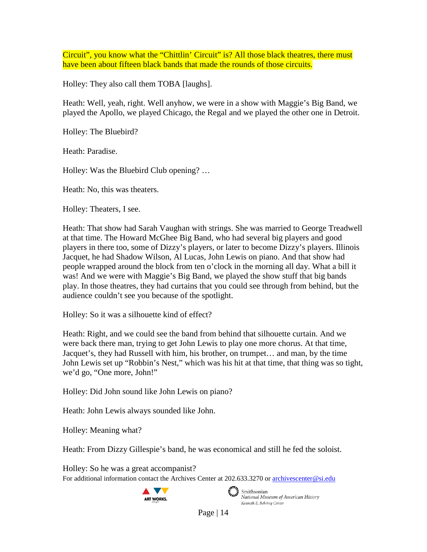Circuit", you know what the "Chittlin' Circuit" is? All those black theatres, there must have been about fifteen black bands that made the rounds of those circuits.

Holley: They also call them TOBA [laughs].

Heath: Well, yeah, right. Well anyhow, we were in a show with Maggie's Big Band, we played the Apollo, we played Chicago, the Regal and we played the other one in Detroit.

Holley: The Bluebird?

Heath: Paradise.

Holley: Was the Bluebird Club opening? …

Heath: No, this was theaters.

Holley: Theaters, I see.

Heath: That show had Sarah Vaughan with strings. She was married to George Treadwell at that time. The Howard McGhee Big Band, who had several big players and good players in there too, some of Dizzy's players, or later to become Dizzy's players. Illinois Jacquet, he had Shadow Wilson, Al Lucas, John Lewis on piano. And that show had people wrapped around the block from ten o'clock in the morning all day. What a bill it was! And we were with Maggie's Big Band, we played the show stuff that big bands play. In those theatres, they had curtains that you could see through from behind, but the audience couldn't see you because of the spotlight.

Holley: So it was a silhouette kind of effect?

Heath: Right, and we could see the band from behind that silhouette curtain. And we were back there man, trying to get John Lewis to play one more chorus. At that time, Jacquet's, they had Russell with him, his brother, on trumpet… and man, by the time John Lewis set up "Robbin's Nest," which was his hit at that time, that thing was so tight, we'd go, "One more, John!"

Holley: Did John sound like John Lewis on piano?

Heath: John Lewis always sounded like John.

Holley: Meaning what?

Heath: From Dizzy Gillespie's band, he was economical and still he fed the soloist.

For additional information contact the Archives Center at 202.633.3270 o[r archivescenter@si.edu](mailto:archivescenter@si.edu) Holley: So he was a great accompanist?



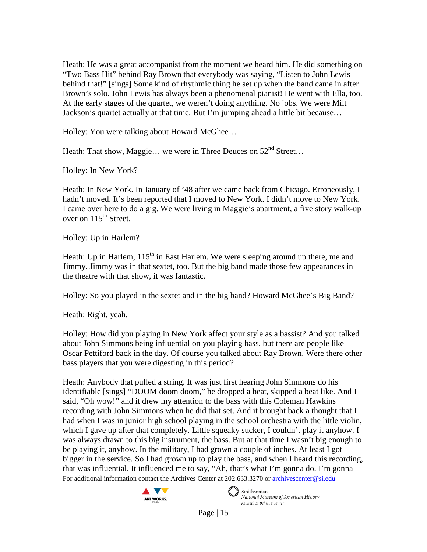Heath: He was a great accompanist from the moment we heard him. He did something on "Two Bass Hit" behind Ray Brown that everybody was saying, "Listen to John Lewis behind that!" [sings] Some kind of rhythmic thing he set up when the band came in after Brown's solo. John Lewis has always been a phenomenal pianist! He went with Ella, too. At the early stages of the quartet, we weren't doing anything. No jobs. We were Milt Jackson's quartet actually at that time. But I'm jumping ahead a little bit because…

Holley: You were talking about Howard McGhee…

Heath: That show, Maggie... we were in Three Deuces on  $52^{nd}$  Street...

Holley: In New York?

Heath: In New York. In January of '48 after we came back from Chicago. Erroneously, I hadn't moved. It's been reported that I moved to New York. I didn't move to New York. I came over here to do a gig. We were living in Maggie's apartment, a five story walk-up over on  $115^{th}$  Street.

Holley: Up in Harlem?

Heath: Up in Harlem,  $115<sup>th</sup>$  in East Harlem. We were sleeping around up there, me and Jimmy. Jimmy was in that sextet, too. But the big band made those few appearances in the theatre with that show, it was fantastic.

Holley: So you played in the sextet and in the big band? Howard McGhee's Big Band?

Heath: Right, yeah.

Holley: How did you playing in New York affect your style as a bassist? And you talked about John Simmons being influential on you playing bass, but there are people like Oscar Pettiford back in the day. Of course you talked about Ray Brown. Were there other bass players that you were digesting in this period?

For additional information contact the Archives Center at 202.633.3270 o[r archivescenter@si.edu](mailto:archivescenter@si.edu) Heath: Anybody that pulled a string. It was just first hearing John Simmons do his identifiable [sings] "DOOM doom doom," he dropped a beat, skipped a beat like. And I said, "Oh wow!" and it drew my attention to the bass with this Coleman Hawkins recording with John Simmons when he did that set. And it brought back a thought that I had when I was in junior high school playing in the school orchestra with the little violin, which I gave up after that completely. Little squeaky sucker, I couldn't play it anyhow. I was always drawn to this big instrument, the bass. But at that time I wasn't big enough to be playing it, anyhow. In the military, I had grown a couple of inches. At least I got bigger in the service. So I had grown up to play the bass, and when I heard this recording, that was influential. It influenced me to say, "Ah, that's what I'm gonna do. I'm gonna



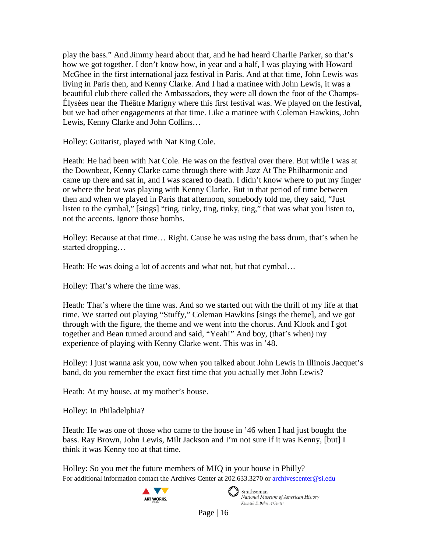play the bass." And Jimmy heard about that, and he had heard Charlie Parker, so that's how we got together. I don't know how, in year and a half, I was playing with Howard McGhee in the first international jazz festival in Paris. And at that time, John Lewis was living in Paris then, and Kenny Clarke. And I had a matinee with John Lewis, it was a beautiful club there called the Ambassadors, they were all down the foot of the Champs-Élysées near the Théâtre Marigny where this first festival was. We played on the festival, but we had other engagements at that time. Like a matinee with Coleman Hawkins, John Lewis, Kenny Clarke and John Collins…

Holley: Guitarist, played with Nat King Cole.

Heath: He had been with Nat Cole. He was on the festival over there. But while I was at the Downbeat, Kenny Clarke came through there with Jazz At The Philharmonic and came up there and sat in, and I was scared to death. I didn't know where to put my finger or where the beat was playing with Kenny Clarke. But in that period of time between then and when we played in Paris that afternoon, somebody told me, they said, "Just listen to the cymbal," [sings] "ting, tinky, ting, tinky, ting," that was what you listen to, not the accents. Ignore those bombs.

Holley: Because at that time… Right. Cause he was using the bass drum, that's when he started dropping…

Heath: He was doing a lot of accents and what not, but that cymbal…

Holley: That's where the time was.

Heath: That's where the time was. And so we started out with the thrill of my life at that time. We started out playing "Stuffy," Coleman Hawkins [sings the theme], and we got through with the figure, the theme and we went into the chorus. And Klook and I got together and Bean turned around and said, "Yeah!" And boy, (that's when) my experience of playing with Kenny Clarke went. This was in '48.

Holley: I just wanna ask you, now when you talked about John Lewis in Illinois Jacquet's band, do you remember the exact first time that you actually met John Lewis?

Heath: At my house, at my mother's house.

Holley: In Philadelphia?

Heath: He was one of those who came to the house in '46 when I had just bought the bass. Ray Brown, John Lewis, Milt Jackson and I'm not sure if it was Kenny, [but] I think it was Kenny too at that time.

For additional information contact the Archives Center at 202.633.3270 o[r archivescenter@si.edu](mailto:archivescenter@si.edu) Holley: So you met the future members of MJQ in your house in Philly?





 $\epsilon$   $\rightarrow$  Smithsonian National Museum of American History Kenneth E. Behring Center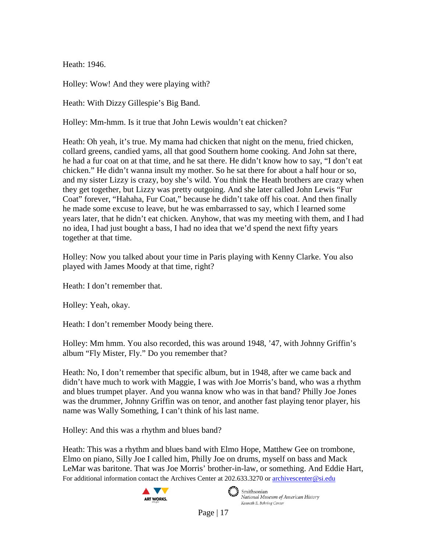Heath: 1946.

Holley: Wow! And they were playing with?

Heath: With Dizzy Gillespie's Big Band.

Holley: Mm-hmm. Is it true that John Lewis wouldn't eat chicken?

Heath: Oh yeah, it's true. My mama had chicken that night on the menu, fried chicken, collard greens, candied yams, all that good Southern home cooking. And John sat there, he had a fur coat on at that time, and he sat there. He didn't know how to say, "I don't eat chicken." He didn't wanna insult my mother. So he sat there for about a half hour or so, and my sister Lizzy is crazy, boy she's wild. You think the Heath brothers are crazy when they get together, but Lizzy was pretty outgoing. And she later called John Lewis "Fur Coat" forever, "Hahaha, Fur Coat," because he didn't take off his coat. And then finally he made some excuse to leave, but he was embarrassed to say, which I learned some years later, that he didn't eat chicken. Anyhow, that was my meeting with them, and I had no idea, I had just bought a bass, I had no idea that we'd spend the next fifty years together at that time.

Holley: Now you talked about your time in Paris playing with Kenny Clarke. You also played with James Moody at that time, right?

Heath: I don't remember that.

Holley: Yeah, okay.

Heath: I don't remember Moody being there.

Holley: Mm hmm. You also recorded, this was around 1948, '47, with Johnny Griffin's album "Fly Mister, Fly." Do you remember that?

Heath: No, I don't remember that specific album, but in 1948, after we came back and didn't have much to work with Maggie, I was with Joe Morris's band, who was a rhythm and blues trumpet player. And you wanna know who was in that band? Philly Joe Jones was the drummer, Johnny Griffin was on tenor, and another fast playing tenor player, his name was Wally Something, I can't think of his last name.

Holley: And this was a rhythm and blues band?

For additional information contact the Archives Center at 202.633.3270 o[r archivescenter@si.edu](mailto:archivescenter@si.edu) Heath: This was a rhythm and blues band with Elmo Hope, Matthew Gee on trombone, Elmo on piano, Silly Joe I called him, Philly Joe on drums, myself on bass and Mack LeMar was baritone. That was Joe Morris' brother-in-law, or something. And Eddie Hart,





 $\epsilon$   $\rightarrow$  Smithsonian National Museum of American History Kenneth E. Behring Center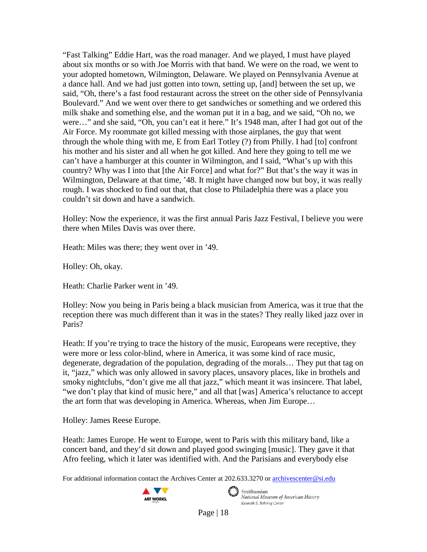"Fast Talking" Eddie Hart, was the road manager. And we played, I must have played about six months or so with Joe Morris with that band. We were on the road, we went to your adopted hometown, Wilmington, Delaware. We played on Pennsylvania Avenue at a dance hall. And we had just gotten into town, setting up, [and] between the set up, we said, "Oh, there's a fast food restaurant across the street on the other side of Pennsylvania Boulevard." And we went over there to get sandwiches or something and we ordered this milk shake and something else, and the woman put it in a bag, and we said, "Oh no, we were…" and she said, "Oh, you can't eat it here." It's 1948 man, after I had got out of the Air Force. My roommate got killed messing with those airplanes, the guy that went through the whole thing with me, E from Earl Totley (?) from Philly. I had [to] confront his mother and his sister and all when he got killed. And here they going to tell me we can't have a hamburger at this counter in Wilmington, and I said, "What's up with this country? Why was I into that [the Air Force] and what for?" But that's the way it was in Wilmington, Delaware at that time, '48. It might have changed now but boy, it was really rough. I was shocked to find out that, that close to Philadelphia there was a place you couldn't sit down and have a sandwich.

Holley: Now the experience, it was the first annual Paris Jazz Festival, I believe you were there when Miles Davis was over there.

Heath: Miles was there; they went over in '49.

Holley: Oh, okay.

Heath: Charlie Parker went in '49.

Holley: Now you being in Paris being a black musician from America, was it true that the reception there was much different than it was in the states? They really liked jazz over in Paris?

Heath: If you're trying to trace the history of the music, Europeans were receptive, they were more or less color-blind, where in America, it was some kind of race music, degenerate, degradation of the population, degrading of the morals… They put that tag on it, "jazz," which was only allowed in savory places, unsavory places, like in brothels and smoky nightclubs, "don't give me all that jazz," which meant it was insincere. That label, "we don't play that kind of music here," and all that [was] America's reluctance to accept the art form that was developing in America. Whereas, when Jim Europe…

Holley: James Reese Europe.

Heath: James Europe. He went to Europe, went to Paris with this military band, like a concert band, and they'd sit down and played good swinging [music]. They gave it that Afro feeling, which it later was identified with. And the Parisians and everybody else

For additional information contact the Archives Center at 202.633.3270 o[r archivescenter@si.edu](mailto:archivescenter@si.edu)



Smithsonian<br>National Museum of American History Kenneth E. Behring Center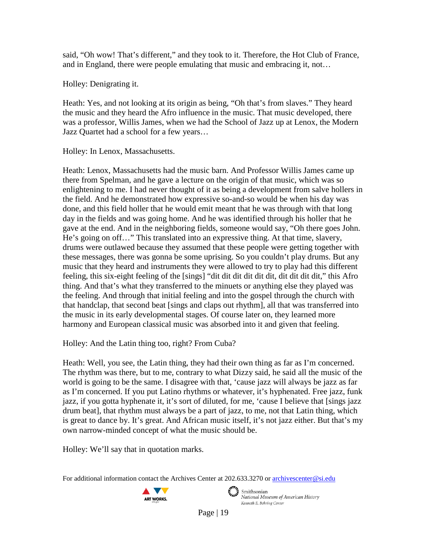said, "Oh wow! That's different," and they took to it. Therefore, the Hot Club of France, and in England, there were people emulating that music and embracing it, not…

Holley: Denigrating it.

Heath: Yes, and not looking at its origin as being, "Oh that's from slaves." They heard the music and they heard the Afro influence in the music. That music developed, there was a professor, Willis James, when we had the School of Jazz up at Lenox, the Modern Jazz Quartet had a school for a few years…

Holley: In Lenox, Massachusetts.

Heath: Lenox, Massachusetts had the music barn. And Professor Willis James came up there from Spelman, and he gave a lecture on the origin of that music, which was so enlightening to me. I had never thought of it as being a development from salve hollers in the field. And he demonstrated how expressive so-and-so would be when his day was done, and this field holler that he would emit meant that he was through with that long day in the fields and was going home. And he was identified through his holler that he gave at the end. And in the neighboring fields, someone would say, "Oh there goes John. He's going on off…" This translated into an expressive thing. At that time, slavery, drums were outlawed because they assumed that these people were getting together with these messages, there was gonna be some uprising. So you couldn't play drums. But any music that they heard and instruments they were allowed to try to play had this different feeling, this six-eight feeling of the [sings] "dit dit dit dit dit dit, dit dit dit dit," this Afro thing. And that's what they transferred to the minuets or anything else they played was the feeling. And through that initial feeling and into the gospel through the church with that handclap, that second beat [sings and claps out rhythm], all that was transferred into the music in its early developmental stages. Of course later on, they learned more harmony and European classical music was absorbed into it and given that feeling.

Holley: And the Latin thing too, right? From Cuba?

Heath: Well, you see, the Latin thing, they had their own thing as far as I'm concerned. The rhythm was there, but to me, contrary to what Dizzy said, he said all the music of the world is going to be the same. I disagree with that, 'cause jazz will always be jazz as far as I'm concerned. If you put Latino rhythms or whatever, it's hyphenated. Free jazz, funk jazz, if you gotta hyphenate it, it's sort of diluted, for me, 'cause I believe that [sings jazz drum beat], that rhythm must always be a part of jazz, to me, not that Latin thing, which is great to dance by. It's great. And African music itself, it's not jazz either. But that's my own narrow-minded concept of what the music should be.

Holley: We'll say that in quotation marks.

For additional information contact the Archives Center at 202.633.3270 o[r archivescenter@si.edu](mailto:archivescenter@si.edu)



 $\epsilon$   $\rightarrow$  Smithsonian National Museum of American History Kenneth E. Behring Center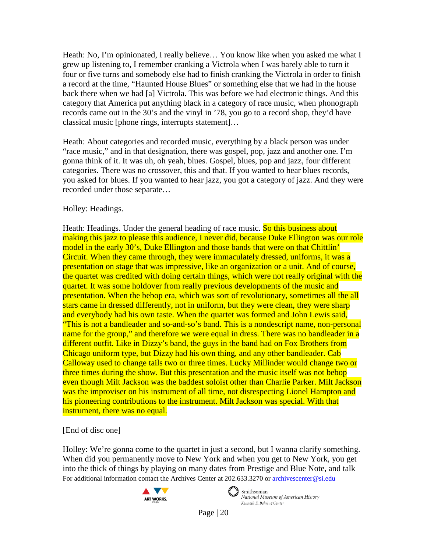Heath: No, I'm opinionated, I really believe… You know like when you asked me what I grew up listening to, I remember cranking a Victrola when I was barely able to turn it four or five turns and somebody else had to finish cranking the Victrola in order to finish a record at the time, "Haunted House Blues" or something else that we had in the house back there when we had [a] Victrola. This was before we had electronic things. And this category that America put anything black in a category of race music, when phonograph records came out in the 30's and the vinyl in '78, you go to a record shop, they'd have classical music [phone rings, interrupts statement]…

Heath: About categories and recorded music, everything by a black person was under "race music," and in that designation, there was gospel, pop, jazz and another one. I'm gonna think of it. It was uh, oh yeah, blues. Gospel, blues, pop and jazz, four different categories. There was no crossover, this and that. If you wanted to hear blues records, you asked for blues. If you wanted to hear jazz, you got a category of jazz. And they were recorded under those separate…

# Holley: Headings.

Heath: Headings. Under the general heading of race music. So this business about making this jazz to please this audience, I never did, because Duke Ellington was our role model in the early 30's, Duke Ellington and those bands that were on that Chittlin' Circuit. When they came through, they were immaculately dressed, uniforms, it was a presentation on stage that was impressive, like an organization or a unit. And of course, the quartet was credited with doing certain things, which were not really original with the quartet. It was some holdover from really previous developments of the music and presentation. When the bebop era, which was sort of revolutionary, sometimes all the all stars came in dressed differently, not in uniform, but they were clean, they were sharp and everybody had his own taste. When the quartet was formed and John Lewis said, "This is not a bandleader and so-and-so's band. This is a nondescript name, non-personal name for the group," and therefore we were equal in dress. There was no bandleader in a different outfit. Like in Dizzy's band, the guys in the band had on Fox Brothers from Chicago uniform type, but Dizzy had his own thing, and any other bandleader. Cab Calloway used to change tails two or three times. Lucky Millinder would change two or three times during the show. But this presentation and the music itself was not bebop even though Milt Jackson was the baddest soloist other than Charlie Parker. Milt Jackson was the improviser on his instrument of all time, not disrespecting Lionel Hampton and his pioneering contributions to the instrument. Milt Jackson was special. With that instrument, there was no equal.

[End of disc one]

For additional information contact the Archives Center at 202.633.3270 o[r archivescenter@si.edu](mailto:archivescenter@si.edu) Holley: We're gonna come to the quartet in just a second, but I wanna clarify something. When did you permanently move to New York and when you get to New York, you get into the thick of things by playing on many dates from Prestige and Blue Note, and talk





Smithsonian National Museum of American History Kenneth E. Behring Center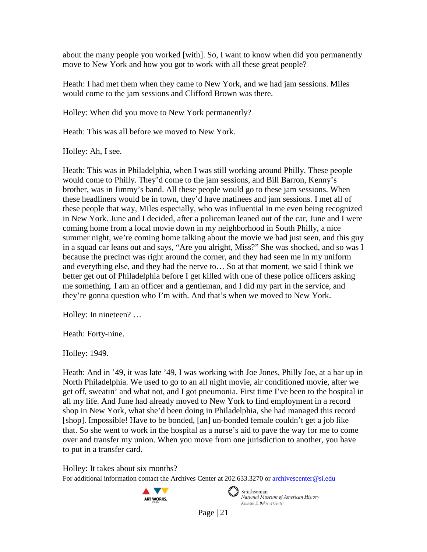about the many people you worked [with]. So, I want to know when did you permanently move to New York and how you got to work with all these great people?

Heath: I had met them when they came to New York, and we had jam sessions. Miles would come to the jam sessions and Clifford Brown was there.

Holley: When did you move to New York permanently?

Heath: This was all before we moved to New York.

Holley: Ah, I see.

Heath: This was in Philadelphia, when I was still working around Philly. These people would come to Philly. They'd come to the jam sessions, and Bill Barron, Kenny's brother, was in Jimmy's band. All these people would go to these jam sessions. When these headliners would be in town, they'd have matinees and jam sessions. I met all of these people that way, Miles especially, who was influential in me even being recognized in New York. June and I decided, after a policeman leaned out of the car, June and I were coming home from a local movie down in my neighborhood in South Philly, a nice summer night, we're coming home talking about the movie we had just seen, and this guy in a squad car leans out and says, "Are you alright, Miss?" She was shocked, and so was I because the precinct was right around the corner, and they had seen me in my uniform and everything else, and they had the nerve to… So at that moment, we said I think we better get out of Philadelphia before I get killed with one of these police officers asking me something. I am an officer and a gentleman, and I did my part in the service, and they're gonna question who I'm with. And that's when we moved to New York.

Holley: In nineteen? …

Heath: Forty-nine.

Holley: 1949.

Heath: And in '49, it was late '49, I was working with Joe Jones, Philly Joe, at a bar up in North Philadelphia. We used to go to an all night movie, air conditioned movie, after we get off, sweatin' and what not, and I got pneumonia. First time I've been to the hospital in all my life. And June had already moved to New York to find employment in a record shop in New York, what she'd been doing in Philadelphia, she had managed this record [shop]. Impossible! Have to be bonded, [an] un-bonded female couldn't get a job like that. So she went to work in the hospital as a nurse's aid to pave the way for me to come over and transfer my union. When you move from one jurisdiction to another, you have to put in a transfer card.

Holley: It takes about six months?

For additional information contact the Archives Center at 202.633.3270 o[r archivescenter@si.edu](mailto:archivescenter@si.edu)





 $\epsilon$   $\rightarrow$  Smithsonian National Museum of American History Kenneth E. Behring Center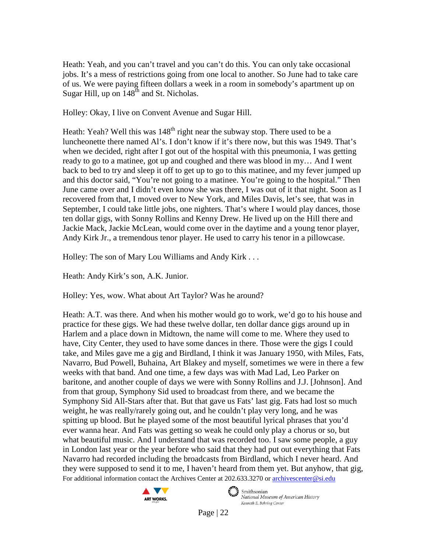Heath: Yeah, and you can't travel and you can't do this. You can only take occasional jobs. It's a mess of restrictions going from one local to another. So June had to take care of us. We were paying fifteen dollars a week in a room in somebody's apartment up on Sugar Hill, up on  $148<sup>th</sup>$  and St. Nicholas.

Holley: Okay, I live on Convent Avenue and Sugar Hill.

Heath: Yeah? Well this was  $148<sup>th</sup>$  right near the subway stop. There used to be a luncheonette there named Al's. I don't know if it's there now, but this was 1949. That's when we decided, right after I got out of the hospital with this pneumonia, I was getting ready to go to a matinee, got up and coughed and there was blood in my… And I went back to bed to try and sleep it off to get up to go to this matinee, and my fever jumped up and this doctor said, "You're not going to a matinee. You're going to the hospital." Then June came over and I didn't even know she was there, I was out of it that night. Soon as I recovered from that, I moved over to New York, and Miles Davis, let's see, that was in September, I could take little jobs, one nighters. That's where I would play dances, those ten dollar gigs, with Sonny Rollins and Kenny Drew. He lived up on the Hill there and Jackie Mack, Jackie McLean, would come over in the daytime and a young tenor player, Andy Kirk Jr., a tremendous tenor player. He used to carry his tenor in a pillowcase.

Holley: The son of Mary Lou Williams and Andy Kirk . . .

Heath: Andy Kirk's son, A.K. Junior.

Holley: Yes, wow. What about Art Taylor? Was he around?

For additional information contact the Archives Center at 202.633.3270 o[r archivescenter@si.edu](mailto:archivescenter@si.edu) Heath: A.T. was there. And when his mother would go to work, we'd go to his house and practice for these gigs. We had these twelve dollar, ten dollar dance gigs around up in Harlem and a place down in Midtown, the name will come to me. Where they used to have, City Center, they used to have some dances in there. Those were the gigs I could take, and Miles gave me a gig and Birdland, I think it was January 1950, with Miles, Fats, Navarro, Bud Powell, Buhaina, Art Blakey and myself, sometimes we were in there a few weeks with that band. And one time, a few days was with Mad Lad, Leo Parker on baritone, and another couple of days we were with Sonny Rollins and J.J. [Johnson]. And from that group, Symphony Sid used to broadcast from there, and we became the Symphony Sid All-Stars after that. But that gave us Fats' last gig. Fats had lost so much weight, he was really/rarely going out, and he couldn't play very long, and he was spitting up blood. But he played some of the most beautiful lyrical phrases that you'd ever wanna hear. And Fats was getting so weak he could only play a chorus or so, but what beautiful music. And I understand that was recorded too. I saw some people, a guy in London last year or the year before who said that they had put out everything that Fats Navarro had recorded including the broadcasts from Birdland, which I never heard. And they were supposed to send it to me, I haven't heard from them yet. But anyhow, that gig,



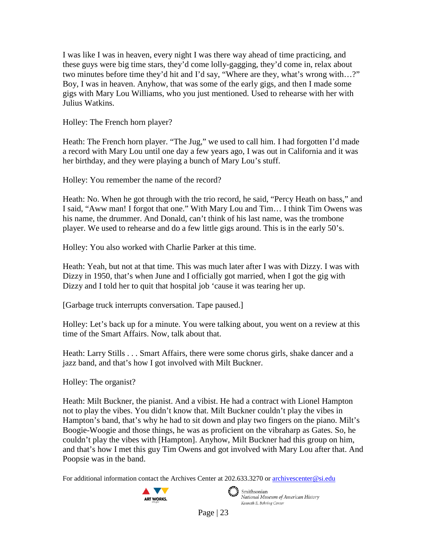I was like I was in heaven, every night I was there way ahead of time practicing, and these guys were big time stars, they'd come lolly-gagging, they'd come in, relax about two minutes before time they'd hit and I'd say, "Where are they, what's wrong with…?" Boy, I was in heaven. Anyhow, that was some of the early gigs, and then I made some gigs with Mary Lou Williams, who you just mentioned. Used to rehearse with her with Julius Watkins.

Holley: The French horn player?

Heath: The French horn player. "The Jug," we used to call him. I had forgotten I'd made a record with Mary Lou until one day a few years ago, I was out in California and it was her birthday, and they were playing a bunch of Mary Lou's stuff.

Holley: You remember the name of the record?

Heath: No. When he got through with the trio record, he said, "Percy Heath on bass," and I said, "Aww man! I forgot that one." With Mary Lou and Tim… I think Tim Owens was his name, the drummer. And Donald, can't think of his last name, was the trombone player. We used to rehearse and do a few little gigs around. This is in the early 50's.

Holley: You also worked with Charlie Parker at this time.

Heath: Yeah, but not at that time. This was much later after I was with Dizzy. I was with Dizzy in 1950, that's when June and I officially got married, when I got the gig with Dizzy and I told her to quit that hospital job 'cause it was tearing her up.

[Garbage truck interrupts conversation. Tape paused.]

Holley: Let's back up for a minute. You were talking about, you went on a review at this time of the Smart Affairs. Now, talk about that.

Heath: Larry Stills . . . Smart Affairs, there were some chorus girls, shake dancer and a jazz band, and that's how I got involved with Milt Buckner.

Holley: The organist?

Heath: Milt Buckner, the pianist. And a vibist. He had a contract with Lionel Hampton not to play the vibes. You didn't know that. Milt Buckner couldn't play the vibes in Hampton's band, that's why he had to sit down and play two fingers on the piano. Milt's Boogie-Woogie and those things, he was as proficient on the vibraharp as Gates. So, he couldn't play the vibes with [Hampton]. Anyhow, Milt Buckner had this group on him, and that's how I met this guy Tim Owens and got involved with Mary Lou after that. And Poopsie was in the band.

For additional information contact the Archives Center at 202.633.3270 o[r archivescenter@si.edu](mailto:archivescenter@si.edu)





 $\epsilon$   $\rightarrow$  Smithsonian National Museum of American History Kenneth E. Behring Center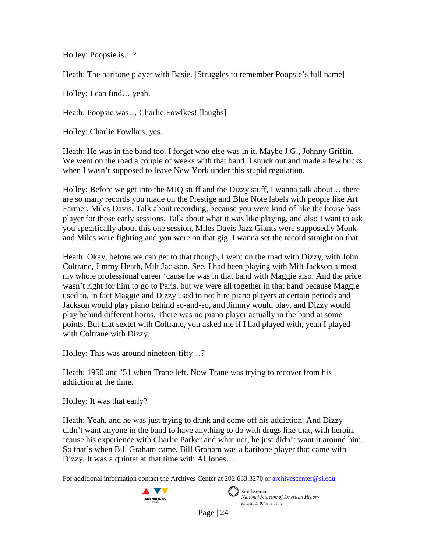Holley: Poopsie is…?

Heath: The baritone player with Basie. [Struggles to remember Poopsie's full name]

Holley: I can find… yeah.

Heath: Poopsie was… Charlie Fowlkes! [laughs]

Holley: Charlie Fowlkes, yes.

Heath: He was in the band too. I forget who else was in it. Maybe J.G., Johnny Griffin. We went on the road a couple of weeks with that band. I snuck out and made a few bucks when I wasn't supposed to leave New York under this stupid regulation.

Holley: Before we get into the MJQ stuff and the Dizzy stuff, I wanna talk about… there are so many records you made on the Prestige and Blue Note labels with people like Art Farmer, Miles Davis. Talk about recording, because you were kind of like the house bass player for those early sessions. Talk about what it was like playing, and also I want to ask you specifically about this one session, Miles Davis Jazz Giants were supposedly Monk and Miles were fighting and you were on that gig. I wanna set the record straight on that.

Heath: Okay, before we can get to that though, I went on the road with Dizzy, with John Coltrane, Jimmy Heath, Milt Jackson. See, I had been playing with Milt Jackson almost my whole professional career 'cause he was in that band with Maggie also. And the price wasn't right for him to go to Paris, but we were all together in that band because Maggie used to, in fact Maggie and Dizzy used to not hire piano players at certain periods and Jackson would play piano behind so-and-so, and Jimmy would play, and Dizzy would play behind different horns. There was no piano player actually in the band at some points. But that sextet with Coltrane, you asked me if I had played with, yeah I played with Coltrane with Dizzy.

Holley: This was around nineteen-fifty…?

Heath: 1950 and '51 when Trane left. Now Trane was trying to recover from his addiction at the time.

Holley: It was that early?

Heath: Yeah, and he was just trying to drink and come off his addiction. And Dizzy didn't want anyone in the band to have anything to do with drugs like that, with heroin, 'cause his experience with Charlie Parker and what not, he just didn't want it around him. So that's when Bill Graham came, Bill Graham was a baritone player that came with Dizzy. It was a quintet at that time with Al Jones…

For additional information contact the Archives Center at 202.633.3270 o[r archivescenter@si.edu](mailto:archivescenter@si.edu)



 $\epsilon$   $\rightarrow$  Smithsonian National Museum of American History Kenneth E. Behring Center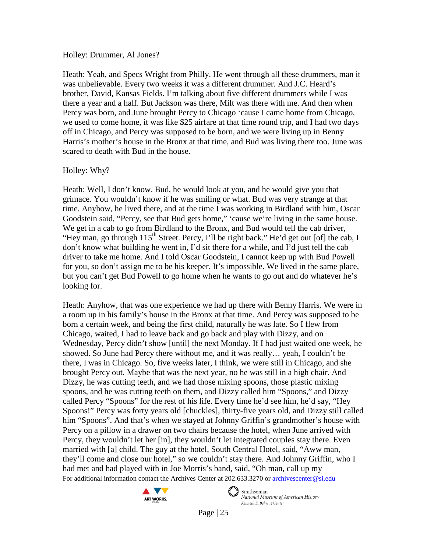#### Holley: Drummer, Al Jones?

Heath: Yeah, and Specs Wright from Philly. He went through all these drummers, man it was unbelievable. Every two weeks it was a different drummer. And J.C. Heard's brother, David, Kansas Fields. I'm talking about five different drummers while I was there a year and a half. But Jackson was there, Milt was there with me. And then when Percy was born, and June brought Percy to Chicago 'cause I came home from Chicago, we used to come home, it was like \$25 airfare at that time round trip, and I had two days off in Chicago, and Percy was supposed to be born, and we were living up in Benny Harris's mother's house in the Bronx at that time, and Bud was living there too. June was scared to death with Bud in the house.

#### Holley: Why?

Heath: Well, I don't know. Bud, he would look at you, and he would give you that grimace. You wouldn't know if he was smiling or what. Bud was very strange at that time. Anyhow, he lived there, and at the time I was working in Birdland with him, Oscar Goodstein said, "Percy, see that Bud gets home," 'cause we're living in the same house. We get in a cab to go from Birdland to the Bronx, and Bud would tell the cab driver, "Hey man, go through  $115<sup>th</sup>$  Street. Percy, I'll be right back." He'd get out [of] the cab, I don't know what building he went in, I'd sit there for a while, and I'd just tell the cab driver to take me home. And I told Oscar Goodstein, I cannot keep up with Bud Powell for you, so don't assign me to be his keeper. It's impossible. We lived in the same place, but you can't get Bud Powell to go home when he wants to go out and do whatever he's looking for.

For additional information contact the Archives Center at 202.633.3270 o[r archivescenter@si.edu](mailto:archivescenter@si.edu) Heath: Anyhow, that was one experience we had up there with Benny Harris. We were in a room up in his family's house in the Bronx at that time. And Percy was supposed to be born a certain week, and being the first child, naturally he was late. So I flew from Chicago, waited, I had to leave back and go back and play with Dizzy, and on Wednesday, Percy didn't show [until] the next Monday. If I had just waited one week, he showed. So June had Percy there without me, and it was really… yeah, I couldn't be there, I was in Chicago. So, five weeks later, I think, we were still in Chicago, and she brought Percy out. Maybe that was the next year, no he was still in a high chair. And Dizzy, he was cutting teeth, and we had those mixing spoons, those plastic mixing spoons, and he was cutting teeth on them, and Dizzy called him "Spoons," and Dizzy called Percy "Spoons" for the rest of his life. Every time he'd see him, he'd say, "Hey Spoons!" Percy was forty years old [chuckles], thirty-five years old, and Dizzy still called him "Spoons". And that's when we stayed at Johnny Griffin's grandmother's house with Percy on a pillow in a drawer on two chairs because the hotel, when June arrived with Percy, they wouldn't let her [in], they wouldn't let integrated couples stay there. Even married with [a] child. The guy at the hotel, South Central Hotel, said, "Aww man, they'll come and close our hotel," so we couldn't stay there. And Johnny Griffin, who I had met and had played with in Joe Morris's band, said, "Oh man, call up my



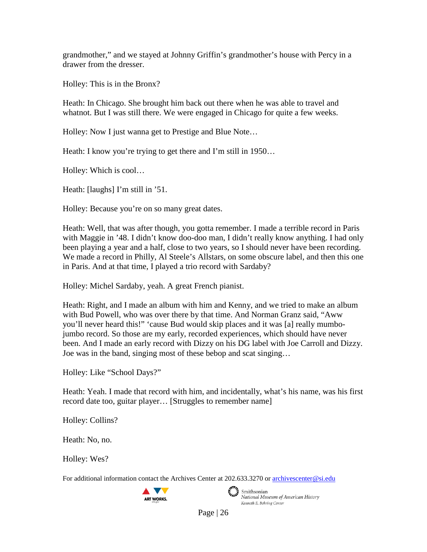grandmother," and we stayed at Johnny Griffin's grandmother's house with Percy in a drawer from the dresser.

Holley: This is in the Bronx?

Heath: In Chicago. She brought him back out there when he was able to travel and whatnot. But I was still there. We were engaged in Chicago for quite a few weeks.

Holley: Now I just wanna get to Prestige and Blue Note…

Heath: I know you're trying to get there and I'm still in 1950...

Holley: Which is cool…

Heath: [laughs] I'm still in '51.

Holley: Because you're on so many great dates.

Heath: Well, that was after though, you gotta remember. I made a terrible record in Paris with Maggie in '48. I didn't know doo-doo man, I didn't really know anything. I had only been playing a year and a half, close to two years, so I should never have been recording. We made a record in Philly, Al Steele's Allstars, on some obscure label, and then this one in Paris. And at that time, I played a trio record with Sardaby?

Holley: Michel Sardaby, yeah. A great French pianist.

Heath: Right, and I made an album with him and Kenny, and we tried to make an album with Bud Powell, who was over there by that time. And Norman Granz said, "Aww you'll never heard this!" 'cause Bud would skip places and it was [a] really mumbojumbo record. So those are my early, recorded experiences, which should have never been. And I made an early record with Dizzy on his DG label with Joe Carroll and Dizzy. Joe was in the band, singing most of these bebop and scat singing…

Holley: Like "School Days?"

Heath: Yeah. I made that record with him, and incidentally, what's his name, was his first record date too, guitar player… [Struggles to remember name]

Holley: Collins?

Heath: No, no.

Holley: Wes?

For additional information contact the Archives Center at 202.633.3270 o[r archivescenter@si.edu](mailto:archivescenter@si.edu)





Smithsonian National Museum of American History Kenneth E. Behring Center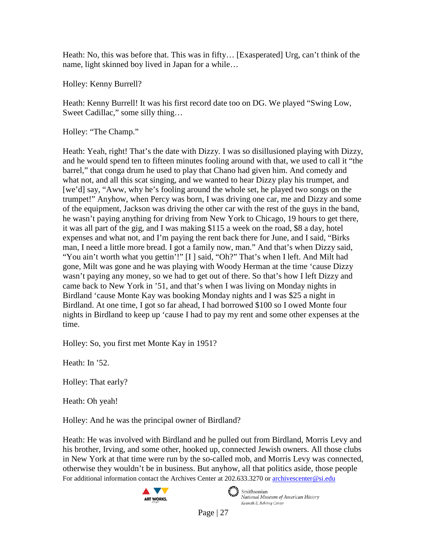Heath: No, this was before that. This was in fifty… [Exasperated] Urg, can't think of the name, light skinned boy lived in Japan for a while…

Holley: Kenny Burrell?

Heath: Kenny Burrell! It was his first record date too on DG. We played "Swing Low, Sweet Cadillac," some silly thing…

Holley: "The Champ."

Heath: Yeah, right! That's the date with Dizzy. I was so disillusioned playing with Dizzy, and he would spend ten to fifteen minutes fooling around with that, we used to call it "the barrel," that conga drum he used to play that Chano had given him. And comedy and what not, and all this scat singing, and we wanted to hear Dizzy play his trumpet, and [we'd] say, "Aww, why he's fooling around the whole set, he played two songs on the trumpet!" Anyhow, when Percy was born, I was driving one car, me and Dizzy and some of the equipment, Jackson was driving the other car with the rest of the guys in the band, he wasn't paying anything for driving from New York to Chicago, 19 hours to get there, it was all part of the gig, and I was making \$115 a week on the road, \$8 a day, hotel expenses and what not, and I'm paying the rent back there for June, and I said, "Birks man, I need a little more bread. I got a family now, man." And that's when Dizzy said, "You ain't worth what you gettin'!" [I ] said, "Oh?" That's when I left. And Milt had gone, Milt was gone and he was playing with Woody Herman at the time 'cause Dizzy wasn't paying any money, so we had to get out of there. So that's how I left Dizzy and came back to New York in '51, and that's when I was living on Monday nights in Birdland 'cause Monte Kay was booking Monday nights and I was \$25 a night in Birdland. At one time, I got so far ahead, I had borrowed \$100 so I owed Monte four nights in Birdland to keep up 'cause I had to pay my rent and some other expenses at the time.

Holley: So, you first met Monte Kay in 1951?

Heath: In '52.

Holley: That early?

Heath: Oh yeah!

Holley: And he was the principal owner of Birdland?

For additional information contact the Archives Center at 202.633.3270 o[r archivescenter@si.edu](mailto:archivescenter@si.edu) Heath: He was involved with Birdland and he pulled out from Birdland, Morris Levy and his brother, Irving, and some other, hooked up, connected Jewish owners. All those clubs in New York at that time were run by the so-called mob, and Morris Levy was connected, otherwise they wouldn't be in business. But anyhow, all that politics aside, those people





Smithsonian National Museum of American History Kenneth E. Behring Center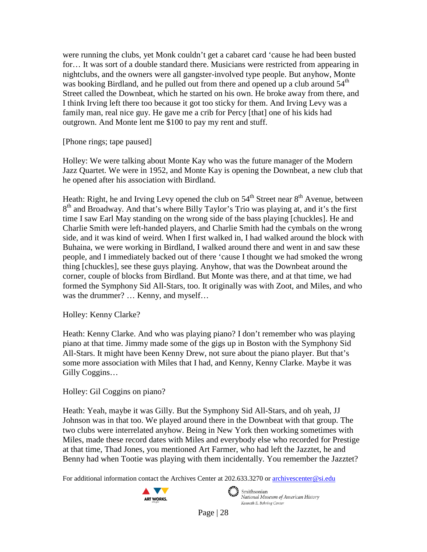were running the clubs, yet Monk couldn't get a cabaret card 'cause he had been busted for… It was sort of a double standard there. Musicians were restricted from appearing in nightclubs, and the owners were all gangster-involved type people. But anyhow, Monte was booking Birdland, and he pulled out from there and opened up a club around  $54<sup>th</sup>$ Street called the Downbeat, which he started on his own. He broke away from there, and I think Irving left there too because it got too sticky for them. And Irving Levy was a family man, real nice guy. He gave me a crib for Percy [that] one of his kids had outgrown. And Monte lent me \$100 to pay my rent and stuff.

[Phone rings; tape paused]

Holley: We were talking about Monte Kay who was the future manager of the Modern Jazz Quartet. We were in 1952, and Monte Kay is opening the Downbeat, a new club that he opened after his association with Birdland.

Heath: Right, he and Irving Levy opened the club on  $54<sup>th</sup>$  Street near  $8<sup>th</sup>$  Avenue, between  $8<sup>th</sup>$  and Broadway. And that's where Billy Taylor's Trio was playing at, and it's the first time I saw Earl May standing on the wrong side of the bass playing [chuckles]. He and Charlie Smith were left-handed players, and Charlie Smith had the cymbals on the wrong side, and it was kind of weird. When I first walked in, I had walked around the block with Buhaina, we were working in Birdland, I walked around there and went in and saw these people, and I immediately backed out of there 'cause I thought we had smoked the wrong thing [chuckles], see these guys playing. Anyhow, that was the Downbeat around the corner, couple of blocks from Birdland. But Monte was there, and at that time, we had formed the Symphony Sid All-Stars, too. It originally was with Zoot, and Miles, and who was the drummer? … Kenny, and myself…

Holley: Kenny Clarke?

Heath: Kenny Clarke. And who was playing piano? I don't remember who was playing piano at that time. Jimmy made some of the gigs up in Boston with the Symphony Sid All-Stars. It might have been Kenny Drew, not sure about the piano player. But that's some more association with Miles that I had, and Kenny, Kenny Clarke. Maybe it was Gilly Coggins…

Holley: Gil Coggins on piano?

Heath: Yeah, maybe it was Gilly. But the Symphony Sid All-Stars, and oh yeah, JJ Johnson was in that too. We played around there in the Downbeat with that group. The two clubs were interrelated anyhow. Being in New York then working sometimes with Miles, made these record dates with Miles and everybody else who recorded for Prestige at that time, Thad Jones, you mentioned Art Farmer, who had left the Jazztet, he and Benny had when Tootie was playing with them incidentally. You remember the Jazztet?

For additional information contact the Archives Center at 202.633.3270 o[r archivescenter@si.edu](mailto:archivescenter@si.edu)



 $\epsilon$   $\rightarrow$  Smithsonian National Museum of American History Kenneth E. Behring Center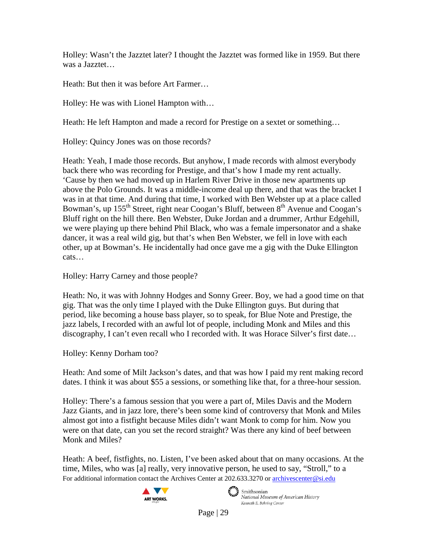Holley: Wasn't the Jazztet later? I thought the Jazztet was formed like in 1959. But there was a Jazztet…

Heath: But then it was before Art Farmer…

Holley: He was with Lionel Hampton with…

Heath: He left Hampton and made a record for Prestige on a sextet or something...

Holley: Quincy Jones was on those records?

Heath: Yeah, I made those records. But anyhow, I made records with almost everybody back there who was recording for Prestige, and that's how I made my rent actually. 'Cause by then we had moved up in Harlem River Drive in those new apartments up above the Polo Grounds. It was a middle-income deal up there, and that was the bracket I was in at that time. And during that time, I worked with Ben Webster up at a place called Bowman's, up 155<sup>th</sup> Street, right near Coogan's Bluff, between 8<sup>th</sup> Avenue and Coogan's Bluff right on the hill there. Ben Webster, Duke Jordan and a drummer, Arthur Edgehill, we were playing up there behind Phil Black, who was a female impersonator and a shake dancer, it was a real wild gig, but that's when Ben Webster, we fell in love with each other, up at Bowman's. He incidentally had once gave me a gig with the Duke Ellington cats…

Holley: Harry Carney and those people?

Heath: No, it was with Johnny Hodges and Sonny Greer. Boy, we had a good time on that gig. That was the only time I played with the Duke Ellington guys. But during that period, like becoming a house bass player, so to speak, for Blue Note and Prestige, the jazz labels, I recorded with an awful lot of people, including Monk and Miles and this discography, I can't even recall who I recorded with. It was Horace Silver's first date…

Holley: Kenny Dorham too?

Heath: And some of Milt Jackson's dates, and that was how I paid my rent making record dates. I think it was about \$55 a sessions, or something like that, for a three-hour session.

Holley: There's a famous session that you were a part of, Miles Davis and the Modern Jazz Giants, and in jazz lore, there's been some kind of controversy that Monk and Miles almost got into a fistfight because Miles didn't want Monk to comp for him. Now you were on that date, can you set the record straight? Was there any kind of beef between Monk and Miles?

For additional information contact the Archives Center at 202.633.3270 o[r archivescenter@si.edu](mailto:archivescenter@si.edu) Heath: A beef, fistfights, no. Listen, I've been asked about that on many occasions. At the time, Miles, who was [a] really, very innovative person, he used to say, "Stroll," to a





Smithsonian National Museum of American History Kenneth E. Behring Center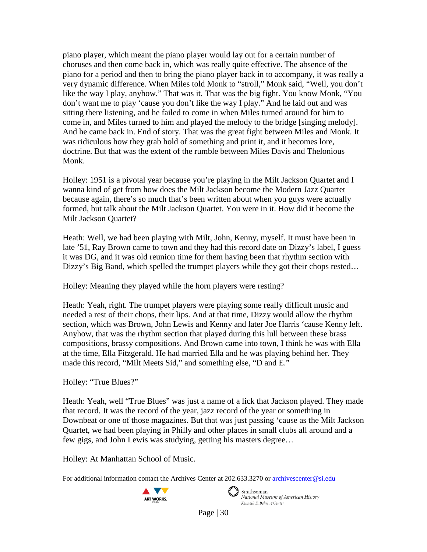piano player, which meant the piano player would lay out for a certain number of choruses and then come back in, which was really quite effective. The absence of the piano for a period and then to bring the piano player back in to accompany, it was really a very dynamic difference. When Miles told Monk to "stroll," Monk said, "Well, you don't like the way I play, anyhow." That was it. That was the big fight. You know Monk, "You don't want me to play 'cause you don't like the way I play." And he laid out and was sitting there listening, and he failed to come in when Miles turned around for him to come in, and Miles turned to him and played the melody to the bridge [singing melody]. And he came back in. End of story. That was the great fight between Miles and Monk. It was ridiculous how they grab hold of something and print it, and it becomes lore, doctrine. But that was the extent of the rumble between Miles Davis and Thelonious Monk.

Holley: 1951 is a pivotal year because you're playing in the Milt Jackson Quartet and I wanna kind of get from how does the Milt Jackson become the Modern Jazz Quartet because again, there's so much that's been written about when you guys were actually formed, but talk about the Milt Jackson Quartet. You were in it. How did it become the Milt Jackson Quartet?

Heath: Well, we had been playing with Milt, John, Kenny, myself. It must have been in late '51, Ray Brown came to town and they had this record date on Dizzy's label, I guess it was DG, and it was old reunion time for them having been that rhythm section with Dizzy's Big Band, which spelled the trumpet players while they got their chops rested...

Holley: Meaning they played while the horn players were resting?

Heath: Yeah, right. The trumpet players were playing some really difficult music and needed a rest of their chops, their lips. And at that time, Dizzy would allow the rhythm section, which was Brown, John Lewis and Kenny and later Joe Harris 'cause Kenny left. Anyhow, that was the rhythm section that played during this lull between these brass compositions, brassy compositions. And Brown came into town, I think he was with Ella at the time, Ella Fitzgerald. He had married Ella and he was playing behind her. They made this record, "Milt Meets Sid," and something else, "D and E."

Holley: "True Blues?"

Heath: Yeah, well "True Blues" was just a name of a lick that Jackson played. They made that record. It was the record of the year, jazz record of the year or something in Downbeat or one of those magazines. But that was just passing 'cause as the Milt Jackson Quartet, we had been playing in Philly and other places in small clubs all around and a few gigs, and John Lewis was studying, getting his masters degree…

Holley: At Manhattan School of Music.

For additional information contact the Archives Center at 202.633.3270 o[r archivescenter@si.edu](mailto:archivescenter@si.edu)



 $\epsilon$   $\rightarrow$  Smithsonian National Museum of American History Kenneth E. Behring Center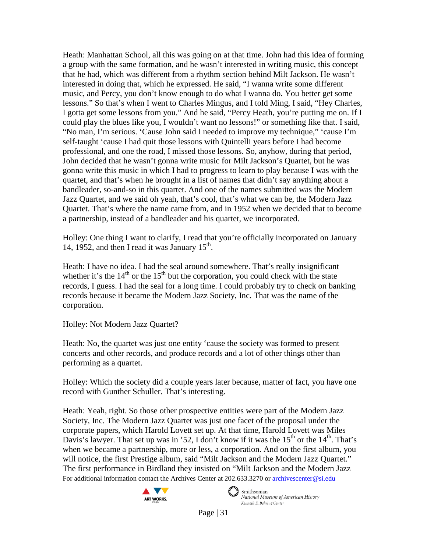Heath: Manhattan School, all this was going on at that time. John had this idea of forming a group with the same formation, and he wasn't interested in writing music, this concept that he had, which was different from a rhythm section behind Milt Jackson. He wasn't interested in doing that, which he expressed. He said, "I wanna write some different music, and Percy, you don't know enough to do what I wanna do. You better get some lessons." So that's when I went to Charles Mingus, and I told Ming, I said, "Hey Charles, I gotta get some lessons from you." And he said, "Percy Heath, you're putting me on. If I could play the blues like you, I wouldn't want no lessons!" or something like that. I said, "No man, I'm serious. 'Cause John said I needed to improve my technique," 'cause I'm self-taught 'cause I had quit those lessons with Quintelli years before I had become professional, and one the road, I missed those lessons. So, anyhow, during that period, John decided that he wasn't gonna write music for Milt Jackson's Quartet, but he was gonna write this music in which I had to progress to learn to play because I was with the quartet, and that's when he brought in a list of names that didn't say anything about a bandleader, so-and-so in this quartet. And one of the names submitted was the Modern Jazz Quartet, and we said oh yeah, that's cool, that's what we can be, the Modern Jazz Quartet. That's where the name came from, and in 1952 when we decided that to become a partnership, instead of a bandleader and his quartet, we incorporated.

Holley: One thing I want to clarify, I read that you're officially incorporated on January 14, 1952, and then I read it was January  $15<sup>th</sup>$ .

Heath: I have no idea. I had the seal around somewhere. That's really insignificant whether it's the  $14<sup>th</sup>$  or the  $15<sup>th</sup>$  but the corporation, you could check with the state records, I guess. I had the seal for a long time. I could probably try to check on banking records because it became the Modern Jazz Society, Inc. That was the name of the corporation.

Holley: Not Modern Jazz Quartet?

Heath: No, the quartet was just one entity 'cause the society was formed to present concerts and other records, and produce records and a lot of other things other than performing as a quartet.

Holley: Which the society did a couple years later because, matter of fact, you have one record with Gunther Schuller. That's interesting.

For additional information contact the Archives Center at 202.633.3270 o[r archivescenter@si.edu](mailto:archivescenter@si.edu) Heath: Yeah, right. So those other prospective entities were part of the Modern Jazz Society, Inc. The Modern Jazz Quartet was just one facet of the proposal under the corporate papers, which Harold Lovett set up. At that time, Harold Lovett was Miles Davis's lawyer. That set up was in '52, I don't know if it was the  $15<sup>th</sup>$  or the  $14<sup>th</sup>$ . That's when we became a partnership, more or less, a corporation. And on the first album, you will notice, the first Prestige album, said "Milt Jackson and the Modern Jazz Quartet." The first performance in Birdland they insisted on "Milt Jackson and the Modern Jazz



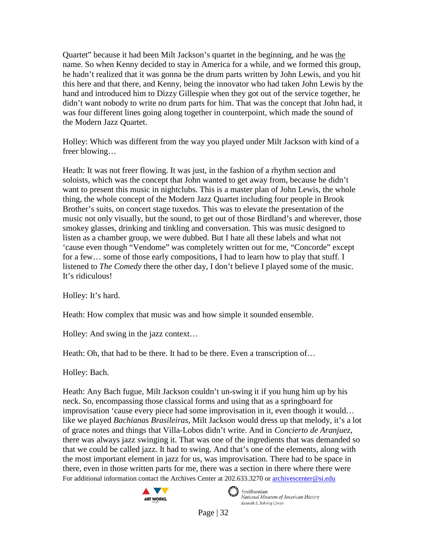Quartet" because it had been Milt Jackson's quartet in the beginning, and he was the name. So when Kenny decided to stay in America for a while, and we formed this group, he hadn't realized that it was gonna be the drum parts written by John Lewis, and you hit this here and that there, and Kenny, being the innovator who had taken John Lewis by the hand and introduced him to Dizzy Gillespie when they got out of the service together, he didn't want nobody to write no drum parts for him. That was the concept that John had, it was four different lines going along together in counterpoint, which made the sound of the Modern Jazz Quartet.

Holley: Which was different from the way you played under Milt Jackson with kind of a freer blowing…

Heath: It was not freer flowing. It was just, in the fashion of a rhythm section and soloists, which was the concept that John wanted to get away from, because he didn't want to present this music in nightclubs. This is a master plan of John Lewis, the whole thing, the whole concept of the Modern Jazz Quartet including four people in Brook Brother's suits, on concert stage tuxedos. This was to elevate the presentation of the music not only visually, but the sound, to get out of those Birdland's and wherever, those smokey glasses, drinking and tinkling and conversation. This was music designed to listen as a chamber group, we were dubbed. But I hate all these labels and what not 'cause even though "Vendome" was completely written out for me, "Concorde" except for a few… some of those early compositions, I had to learn how to play that stuff. I listened to *The Comedy* there the other day, I don't believe I played some of the music. It's ridiculous!

Holley: It's hard.

Heath: How complex that music was and how simple it sounded ensemble.

Holley: And swing in the jazz context…

Heath: Oh, that had to be there. It had to be there. Even a transcription of...

Holley: Bach.

For additional information contact the Archives Center at 202.633.3270 o[r archivescenter@si.edu](mailto:archivescenter@si.edu) Heath: Any Bach fugue, Milt Jackson couldn't un-swing it if you hung him up by his neck. So, encompassing those classical forms and using that as a springboard for improvisation 'cause every piece had some improvisation in it, even though it would… like we played *Bachianas Brasileiras*, Milt Jackson would dress up that melody, it's a lot of grace notes and things that Villa-Lobos didn't write. And in *Concierto de Aranjuez*, there was always jazz swinging it. That was one of the ingredients that was demanded so that we could be called jazz. It had to swing. And that's one of the elements, along with the most important element in jazz for us, was improvisation. There had to be space in there, even in those written parts for me, there was a section in there where there were





 $\epsilon$   $\rightarrow$  Smithsonian National Museum of American History Kenneth E. Behring Center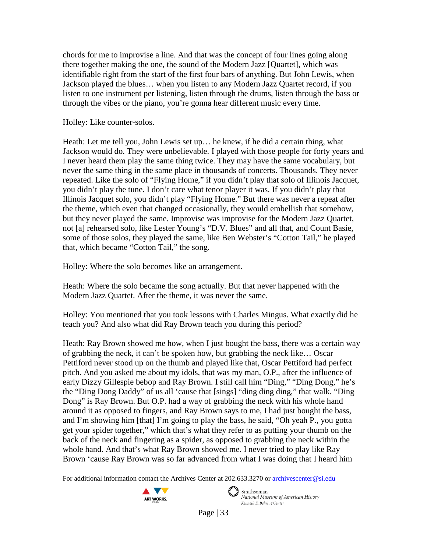chords for me to improvise a line. And that was the concept of four lines going along there together making the one, the sound of the Modern Jazz [Quartet], which was identifiable right from the start of the first four bars of anything. But John Lewis, when Jackson played the blues… when you listen to any Modern Jazz Quartet record, if you listen to one instrument per listening, listen through the drums, listen through the bass or through the vibes or the piano, you're gonna hear different music every time.

Holley: Like counter-solos.

Heath: Let me tell you, John Lewis set up… he knew, if he did a certain thing, what Jackson would do. They were unbelievable. I played with those people for forty years and I never heard them play the same thing twice. They may have the same vocabulary, but never the same thing in the same place in thousands of concerts. Thousands. They never repeated. Like the solo of "Flying Home," if you didn't play that solo of Illinois Jacquet, you didn't play the tune. I don't care what tenor player it was. If you didn't play that Illinois Jacquet solo, you didn't play "Flying Home." But there was never a repeat after the theme, which even that changed occasionally, they would embellish that somehow, but they never played the same. Improvise was improvise for the Modern Jazz Quartet, not [a] rehearsed solo, like Lester Young's "D.V. Blues" and all that, and Count Basie, some of those solos, they played the same, like Ben Webster's "Cotton Tail," he played that, which became "Cotton Tail," the song.

Holley: Where the solo becomes like an arrangement.

Heath: Where the solo became the song actually. But that never happened with the Modern Jazz Quartet. After the theme, it was never the same.

Holley: You mentioned that you took lessons with Charles Mingus. What exactly did he teach you? And also what did Ray Brown teach you during this period?

Heath: Ray Brown showed me how, when I just bought the bass, there was a certain way of grabbing the neck, it can't be spoken how, but grabbing the neck like… Oscar Pettiford never stood up on the thumb and played like that, Oscar Pettiford had perfect pitch. And you asked me about my idols, that was my man, O.P., after the influence of early Dizzy Gillespie bebop and Ray Brown. I still call him "Ding," "Ding Dong," he's the "Ding Dong Daddy" of us all 'cause that [sings] "ding ding ding," that walk. "Ding Dong" is Ray Brown. But O.P. had a way of grabbing the neck with his whole hand around it as opposed to fingers, and Ray Brown says to me, I had just bought the bass, and I'm showing him [that] I'm going to play the bass, he said, "Oh yeah P., you gotta get your spider together," which that's what they refer to as putting your thumb on the back of the neck and fingering as a spider, as opposed to grabbing the neck within the whole hand. And that's what Ray Brown showed me. I never tried to play like Ray Brown 'cause Ray Brown was so far advanced from what I was doing that I heard him

For additional information contact the Archives Center at 202.633.3270 o[r archivescenter@si.edu](mailto:archivescenter@si.edu)



 $\epsilon$   $\rightarrow$  Smithsonian National Museum of American History

Kenneth E. Behring Center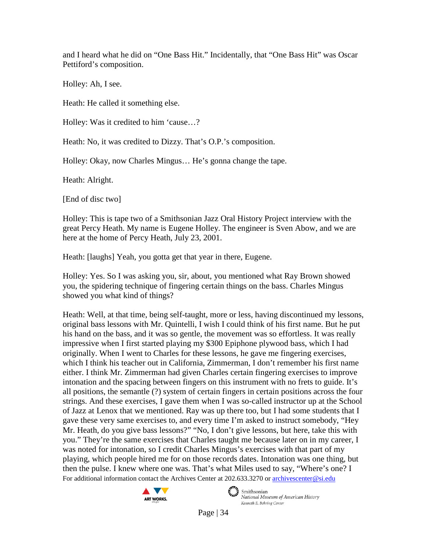and I heard what he did on "One Bass Hit." Incidentally, that "One Bass Hit" was Oscar Pettiford's composition.

Holley: Ah, I see.

Heath: He called it something else.

Holley: Was it credited to him 'cause…?

Heath: No, it was credited to Dizzy. That's O.P.'s composition.

Holley: Okay, now Charles Mingus… He's gonna change the tape.

Heath: Alright.

[End of disc two]

Holley: This is tape two of a Smithsonian Jazz Oral History Project interview with the great Percy Heath. My name is Eugene Holley. The engineer is Sven Abow, and we are here at the home of Percy Heath, July 23, 2001.

Heath: [laughs] Yeah, you gotta get that year in there, Eugene.

Holley: Yes. So I was asking you, sir, about, you mentioned what Ray Brown showed you, the spidering technique of fingering certain things on the bass. Charles Mingus showed you what kind of things?

For additional information contact the Archives Center at 202.633.3270 o[r archivescenter@si.edu](mailto:archivescenter@si.edu) Heath: Well, at that time, being self-taught, more or less, having discontinued my lessons, original bass lessons with Mr. Quintelli, I wish I could think of his first name. But he put his hand on the bass, and it was so gentle, the movement was so effortless. It was really impressive when I first started playing my \$300 Epiphone plywood bass, which I had originally. When I went to Charles for these lessons, he gave me fingering exercises, which I think his teacher out in California, Zimmerman, I don't remember his first name either. I think Mr. Zimmerman had given Charles certain fingering exercises to improve intonation and the spacing between fingers on this instrument with no frets to guide. It's all positions, the semantle (?) system of certain fingers in certain positions across the four strings. And these exercises, I gave them when I was so-called instructor up at the School of Jazz at Lenox that we mentioned. Ray was up there too, but I had some students that I gave these very same exercises to, and every time I'm asked to instruct somebody, "Hey Mr. Heath, do you give bass lessons?" "No, I don't give lessons, but here, take this with you." They're the same exercises that Charles taught me because later on in my career, I was noted for intonation, so I credit Charles Mingus's exercises with that part of my playing, which people hired me for on those records dates. Intonation was one thing, but then the pulse. I knew where one was. That's what Miles used to say, "Where's one? I



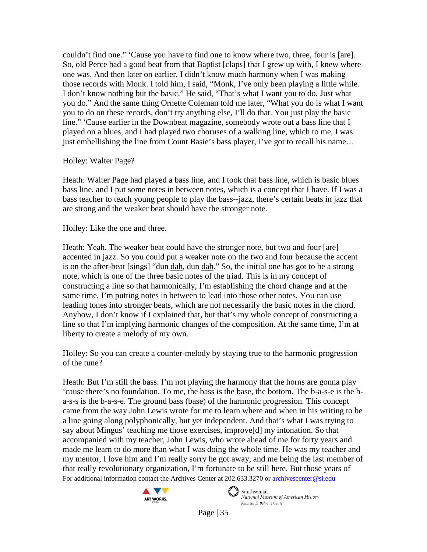couldn't find one." 'Cause you have to find one to know where two, three, four is [are]. So, old Perce had a good beat from that Baptist [claps] that I grew up with, I knew where one was. And then later on earlier, I didn't know much harmony when I was making those records with Monk. I told him, I said, "Monk, I've only been playing a little while. I don't know nothing but the basic." He said, "That's what I want you to do. Just what you do." And the same thing Ornette Coleman told me later, "What you do is what I want you to do on these records, don't try anything else, I'll do that. You just play the basic line." 'Cause earlier in the Downbeat magazine, somebody wrote out a bass line that I played on a blues, and I had played two choruses of a walking line, which to me, I was just embellishing the line from Count Basie's bass player, I've got to recall his name...

Holley: Walter Page?

Heath: Walter Page had played a bass line, and I took that bass line, which is basic blues bass line, and I put some notes in between notes, which is a concept that I have. If I was a bass teacher to teach young people to play the bass--jazz, there's certain beats in jazz that are strong and the weaker beat should have the stronger note.

Holley: Like the one and three.

Heath: Yeah. The weaker beat could have the stronger note, but two and four [are] accented in jazz. So you could put a weaker note on the two and four because the accent is on the after-beat [sings] "dun dah, dun dah." So, the initial one has got to be a strong note, which is one of the three basic notes of the triad. This is in my concept of constructing a line so that harmonically, I'm establishing the chord change and at the same time, I'm putting notes in between to lead into those other notes. You can use leading tones into stronger beats, which are not necessarily the basic notes in the chord. Anyhow, I don't know if I explained that, but that's my whole concept of constructing a line so that I'm implying harmonic changes of the composition. At the same time, I'm at liberty to create a melody of my own.

Holley: So you can create a counter-melody by staying true to the harmonic progression of the tune?

For additional information contact the Archives Center at 202.633.3270 o[r archivescenter@si.edu](mailto:archivescenter@si.edu) Heath: But I'm still the bass. I'm not playing the harmony that the horns are gonna play 'cause there's no foundation. To me, the bass is the base, the bottom. The b-a-s-e is the ba-s-s is the b-a-s-e. The ground bass (base) of the harmonic progression. This concept came from the way John Lewis wrote for me to learn where and when in his writing to be a line going along polyphonically, but yet independent. And that's what I was trying to say about Mingus' teaching me those exercises, improve[d] my intonation. So that accompanied with my teacher, John Lewis, who wrote ahead of me for forty years and made me learn to do more than what I was doing the whole time. He was my teacher and my mentor, I love him and I'm really sorry he got away, and me being the last member of that really revolutionary organization, I'm fortunate to be still here. But those years of



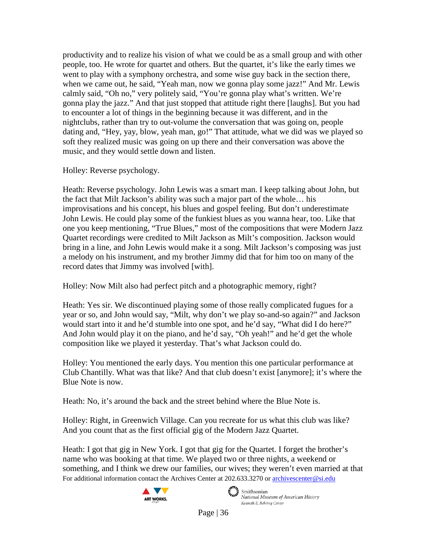productivity and to realize his vision of what we could be as a small group and with other people, too. He wrote for quartet and others. But the quartet, it's like the early times we went to play with a symphony orchestra, and some wise guy back in the section there, when we came out, he said, "Yeah man, now we gonna play some jazz!" And Mr. Lewis calmly said, "Oh no," very politely said, "You're gonna play what's written. We're gonna play the jazz." And that just stopped that attitude right there [laughs]. But you had to encounter a lot of things in the beginning because it was different, and in the nightclubs, rather than try to out-volume the conversation that was going on, people dating and, "Hey, yay, blow, yeah man, go!" That attitude, what we did was we played so soft they realized music was going on up there and their conversation was above the music, and they would settle down and listen.

Holley: Reverse psychology.

Heath: Reverse psychology. John Lewis was a smart man. I keep talking about John, but the fact that Milt Jackson's ability was such a major part of the whole… his improvisations and his concept, his blues and gospel feeling. But don't underestimate John Lewis. He could play some of the funkiest blues as you wanna hear, too. Like that one you keep mentioning, "True Blues," most of the compositions that were Modern Jazz Quartet recordings were credited to Milt Jackson as Milt's composition. Jackson would bring in a line, and John Lewis would make it a song. Milt Jackson's composing was just a melody on his instrument, and my brother Jimmy did that for him too on many of the record dates that Jimmy was involved [with].

Holley: Now Milt also had perfect pitch and a photographic memory, right?

Heath: Yes sir. We discontinued playing some of those really complicated fugues for a year or so, and John would say, "Milt, why don't we play so-and-so again?" and Jackson would start into it and he'd stumble into one spot, and he'd say, "What did I do here?" And John would play it on the piano, and he'd say, "Oh yeah!" and he'd get the whole composition like we played it yesterday. That's what Jackson could do.

Holley: You mentioned the early days. You mention this one particular performance at Club Chantilly. What was that like? And that club doesn't exist [anymore]; it's where the Blue Note is now.

Heath: No, it's around the back and the street behind where the Blue Note is.

Holley: Right, in Greenwich Village. Can you recreate for us what this club was like? And you count that as the first official gig of the Modern Jazz Quartet.

For additional information contact the Archives Center at 202.633.3270 o[r archivescenter@si.edu](mailto:archivescenter@si.edu) Heath: I got that gig in New York. I got that gig for the Quartet. I forget the brother's name who was booking at that time. We played two or three nights, a weekend or something, and I think we drew our families, our wives; they weren't even married at that





 $\epsilon$   $\rightarrow$  Smithsonian National Museum of American History Kenneth E. Behring Center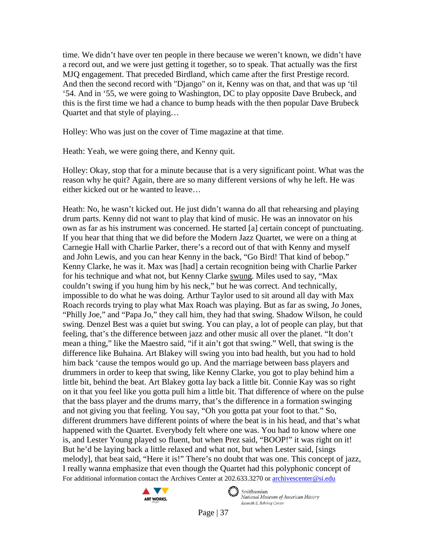time. We didn't have over ten people in there because we weren't known, we didn't have a record out, and we were just getting it together, so to speak. That actually was the first MJQ engagement. That preceded Birdland, which came after the first Prestige record. And then the second record with "Django" on it, Kenny was on that, and that was up 'til '54. And in '55, we were going to Washington, DC to play opposite Dave Brubeck, and this is the first time we had a chance to bump heads with the then popular Dave Brubeck Quartet and that style of playing…

Holley: Who was just on the cover of Time magazine at that time.

Heath: Yeah, we were going there, and Kenny quit.

Holley: Okay, stop that for a minute because that is a very significant point. What was the reason why he quit? Again, there are so many different versions of why he left. He was either kicked out or he wanted to leave…

For additional information contact the Archives Center at 202.633.3270 o[r archivescenter@si.edu](mailto:archivescenter@si.edu) Heath: No, he wasn't kicked out. He just didn't wanna do all that rehearsing and playing drum parts. Kenny did not want to play that kind of music. He was an innovator on his own as far as his instrument was concerned. He started [a] certain concept of punctuating. If you hear that thing that we did before the Modern Jazz Quartet, we were on a thing at Carnegie Hall with Charlie Parker, there's a record out of that with Kenny and myself and John Lewis, and you can hear Kenny in the back, "Go Bird! That kind of bebop." Kenny Clarke, he was it. Max was [had] a certain recognition being with Charlie Parker for his technique and what not, but Kenny Clarke swung. Miles used to say, "Max couldn't swing if you hung him by his neck," but he was correct. And technically, impossible to do what he was doing. Arthur Taylor used to sit around all day with Max Roach records trying to play what Max Roach was playing. But as far as swing, Jo Jones, "Philly Joe," and "Papa Jo," they call him, they had that swing. Shadow Wilson, he could swing. Denzel Best was a quiet but swing. You can play, a lot of people can play, but that feeling, that's the difference between jazz and other music all over the planet. "It don't mean a thing," like the Maestro said, "if it ain't got that swing." Well, that swing is the difference like Buhaina. Art Blakey will swing you into bad health, but you had to hold him back 'cause the tempos would go up. And the marriage between bass players and drummers in order to keep that swing, like Kenny Clarke, you got to play behind him a little bit, behind the beat. Art Blakey gotta lay back a little bit. Connie Kay was so right on it that you feel like you gotta pull him a little bit. That difference of where on the pulse that the bass player and the drums marry, that's the difference in a formation swinging and not giving you that feeling. You say, "Oh you gotta pat your foot to that." So, different drummers have different points of where the beat is in his head, and that's what happened with the Quartet. Everybody felt where one was. You had to know where one is, and Lester Young played so fluent, but when Prez said, "BOOP!" it was right on it! But he'd be laying back a little relaxed and what not, but when Lester said, [sings melody], that beat said, "Here it is!" There's no doubt that was one. This concept of jazz, I really wanna emphasize that even though the Quartet had this polyphonic concept of



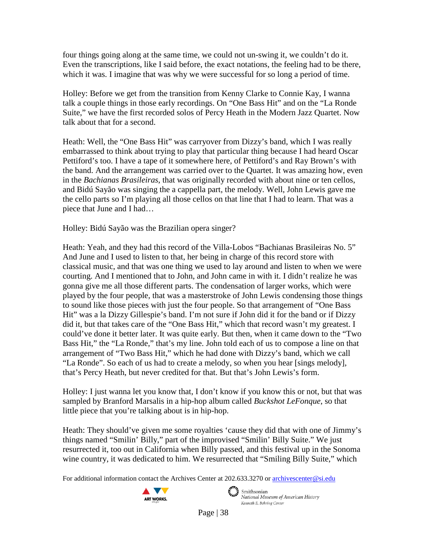four things going along at the same time, we could not un-swing it, we couldn't do it. Even the transcriptions, like I said before, the exact notations, the feeling had to be there, which it was. I imagine that was why we were successful for so long a period of time.

Holley: Before we get from the transition from Kenny Clarke to Connie Kay, I wanna talk a couple things in those early recordings. On "One Bass Hit" and on the "La Ronde Suite," we have the first recorded solos of Percy Heath in the Modern Jazz Quartet. Now talk about that for a second.

Heath: Well, the "One Bass Hit" was carryover from Dizzy's band, which I was really embarrassed to think about trying to play that particular thing because I had heard Oscar Pettiford's too. I have a tape of it somewhere here, of Pettiford's and Ray Brown's with the band. And the arrangement was carried over to the Quartet. It was amazing how, even in the *Bachianas Brasileiras*, that was originally recorded with about nine or ten cellos, and Bidú Sayão was singing the a cappella part, the melody. Well, John Lewis gave me the cello parts so I'm playing all those cellos on that line that I had to learn. That was a piece that June and I had…

Holley: Bidú Sayão was the Brazilian opera singer?

Heath: Yeah, and they had this record of the Villa-Lobos "Bachianas Brasileiras No. 5" And June and I used to listen to that, her being in charge of this record store with classical music, and that was one thing we used to lay around and listen to when we were courting. And I mentioned that to John, and John came in with it. I didn't realize he was gonna give me all those different parts. The condensation of larger works, which were played by the four people, that was a masterstroke of John Lewis condensing those things to sound like those pieces with just the four people. So that arrangement of "One Bass Hit" was a la Dizzy Gillespie's band. I'm not sure if John did it for the band or if Dizzy did it, but that takes care of the "One Bass Hit," which that record wasn't my greatest. I could've done it better later. It was quite early. But then, when it came down to the "Two Bass Hit," the "La Ronde," that's my line. John told each of us to compose a line on that arrangement of "Two Bass Hit," which he had done with Dizzy's band, which we call "La Ronde". So each of us had to create a melody, so when you hear [sings melody], that's Percy Heath, but never credited for that. But that's John Lewis's form.

Holley: I just wanna let you know that, I don't know if you know this or not, but that was sampled by Branford Marsalis in a hip-hop album called *Buckshot LeFonque*, so that little piece that you're talking about is in hip-hop.

Heath: They should've given me some royalties 'cause they did that with one of Jimmy's things named "Smilin' Billy," part of the improvised "Smilin' Billy Suite." We just resurrected it, too out in California when Billy passed, and this festival up in the Sonoma wine country, it was dedicated to him. We resurrected that "Smiling Billy Suite," which

For additional information contact the Archives Center at 202.633.3270 o[r archivescenter@si.edu](mailto:archivescenter@si.edu)

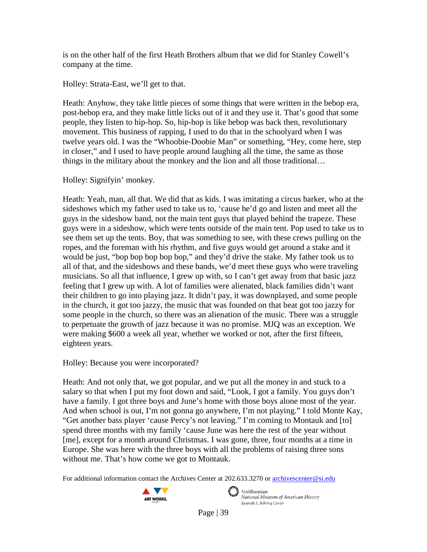is on the other half of the first Heath Brothers album that we did for Stanley Cowell's company at the time.

Holley: Strata-East, we'll get to that.

Heath: Anyhow, they take little pieces of some things that were written in the bebop era, post-bebop era, and they make little licks out of it and they use it. That's good that some people, they listen to hip-hop. So, hip-hop is like bebop was back then, revolutionary movement. This business of rapping, I used to do that in the schoolyard when I was twelve years old. I was the "Whoobie-Doobie Man" or something, "Hey, come here, step in closer," and I used to have people around laughing all the time, the same as those things in the military about the monkey and the lion and all those traditional…

Holley: Signifyin' monkey.

Heath: Yeah, man, all that. We did that as kids. I was imitating a circus barker, who at the sideshows which my father used to take us to, 'cause he'd go and listen and meet all the guys in the sideshow band, not the main tent guys that played behind the trapeze. These guys were in a sideshow, which were tents outside of the main tent. Pop used to take us to see them set up the tents. Boy, that was something to see, with these crews pulling on the ropes, and the foreman with his rhythm, and five guys would get around a stake and it would be just, "bop bop bop bop bop," and they'd drive the stake. My father took us to all of that, and the sideshows and these bands, we'd meet these guys who were traveling musicians. So all that influence, I grew up with, so I can't get away from that basic jazz feeling that I grew up with. A lot of families were alienated, black families didn't want their children to go into playing jazz. It didn't pay, it was downplayed, and some people in the church, it got too jazzy, the music that was founded on that beat got too jazzy for some people in the church, so there was an alienation of the music. There was a struggle to perpetuate the growth of jazz because it was no promise. MJQ was an exception. We were making \$600 a week all year, whether we worked or not, after the first fifteen, eighteen years.

Holley: Because you were incorporated?

Heath: And not only that, we got popular, and we put all the money in and stuck to a salary so that when I put my foot down and said, "Look, I got a family. You guys don't have a family. I got three boys and June's home with those boys alone most of the year. And when school is out, I'm not gonna go anywhere, I'm not playing." I told Monte Kay, "Get another bass player 'cause Percy's not leaving." I'm coming to Montauk and [to] spend three months with my family 'cause June was here the rest of the year without [me], except for a month around Christmas. I was gone, three, four months at a time in Europe. She was here with the three boys with all the problems of raising three sons without me. That's how come we got to Montauk.

For additional information contact the Archives Center at 202.633.3270 o[r archivescenter@si.edu](mailto:archivescenter@si.edu)

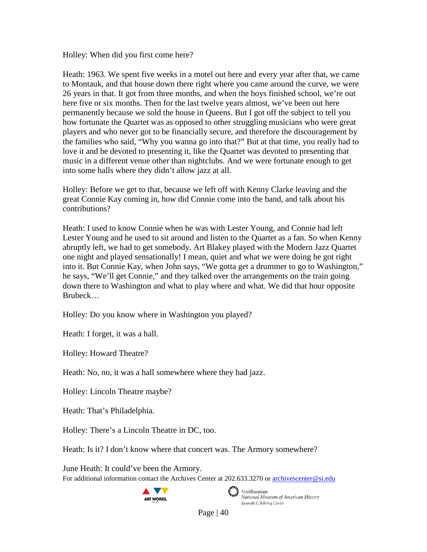Holley: When did you first come here?

Heath: 1963. We spent five weeks in a motel out here and every year after that, we came to Montauk, and that house down there right where you came around the curve, we were 26 years in that. It got from three months, and when the boys finished school, we're out here five or six months. Then for the last twelve years almost, we've been out here permanently because we sold the house in Queens. But I got off the subject to tell you how fortunate the Quartet was as opposed to other struggling musicians who were great players and who never got to be financially secure, and therefore the discouragement by the families who said, "Why you wanna go into that?" But at that time, you really had to love it and be devoted to presenting it, like the Quartet was devoted to presenting that music in a different venue other than nightclubs. And we were fortunate enough to get into some halls where they didn't allow jazz at all.

Holley: Before we get to that, because we left off with Kenny Clarke leaving and the great Connie Kay coming in, how did Connie come into the band, and talk about his contributions?

Heath: I used to know Connie when he was with Lester Young, and Connie had left Lester Young and he used to sit around and listen to the Quartet as a fan. So when Kenny abruptly left, we had to get somebody. Art Blakey played with the Modern Jazz Quartet one night and played sensationally! I mean, quiet and what we were doing he got right into it. But Connie Kay, when John says, "We gotta get a drummer to go to Washington," he says, "We'll get Connie," and they talked over the arrangements on the train going down there to Washington and what to play where and what. We did that hour opposite Brubeck…

Holley: Do you know where in Washington you played?

Heath: I forget, it was a hall.

Holley: Howard Theatre?

Heath: No, no, it was a hall somewhere where they had jazz.

Holley: Lincoln Theatre maybe?

Heath: That's Philadelphia.

Holley: There's a Lincoln Theatre in DC, too.

Heath: Is it? I don't know where that concert was. The Armory somewhere?

For additional information contact the Archives Center at 202.633.3270 o[r archivescenter@si.edu](mailto:archivescenter@si.edu) June Heath: It could've been the Armory.





Smithsonian<br>National Museum of American History Kenneth E. Behring Center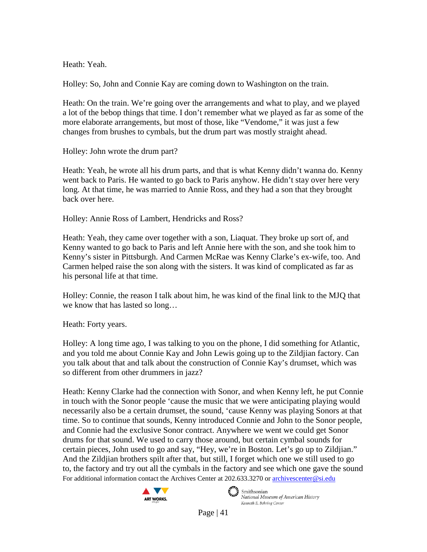Heath: Yeah.

Holley: So, John and Connie Kay are coming down to Washington on the train.

Heath: On the train. We're going over the arrangements and what to play, and we played a lot of the bebop things that time. I don't remember what we played as far as some of the more elaborate arrangements, but most of those, like "Vendome," it was just a few changes from brushes to cymbals, but the drum part was mostly straight ahead.

Holley: John wrote the drum part?

Heath: Yeah, he wrote all his drum parts, and that is what Kenny didn't wanna do. Kenny went back to Paris. He wanted to go back to Paris anyhow. He didn't stay over here very long. At that time, he was married to Annie Ross, and they had a son that they brought back over here.

Holley: Annie Ross of Lambert, Hendricks and Ross?

Heath: Yeah, they came over together with a son, Liaquat. They broke up sort of, and Kenny wanted to go back to Paris and left Annie here with the son, and she took him to Kenny's sister in Pittsburgh. And Carmen McRae was Kenny Clarke's ex-wife, too. And Carmen helped raise the son along with the sisters. It was kind of complicated as far as his personal life at that time.

Holley: Connie, the reason I talk about him, he was kind of the final link to the MJQ that we know that has lasted so long…

Heath: Forty years.

Holley: A long time ago, I was talking to you on the phone, I did something for Atlantic, and you told me about Connie Kay and John Lewis going up to the Zildjian factory. Can you talk about that and talk about the construction of Connie Kay's drumset, which was so different from other drummers in jazz?

For additional information contact the Archives Center at 202.633.3270 o[r archivescenter@si.edu](mailto:archivescenter@si.edu) Heath: Kenny Clarke had the connection with Sonor, and when Kenny left, he put Connie in touch with the Sonor people 'cause the music that we were anticipating playing would necessarily also be a certain drumset, the sound, 'cause Kenny was playing Sonors at that time. So to continue that sounds, Kenny introduced Connie and John to the Sonor people, and Connie had the exclusive Sonor contract. Anywhere we went we could get Sonor drums for that sound. We used to carry those around, but certain cymbal sounds for certain pieces, John used to go and say, "Hey, we're in Boston. Let's go up to Zildjian." And the Zildjian brothers spilt after that, but still, I forget which one we still used to go to, the factory and try out all the cymbals in the factory and see which one gave the sound



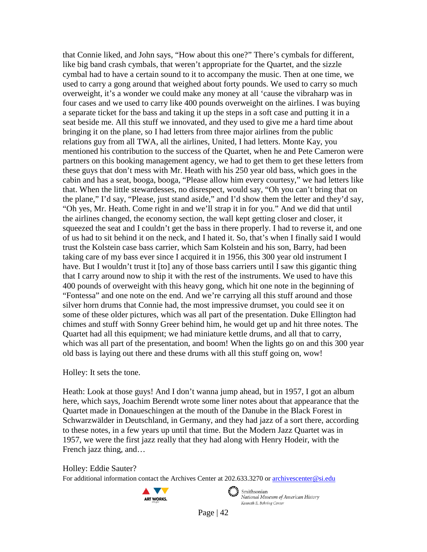that Connie liked, and John says, "How about this one?" There's cymbals for different, like big band crash cymbals, that weren't appropriate for the Quartet, and the sizzle cymbal had to have a certain sound to it to accompany the music. Then at one time, we used to carry a gong around that weighed about forty pounds. We used to carry so much overweight, it's a wonder we could make any money at all 'cause the vibraharp was in four cases and we used to carry like 400 pounds overweight on the airlines. I was buying a separate ticket for the bass and taking it up the steps in a soft case and putting it in a seat beside me. All this stuff we innovated, and they used to give me a hard time about bringing it on the plane, so I had letters from three major airlines from the public relations guy from all TWA, all the airlines, United, I had letters. Monte Kay, you mentioned his contribution to the success of the Quartet, when he and Pete Cameron were partners on this booking management agency, we had to get them to get these letters from these guys that don't mess with Mr. Heath with his 250 year old bass, which goes in the cabin and has a seat, booga, booga, "Please allow him every courtesy," we had letters like that. When the little stewardesses, no disrespect, would say, "Oh you can't bring that on the plane," I'd say, "Please, just stand aside," and I'd show them the letter and they'd say, "Oh yes, Mr. Heath. Come right in and we'll strap it in for you." And we did that until the airlines changed, the economy section, the wall kept getting closer and closer, it squeezed the seat and I couldn't get the bass in there properly. I had to reverse it, and one of us had to sit behind it on the neck, and I hated it. So, that's when I finally said I would trust the Kolstein case bass carrier, which Sam Kolstein and his son, Barry, had been taking care of my bass ever since I acquired it in 1956, this 300 year old instrument I have. But I wouldn't trust it [to] any of those bass carriers until I saw this gigantic thing that I carry around now to ship it with the rest of the instruments. We used to have this 400 pounds of overweight with this heavy gong, which hit one note in the beginning of "Fontessa" and one note on the end. And we're carrying all this stuff around and those silver horn drums that Connie had, the most impressive drumset, you could see it on some of these older pictures, which was all part of the presentation. Duke Ellington had chimes and stuff with Sonny Greer behind him, he would get up and hit three notes. The Quartet had all this equipment; we had miniature kettle drums, and all that to carry, which was all part of the presentation, and boom! When the lights go on and this 300 year old bass is laying out there and these drums with all this stuff going on, wow!

### Holley: It sets the tone.

Heath: Look at those guys! And I don't wanna jump ahead, but in 1957, I got an album here, which says, Joachim Berendt wrote some liner notes about that appearance that the Quartet made in Donaueschingen at the mouth of the Danube in the Black Forest in Schwarzwälder in Deutschland, in Germany, and they had jazz of a sort there, according to these notes, in a few years up until that time. But the Modern Jazz Quartet was in 1957, we were the first jazz really that they had along with Henry Hodeir, with the French jazz thing, and…

Holley: Eddie Sauter?

For additional information contact the Archives Center at 202.633.3270 o[r archivescenter@si.edu](mailto:archivescenter@si.edu)



 $\epsilon$   $\rightarrow$  Smithsonian

National Museum of American History Kenneth E. Behring Center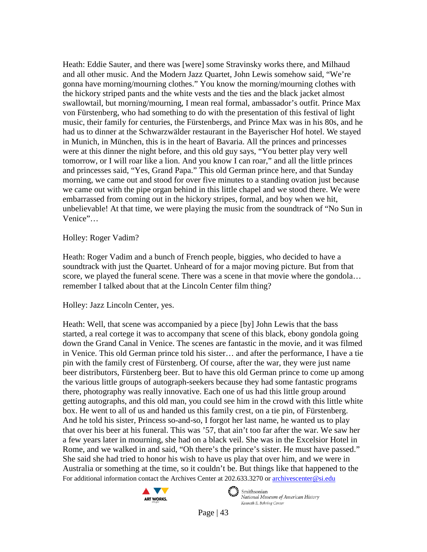Heath: Eddie Sauter, and there was [were] some Stravinsky works there, and Milhaud and all other music. And the Modern Jazz Quartet, John Lewis somehow said, "We're gonna have morning/mourning clothes." You know the morning/mourning clothes with the hickory striped pants and the white vests and the ties and the black jacket almost swallowtail, but morning/mourning, I mean real formal, ambassador's outfit. Prince Max von Fürstenberg, who had something to do with the presentation of this festival of light music, their family for centuries, the Fürstenbergs, and Prince Max was in his 80s, and he had us to dinner at the Schwarzwälder restaurant in the Bayerischer Hof hotel. We stayed in Munich, in München, this is in the heart of Bavaria. All the princes and princesses were at this dinner the night before, and this old guy says, "You better play very well tomorrow, or I will roar like a lion. And you know I can roar," and all the little princes and princesses said, "Yes, Grand Papa." This old German prince here, and that Sunday morning, we came out and stood for over five minutes to a standing ovation just because we came out with the pipe organ behind in this little chapel and we stood there. We were embarrassed from coming out in the hickory stripes, formal, and boy when we hit, unbelievable! At that time, we were playing the music from the soundtrack of "No Sun in Venice"…

## Holley: Roger Vadim?

Heath: Roger Vadim and a bunch of French people, biggies, who decided to have a soundtrack with just the Quartet. Unheard of for a major moving picture. But from that score, we played the funeral scene. There was a scene in that movie where the gondola... remember I talked about that at the Lincoln Center film thing?

# Holley: Jazz Lincoln Center, yes.

For additional information contact the Archives Center at 202.633.3270 o[r archivescenter@si.edu](mailto:archivescenter@si.edu) Heath: Well, that scene was accompanied by a piece [by] John Lewis that the bass started, a real cortege it was to accompany that scene of this black, ebony gondola going down the Grand Canal in Venice. The scenes are fantastic in the movie, and it was filmed in Venice. This old German prince told his sister… and after the performance, I have a tie pin with the family crest of Fürstenberg. Of course, after the war, they were just name beer distributors, Fürstenberg beer. But to have this old German prince to come up among the various little groups of autograph-seekers because they had some fantastic programs there, photography was really innovative. Each one of us had this little group around getting autographs, and this old man, you could see him in the crowd with this little white box. He went to all of us and handed us this family crest, on a tie pin, of Fürstenberg. And he told his sister, Princess so-and-so, I forgot her last name, he wanted us to play that over his beer at his funeral. This was '57, that ain't too far after the war. We saw her a few years later in mourning, she had on a black veil. She was in the Excelsior Hotel in Rome, and we walked in and said, "Oh there's the prince's sister. He must have passed." She said she had tried to honor his wish to have us play that over him, and we were in Australia or something at the time, so it couldn't be. But things like that happened to the



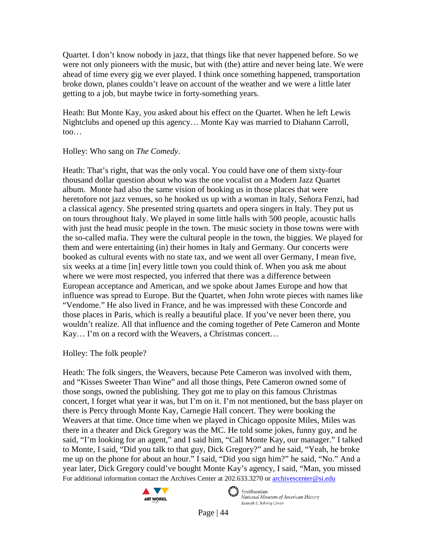Quartet. I don't know nobody in jazz, that things like that never happened before. So we were not only pioneers with the music, but with (the) attire and never being late. We were ahead of time every gig we ever played. I think once something happened, transportation broke down, planes couldn't leave on account of the weather and we were a little later getting to a job, but maybe twice in forty-something years.

Heath: But Monte Kay, you asked about his effect on the Quartet. When he left Lewis Nightclubs and opened up this agency… Monte Kay was married to Diahann Carroll, too…

Holley: Who sang on *The Comedy*.

Heath: That's right, that was the only vocal. You could have one of them sixty-four thousand dollar question about who was the one vocalist on a Modern Jazz Quartet album. Monte had also the same vision of booking us in those places that were heretofore not jazz venues, so he hooked us up with a woman in Italy, Señora Fenzi, had a classical agency. She presented string quartets and opera singers in Italy. They put us on tours throughout Italy. We played in some little halls with 500 people, acoustic halls with just the head music people in the town. The music society in those towns were with the so-called mafia. They were the cultural people in the town, the biggies. We played for them and were entertaining (in) their homes in Italy and Germany. Our concerts were booked as cultural events with no state tax, and we went all over Germany, I mean five, six weeks at a time [in] every little town you could think of. When you ask me about where we were most respected, you inferred that there was a difference between European acceptance and American, and we spoke about James Europe and how that influence was spread to Europe. But the Quartet, when John wrote pieces with names like "Vendome." He also lived in France, and he was impressed with these Concorde and those places in Paris, which is really a beautiful place. If you've never been there, you wouldn't realize. All that influence and the coming together of Pete Cameron and Monte Kay… I'm on a record with the Weavers, a Christmas concert…

Holley: The folk people?

For additional information contact the Archives Center at 202.633.3270 o[r archivescenter@si.edu](mailto:archivescenter@si.edu) Heath: The folk singers, the Weavers, because Pete Cameron was involved with them, and "Kisses Sweeter Than Wine" and all those things, Pete Cameron owned some of those songs, owned the publishing. They got me to play on this famous Christmas concert, I forget what year it was, but I'm on it. I'm not mentioned, but the bass player on there is Percy through Monte Kay, Carnegie Hall concert. They were booking the Weavers at that time. Once time when we played in Chicago opposite Miles, Miles was there in a theater and Dick Gregory was the MC. He told some jokes, funny guy, and he said, "I'm looking for an agent," and I said him, "Call Monte Kay, our manager." I talked to Monte, I said, "Did you talk to that guy, Dick Gregory?" and he said, "Yeah, he broke me up on the phone for about an hour." I said, "Did you sign him?" he said, "No." And a year later, Dick Gregory could've bought Monte Kay's agency, I said, "Man, you missed



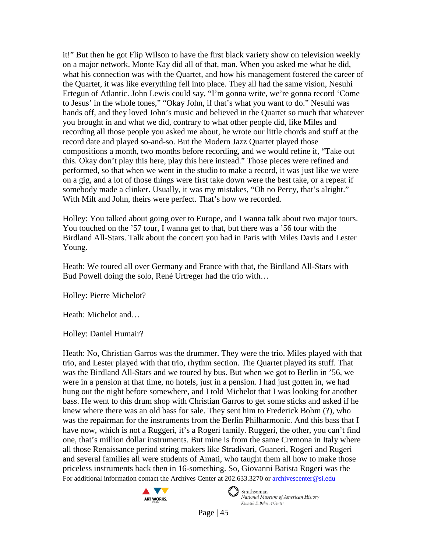it!" But then he got Flip Wilson to have the first black variety show on television weekly on a major network. Monte Kay did all of that, man. When you asked me what he did, what his connection was with the Quartet, and how his management fostered the career of the Quartet, it was like everything fell into place. They all had the same vision, Nesuhi Ertegun of Atlantic. John Lewis could say, "I'm gonna write, we're gonna record 'Come to Jesus' in the whole tones," "Okay John, if that's what you want to do." Nesuhi was hands off, and they loved John's music and believed in the Quartet so much that whatever you brought in and what we did, contrary to what other people did, like Miles and recording all those people you asked me about, he wrote our little chords and stuff at the record date and played so-and-so. But the Modern Jazz Quartet played those compositions a month, two months before recording, and we would refine it, "Take out this. Okay don't play this here, play this here instead." Those pieces were refined and performed, so that when we went in the studio to make a record, it was just like we were on a gig, and a lot of those things were first take down were the best take, or a repeat if somebody made a clinker. Usually, it was my mistakes, "Oh no Percy, that's alright." With Milt and John, theirs were perfect. That's how we recorded.

Holley: You talked about going over to Europe, and I wanna talk about two major tours. You touched on the '57 tour, I wanna get to that, but there was a '56 tour with the Birdland All-Stars. Talk about the concert you had in Paris with Miles Davis and Lester Young.

Heath: We toured all over Germany and France with that, the Birdland All-Stars with Bud Powell doing the solo, René Urtreger had the trio with…

Holley: Pierre Michelot?

Heath: Michelot and…

Holley: Daniel Humair?

For additional information contact the Archives Center at 202.633.3270 o[r archivescenter@si.edu](mailto:archivescenter@si.edu) Heath: No, Christian Garros was the drummer. They were the trio. Miles played with that trio, and Lester played with that trio, rhythm section. The Quartet played its stuff. That was the Birdland All-Stars and we toured by bus. But when we got to Berlin in '56, we were in a pension at that time, no hotels, just in a pension. I had just gotten in, we had hung out the night before somewhere, and I told Michelot that I was looking for another bass. He went to this drum shop with Christian Garros to get some sticks and asked if he knew where there was an old bass for sale. They sent him to Frederick Bohm (?), who was the repairman for the instruments from the Berlin Philharmonic. And this bass that I have now, which is not a Ruggeri, it's a Rogeri family. Ruggeri, the other, you can't find one, that's million dollar instruments. But mine is from the same Cremona in Italy where all those Renaissance period string makers like Stradivari, Guaneri, Rogeri and Rugeri and several families all were students of Amati, who taught them all how to make those priceless instruments back then in 16-something. So, Giovanni Batista Rogeri was the



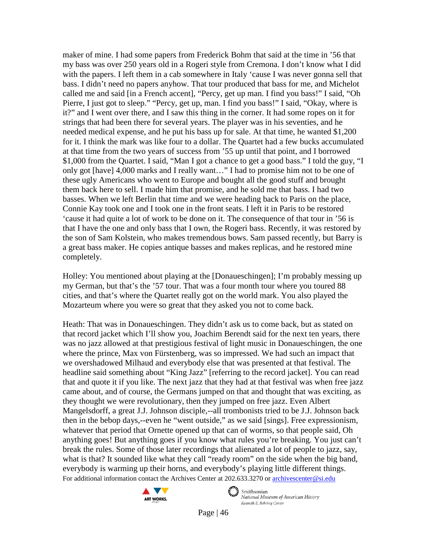maker of mine. I had some papers from Frederick Bohm that said at the time in '56 that my bass was over 250 years old in a Rogeri style from Cremona. I don't know what I did with the papers. I left them in a cab somewhere in Italy 'cause I was never gonna sell that bass. I didn't need no papers anyhow. That tour produced that bass for me, and Michelot called me and said [in a French accent], "Percy, get up man. I find you bass!" I said, "Oh Pierre, I just got to sleep." "Percy, get up, man. I find you bass!" I said, "Okay, where is it?" and I went over there, and I saw this thing in the corner. It had some ropes on it for strings that had been there for several years. The player was in his seventies, and he needed medical expense, and he put his bass up for sale. At that time, he wanted \$1,200 for it. I think the mark was like four to a dollar. The Quartet had a few bucks accumulated at that time from the two years of success from '55 up until that point, and I borrowed \$1,000 from the Quartet. I said, "Man I got a chance to get a good bass." I told the guy, "I only got [have] 4,000 marks and I really want…" I had to promise him not to be one of these ugly Americans who went to Europe and bought all the good stuff and brought them back here to sell. I made him that promise, and he sold me that bass. I had two basses. When we left Berlin that time and we were heading back to Paris on the place, Connie Kay took one and I took one in the front seats. I left it in Paris to be restored 'cause it had quite a lot of work to be done on it. The consequence of that tour in '56 is that I have the one and only bass that I own, the Rogeri bass. Recently, it was restored by the son of Sam Kolstein, who makes tremendous bows. Sam passed recently, but Barry is a great bass maker. He copies antique basses and makes replicas, and he restored mine completely.

Holley: You mentioned about playing at the [Donaueschingen]; I'm probably messing up my German, but that's the '57 tour. That was a four month tour where you toured 88 cities, and that's where the Quartet really got on the world mark. You also played the Mozarteum where you were so great that they asked you not to come back.

For additional information contact the Archives Center at 202.633.3270 o[r archivescenter@si.edu](mailto:archivescenter@si.edu) Heath: That was in Donaueschingen. They didn't ask us to come back, but as stated on that record jacket which I'll show you, Joachim Berendt said for the next ten years, there was no jazz allowed at that prestigious festival of light music in Donaueschingen, the one where the prince, Max von Fürstenberg, was so impressed. We had such an impact that we overshadowed Milhaud and everybody else that was presented at that festival. The headline said something about "King Jazz" [referring to the record jacket]. You can read that and quote it if you like. The next jazz that they had at that festival was when free jazz came about, and of course, the Germans jumped on that and thought that was exciting, as they thought we were revolutionary, then they jumped on free jazz. Even Albert Mangelsdorff, a great J.J. Johnson disciple,--all trombonists tried to be J.J. Johnson back then in the bebop days,--even he "went outside," as we said [sings]. Free expressionism, whatever that period that Ornette opened up that can of worms, so that people said, Oh anything goes! But anything goes if you know what rules you're breaking. You just can't break the rules. Some of those later recordings that alienated a lot of people to jazz, say, what is that? It sounded like what they call "ready room" on the side when the big band, everybody is warming up their horns, and everybody's playing little different things.





Smithsonian National Museum of American History Kenneth E. Behring Center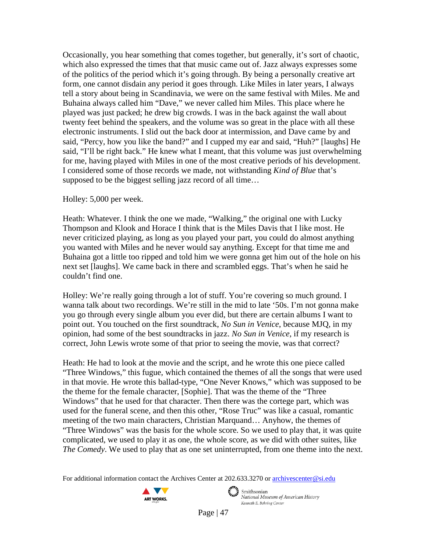Occasionally, you hear something that comes together, but generally, it's sort of chaotic, which also expressed the times that that music came out of. Jazz always expresses some of the politics of the period which it's going through. By being a personally creative art form, one cannot disdain any period it goes through. Like Miles in later years, I always tell a story about being in Scandinavia, we were on the same festival with Miles. Me and Buhaina always called him "Dave," we never called him Miles. This place where he played was just packed; he drew big crowds. I was in the back against the wall about twenty feet behind the speakers, and the volume was so great in the place with all these electronic instruments. I slid out the back door at intermission, and Dave came by and said, "Percy, how you like the band?" and I cupped my ear and said, "Huh?" [laughs] He said, "I'll be right back." He knew what I meant, that this volume was just overwhelming for me, having played with Miles in one of the most creative periods of his development. I considered some of those records we made, not withstanding *Kind of Blue* that's supposed to be the biggest selling jazz record of all time…

#### Holley: 5,000 per week.

Heath: Whatever. I think the one we made, "Walking," the original one with Lucky Thompson and Klook and Horace I think that is the Miles Davis that I like most. He never criticized playing, as long as you played your part, you could do almost anything you wanted with Miles and he never would say anything. Except for that time me and Buhaina got a little too ripped and told him we were gonna get him out of the hole on his next set [laughs]. We came back in there and scrambled eggs. That's when he said he couldn't find one.

Holley: We're really going through a lot of stuff. You're covering so much ground. I wanna talk about two recordings. We're still in the mid to late '50s. I'm not gonna make you go through every single album you ever did, but there are certain albums I want to point out. You touched on the first soundtrack, *No Sun in Venice*, because MJQ, in my opinion, had some of the best soundtracks in jazz. *No Sun in Venice*, if my research is correct, John Lewis wrote some of that prior to seeing the movie, was that correct?

Heath: He had to look at the movie and the script, and he wrote this one piece called "Three Windows," this fugue, which contained the themes of all the songs that were used in that movie. He wrote this ballad-type, "One Never Knows," which was supposed to be the theme for the female character, [Sophie]. That was the theme of the "Three Windows" that he used for that character. Then there was the cortege part, which was used for the funeral scene, and then this other, "Rose Truc" was like a casual, romantic meeting of the two main characters, Christian Marquand… Anyhow, the themes of "Three Windows" was the basis for the whole score. So we used to play that, it was quite complicated, we used to play it as one, the whole score, as we did with other suites, like *The Comedy*. We used to play that as one set uninterrupted, from one theme into the next.

For additional information contact the Archives Center at 202.633.3270 o[r archivescenter@si.edu](mailto:archivescenter@si.edu)





 $\epsilon$   $\rightarrow$  Smithsonian National Museum of American History Kenneth E. Behring Center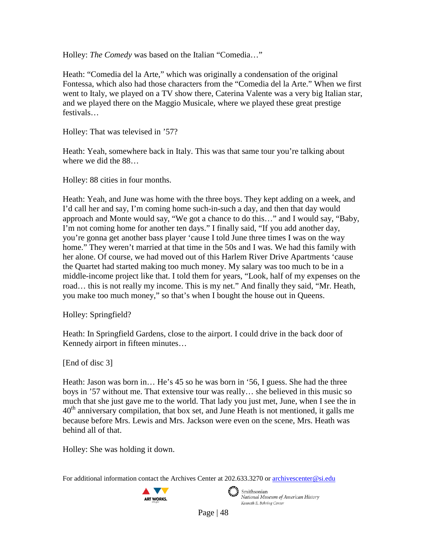Holley: *The Comedy* was based on the Italian "Comedia…"

Heath: "Comedia del la Arte," which was originally a condensation of the original Fontessa, which also had those characters from the "Comedia del la Arte." When we first went to Italy, we played on a TV show there, Caterina Valente was a very big Italian star, and we played there on the Maggio Musicale, where we played these great prestige festivals…

Holley: That was televised in '57?

Heath: Yeah, somewhere back in Italy. This was that same tour you're talking about where we did the 88…

Holley: 88 cities in four months.

Heath: Yeah, and June was home with the three boys. They kept adding on a week, and I'd call her and say, I'm coming home such-in-such a day, and then that day would approach and Monte would say, "We got a chance to do this…" and I would say, "Baby, I'm not coming home for another ten days." I finally said, "If you add another day, you're gonna get another bass player 'cause I told June three times I was on the way home." They weren't married at that time in the 50s and I was. We had this family with her alone. Of course, we had moved out of this Harlem River Drive Apartments 'cause the Quartet had started making too much money. My salary was too much to be in a middle-income project like that. I told them for years, "Look, half of my expenses on the road… this is not really my income. This is my net." And finally they said, "Mr. Heath, you make too much money," so that's when I bought the house out in Queens.

Holley: Springfield?

Heath: In Springfield Gardens, close to the airport. I could drive in the back door of Kennedy airport in fifteen minutes…

[End of disc 3]

Heath: Jason was born in… He's 45 so he was born in '56, I guess. She had the three boys in '57 without me. That extensive tour was really… she believed in this music so much that she just gave me to the world. That lady you just met, June, when I see the in  $40<sup>th</sup>$  anniversary compilation, that box set, and June Heath is not mentioned, it galls me because before Mrs. Lewis and Mrs. Jackson were even on the scene, Mrs. Heath was behind all of that.

Holley: She was holding it down.

For additional information contact the Archives Center at 202.633.3270 o[r archivescenter@si.edu](mailto:archivescenter@si.edu)





Smithsonian National Museum of American History Kenneth E. Behring Center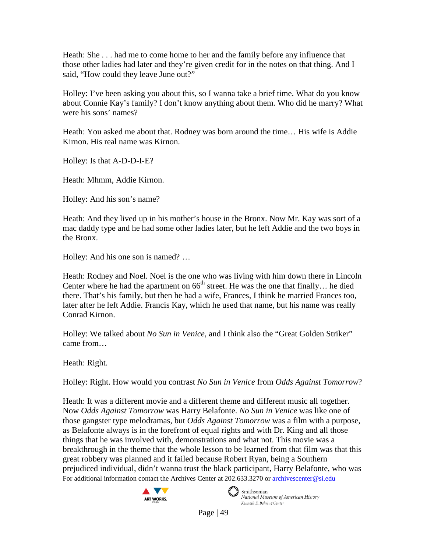Heath: She . . . had me to come home to her and the family before any influence that those other ladies had later and they're given credit for in the notes on that thing. And I said, "How could they leave June out?"

Holley: I've been asking you about this, so I wanna take a brief time. What do you know about Connie Kay's family? I don't know anything about them. Who did he marry? What were his sons' names?

Heath: You asked me about that. Rodney was born around the time… His wife is Addie Kirnon. His real name was Kirnon.

Holley: Is that A-D-D-I-E?

Heath: Mhmm, Addie Kirnon.

Holley: And his son's name?

Heath: And they lived up in his mother's house in the Bronx. Now Mr. Kay was sort of a mac daddy type and he had some other ladies later, but he left Addie and the two boys in the Bronx.

Holley: And his one son is named? …

Heath: Rodney and Noel. Noel is the one who was living with him down there in Lincoln Center where he had the apartment on  $66<sup>th</sup>$  street. He was the one that finally... he died there. That's his family, but then he had a wife, Frances, I think he married Frances too, later after he left Addie. Francis Kay, which he used that name, but his name was really Conrad Kirnon.

Holley: We talked about *No Sun in Venice*, and I think also the "Great Golden Striker" came from…

Heath: Right.

Holley: Right. How would you contrast *No Sun in Venice* from *Odds Against Tomorrow*?

For additional information contact the Archives Center at 202.633.3270 o[r archivescenter@si.edu](mailto:archivescenter@si.edu) Heath: It was a different movie and a different theme and different music all together. Now *Odds Against Tomorrow* was Harry Belafonte. *No Sun in Venice* was like one of those gangster type melodramas, but *Odds Against Tomorrow* was a film with a purpose, as Belafonte always is in the forefront of equal rights and with Dr. King and all those things that he was involved with, demonstrations and what not. This movie was a breakthrough in the theme that the whole lesson to be learned from that film was that this great robbery was planned and it failed because Robert Ryan, being a Southern prejudiced individual, didn't wanna trust the black participant, Harry Belafonte, who was



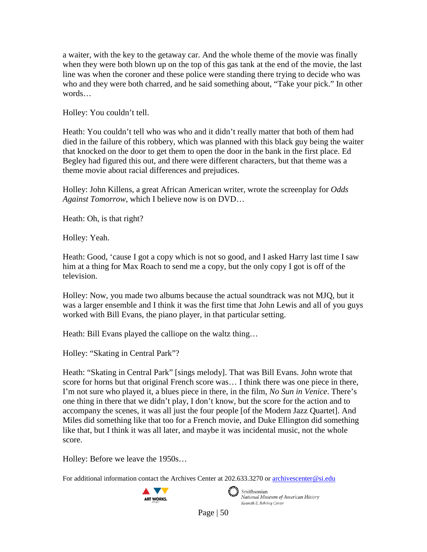a waiter, with the key to the getaway car. And the whole theme of the movie was finally when they were both blown up on the top of this gas tank at the end of the movie, the last line was when the coroner and these police were standing there trying to decide who was who and they were both charred, and he said something about, "Take your pick." In other words…

Holley: You couldn't tell.

Heath: You couldn't tell who was who and it didn't really matter that both of them had died in the failure of this robbery, which was planned with this black guy being the waiter that knocked on the door to get them to open the door in the bank in the first place. Ed Begley had figured this out, and there were different characters, but that theme was a theme movie about racial differences and prejudices.

Holley: John Killens, a great African American writer, wrote the screenplay for *Odds Against Tomorrow*, which I believe now is on DVD…

Heath: Oh, is that right?

Holley: Yeah.

Heath: Good, 'cause I got a copy which is not so good, and I asked Harry last time I saw him at a thing for Max Roach to send me a copy, but the only copy I got is off of the television.

Holley: Now, you made two albums because the actual soundtrack was not MJQ, but it was a larger ensemble and I think it was the first time that John Lewis and all of you guys worked with Bill Evans, the piano player, in that particular setting.

Heath: Bill Evans played the calliope on the waltz thing…

Holley: "Skating in Central Park"?

Heath: "Skating in Central Park" [sings melody]. That was Bill Evans. John wrote that score for horns but that original French score was… I think there was one piece in there, I'm not sure who played it, a blues piece in there, in the film, *No Sun in Venice*. There's one thing in there that we didn't play, I don't know, but the score for the action and to accompany the scenes, it was all just the four people [of the Modern Jazz Quartet]. And Miles did something like that too for a French movie, and Duke Ellington did something like that, but I think it was all later, and maybe it was incidental music, not the whole score.

Holley: Before we leave the 1950s…

For additional information contact the Archives Center at 202.633.3270 o[r archivescenter@si.edu](mailto:archivescenter@si.edu)





 $\epsilon$   $\rightarrow$  Smithsonian National Museum of American History Kenneth E. Behring Center

Page  $\vert 50 \rangle$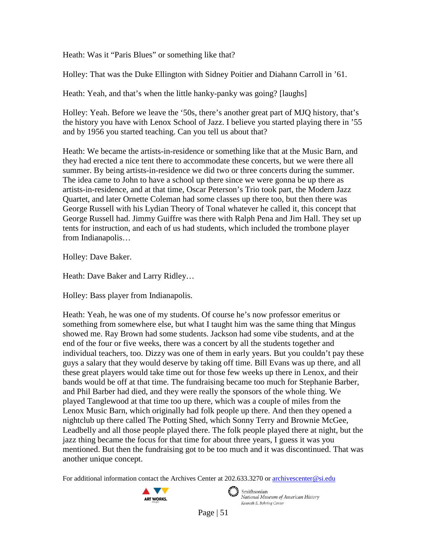Heath: Was it "Paris Blues" or something like that?

Holley: That was the Duke Ellington with Sidney Poitier and Diahann Carroll in '61.

Heath: Yeah, and that's when the little hanky-panky was going? [laughs]

Holley: Yeah. Before we leave the '50s, there's another great part of MJQ history, that's the history you have with Lenox School of Jazz. I believe you started playing there in '55 and by 1956 you started teaching. Can you tell us about that?

Heath: We became the artists-in-residence or something like that at the Music Barn, and they had erected a nice tent there to accommodate these concerts, but we were there all summer. By being artists-in-residence we did two or three concerts during the summer. The idea came to John to have a school up there since we were gonna be up there as artists-in-residence, and at that time, Oscar Peterson's Trio took part, the Modern Jazz Quartet, and later Ornette Coleman had some classes up there too, but then there was George Russell with his Lydian Theory of Tonal whatever he called it, this concept that George Russell had. Jimmy Guiffre was there with Ralph Pena and Jim Hall. They set up tents for instruction, and each of us had students, which included the trombone player from Indianapolis…

Holley: Dave Baker.

Heath: Dave Baker and Larry Ridley…

Holley: Bass player from Indianapolis.

Heath: Yeah, he was one of my students. Of course he's now professor emeritus or something from somewhere else, but what I taught him was the same thing that Mingus showed me. Ray Brown had some students. Jackson had some vibe students, and at the end of the four or five weeks, there was a concert by all the students together and individual teachers, too. Dizzy was one of them in early years. But you couldn't pay these guys a salary that they would deserve by taking off time. Bill Evans was up there, and all these great players would take time out for those few weeks up there in Lenox, and their bands would be off at that time. The fundraising became too much for Stephanie Barber, and Phil Barber had died, and they were really the sponsors of the whole thing. We played Tanglewood at that time too up there, which was a couple of miles from the Lenox Music Barn, which originally had folk people up there. And then they opened a nightclub up there called The Potting Shed, which Sonny Terry and Brownie McGee, Leadbelly and all those people played there. The folk people played there at night, but the jazz thing became the focus for that time for about three years, I guess it was you mentioned. But then the fundraising got to be too much and it was discontinued. That was another unique concept.

For additional information contact the Archives Center at 202.633.3270 o[r archivescenter@si.edu](mailto:archivescenter@si.edu)



Smithsonian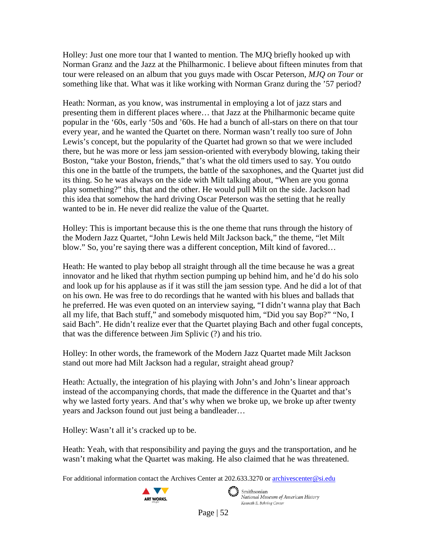Holley: Just one more tour that I wanted to mention. The MJQ briefly hooked up with Norman Granz and the Jazz at the Philharmonic. I believe about fifteen minutes from that tour were released on an album that you guys made with Oscar Peterson, *MJQ on Tour* or something like that. What was it like working with Norman Granz during the '57 period?

Heath: Norman, as you know, was instrumental in employing a lot of jazz stars and presenting them in different places where… that Jazz at the Philharmonic became quite popular in the '60s, early '50s and '60s. He had a bunch of all-stars on there on that tour every year, and he wanted the Quartet on there. Norman wasn't really too sure of John Lewis's concept, but the popularity of the Quartet had grown so that we were included there, but he was more or less jam session-oriented with everybody blowing, taking their Boston, "take your Boston, friends," that's what the old timers used to say. You outdo this one in the battle of the trumpets, the battle of the saxophones, and the Quartet just did its thing. So he was always on the side with Milt talking about, "When are you gonna play something?" this, that and the other. He would pull Milt on the side. Jackson had this idea that somehow the hard driving Oscar Peterson was the setting that he really wanted to be in. He never did realize the value of the Quartet.

Holley: This is important because this is the one theme that runs through the history of the Modern Jazz Quartet, "John Lewis held Milt Jackson back," the theme, "let Milt blow." So, you're saying there was a different conception, Milt kind of favored…

Heath: He wanted to play bebop all straight through all the time because he was a great innovator and he liked that rhythm section pumping up behind him, and he'd do his solo and look up for his applause as if it was still the jam session type. And he did a lot of that on his own. He was free to do recordings that he wanted with his blues and ballads that he preferred. He was even quoted on an interview saying, "I didn't wanna play that Bach all my life, that Bach stuff," and somebody misquoted him, "Did you say Bop?" "No, I said Bach". He didn't realize ever that the Quartet playing Bach and other fugal concepts, that was the difference between Jim Splivic (?) and his trio.

Holley: In other words, the framework of the Modern Jazz Quartet made Milt Jackson stand out more had Milt Jackson had a regular, straight ahead group?

Heath: Actually, the integration of his playing with John's and John's linear approach instead of the accompanying chords, that made the difference in the Quartet and that's why we lasted forty years. And that's why when we broke up, we broke up after twenty years and Jackson found out just being a bandleader…

Holley: Wasn't all it's cracked up to be.

Heath: Yeah, with that responsibility and paying the guys and the transportation, and he wasn't making what the Quartet was making. He also claimed that he was threatened.

For additional information contact the Archives Center at 202.633.3270 o[r archivescenter@si.edu](mailto:archivescenter@si.edu)

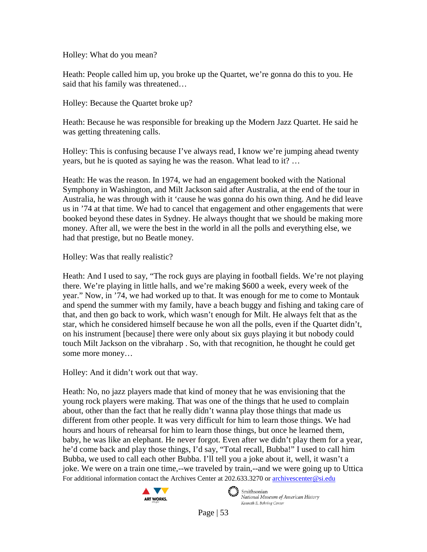Holley: What do you mean?

Heath: People called him up, you broke up the Quartet, we're gonna do this to you. He said that his family was threatened…

Holley: Because the Quartet broke up?

Heath: Because he was responsible for breaking up the Modern Jazz Quartet. He said he was getting threatening calls.

Holley: This is confusing because I've always read, I know we're jumping ahead twenty years, but he is quoted as saying he was the reason. What lead to it? …

Heath: He was the reason. In 1974, we had an engagement booked with the National Symphony in Washington, and Milt Jackson said after Australia, at the end of the tour in Australia, he was through with it 'cause he was gonna do his own thing. And he did leave us in '74 at that time. We had to cancel that engagement and other engagements that were booked beyond these dates in Sydney. He always thought that we should be making more money. After all, we were the best in the world in all the polls and everything else, we had that prestige, but no Beatle money.

Holley: Was that really realistic?

Heath: And I used to say, "The rock guys are playing in football fields. We're not playing there. We're playing in little halls, and we're making \$600 a week, every week of the year." Now, in '74, we had worked up to that. It was enough for me to come to Montauk and spend the summer with my family, have a beach buggy and fishing and taking care of that, and then go back to work, which wasn't enough for Milt. He always felt that as the star, which he considered himself because he won all the polls, even if the Quartet didn't, on his instrument [because] there were only about six guys playing it but nobody could touch Milt Jackson on the vibraharp . So, with that recognition, he thought he could get some more money…

Holley: And it didn't work out that way.

For additional information contact the Archives Center at 202.633.3270 o[r archivescenter@si.edu](mailto:archivescenter@si.edu) Heath: No, no jazz players made that kind of money that he was envisioning that the young rock players were making. That was one of the things that he used to complain about, other than the fact that he really didn't wanna play those things that made us different from other people. It was very difficult for him to learn those things. We had hours and hours of rehearsal for him to learn those things, but once he learned them, baby, he was like an elephant. He never forgot. Even after we didn't play them for a year, he'd come back and play those things, I'd say, "Total recall, Bubba!" I used to call him Bubba, we used to call each other Bubba. I'll tell you a joke about it, well, it wasn't a joke. We were on a train one time,--we traveled by train,--and we were going up to Uttica



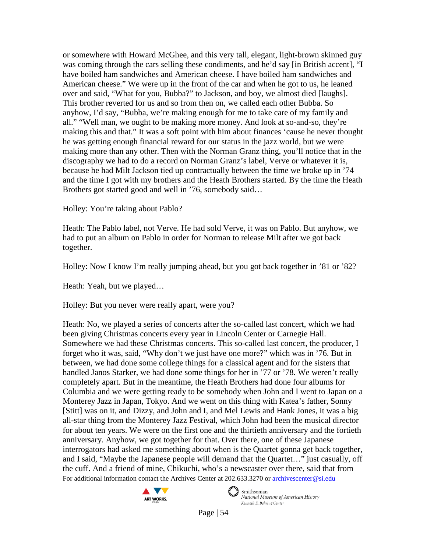or somewhere with Howard McGhee, and this very tall, elegant, light-brown skinned guy was coming through the cars selling these condiments, and he'd say [in British accent], "I have boiled ham sandwiches and American cheese. I have boiled ham sandwiches and American cheese." We were up in the front of the car and when he got to us, he leaned over and said, "What for you, Bubba?" to Jackson, and boy, we almost died [laughs]. This brother reverted for us and so from then on, we called each other Bubba. So anyhow, I'd say, "Bubba, we're making enough for me to take care of my family and all." "Well man, we ought to be making more money. And look at so-and-so, they're making this and that." It was a soft point with him about finances 'cause he never thought he was getting enough financial reward for our status in the jazz world, but we were making more than any other. Then with the Norman Granz thing, you'll notice that in the discography we had to do a record on Norman Granz's label, Verve or whatever it is, because he had Milt Jackson tied up contractually between the time we broke up in '74 and the time I got with my brothers and the Heath Brothers started. By the time the Heath Brothers got started good and well in '76, somebody said…

Holley: You're taking about Pablo?

Heath: The Pablo label, not Verve. He had sold Verve, it was on Pablo. But anyhow, we had to put an album on Pablo in order for Norman to release Milt after we got back together.

Holley: Now I know I'm really jumping ahead, but you got back together in '81 or '82?

Heath: Yeah, but we played…

Holley: But you never were really apart, were you?

For additional information contact the Archives Center at 202.633.3270 o[r archivescenter@si.edu](mailto:archivescenter@si.edu) Heath: No, we played a series of concerts after the so-called last concert, which we had been giving Christmas concerts every year in Lincoln Center or Carnegie Hall. Somewhere we had these Christmas concerts. This so-called last concert, the producer, I forget who it was, said, "Why don't we just have one more?" which was in '76. But in between, we had done some college things for a classical agent and for the sisters that handled Janos Starker, we had done some things for her in '77 or '78. We weren't really completely apart. But in the meantime, the Heath Brothers had done four albums for Columbia and we were getting ready to be somebody when John and I went to Japan on a Monterey Jazz in Japan, Tokyo. And we went on this thing with Katea's father, Sonny [Stitt] was on it, and Dizzy, and John and I, and Mel Lewis and Hank Jones, it was a big all-star thing from the Monterey Jazz Festival, which John had been the musical director for about ten years. We were on the first one and the thirtieth anniversary and the fortieth anniversary. Anyhow, we got together for that. Over there, one of these Japanese interrogators had asked me something about when is the Quartet gonna get back together, and I said, "Maybe the Japanese people will demand that the Quartet…" just casually, off the cuff. And a friend of mine, Chikuchi, who's a newscaster over there, said that from



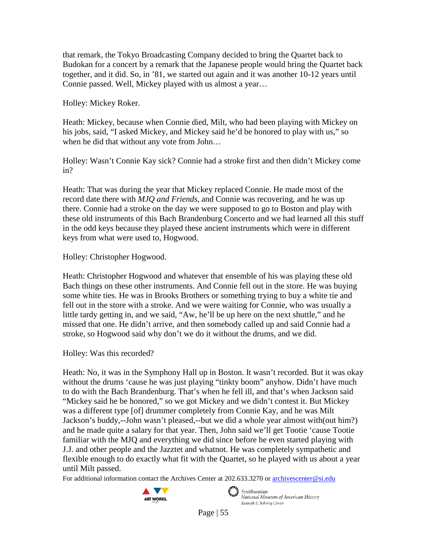that remark, the Tokyo Broadcasting Company decided to bring the Quartet back to Budokan for a concert by a remark that the Japanese people would bring the Quartet back together, and it did. So, in '81, we started out again and it was another 10-12 years until Connie passed. Well, Mickey played with us almost a year…

Holley: Mickey Roker.

Heath: Mickey, because when Connie died, Milt, who had been playing with Mickey on his jobs, said, "I asked Mickey, and Mickey said he'd be honored to play with us," so when he did that without any vote from John…

Holley: Wasn't Connie Kay sick? Connie had a stroke first and then didn't Mickey come in?

Heath: That was during the year that Mickey replaced Connie. He made most of the record date there with *MJQ and Friends*, and Connie was recovering, and he was up there. Connie had a stroke on the day we were supposed to go to Boston and play with these old instruments of this Bach Brandenburg Concerto and we had learned all this stuff in the odd keys because they played these ancient instruments which were in different keys from what were used to, Hogwood.

Holley: Christopher Hogwood.

Heath: Christopher Hogwood and whatever that ensemble of his was playing these old Bach things on these other instruments. And Connie fell out in the store. He was buying some white ties. He was in Brooks Brothers or something trying to buy a white tie and fell out in the store with a stroke. And we were waiting for Connie, who was usually a little tardy getting in, and we said, "Aw, he'll be up here on the next shuttle," and he missed that one. He didn't arrive, and then somebody called up and said Connie had a stroke, so Hogwood said why don't we do it without the drums, and we did.

Holley: Was this recorded?

Heath: No, it was in the Symphony Hall up in Boston. It wasn't recorded. But it was okay without the drums 'cause he was just playing "tinkty boom" anyhow. Didn't have much to do with the Bach Brandenburg. That's when he fell ill, and that's when Jackson said "Mickey said he be honored," so we got Mickey and we didn't contest it. But Mickey was a different type [of] drummer completely from Connie Kay, and he was Milt Jackson's buddy,--John wasn't pleased,--but we did a whole year almost with(out him?) and he made quite a salary for that year. Then, John said we'll get Tootie 'cause Tootie familiar with the MJQ and everything we did since before he even started playing with J.J. and other people and the Jazztet and whatnot. He was completely sympathetic and flexible enough to do exactly what fit with the Quartet, so he played with us about a year until Milt passed.

For additional information contact the Archives Center at 202.633.3270 o[r archivescenter@si.edu](mailto:archivescenter@si.edu)

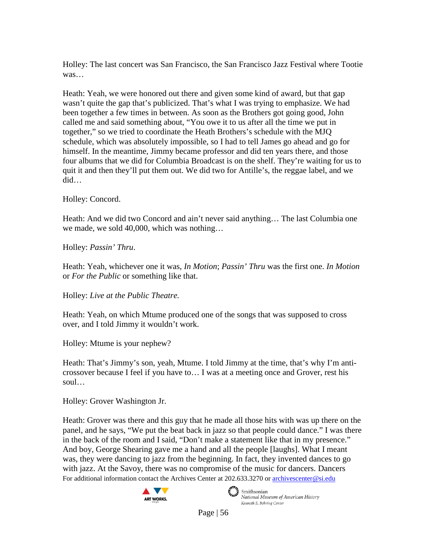Holley: The last concert was San Francisco, the San Francisco Jazz Festival where Tootie was…

Heath: Yeah, we were honored out there and given some kind of award, but that gap wasn't quite the gap that's publicized. That's what I was trying to emphasize. We had been together a few times in between. As soon as the Brothers got going good, John called me and said something about, "You owe it to us after all the time we put in together," so we tried to coordinate the Heath Brothers's schedule with the MJQ schedule, which was absolutely impossible, so I had to tell James go ahead and go for himself. In the meantime, Jimmy became professor and did ten years there, and those four albums that we did for Columbia Broadcast is on the shelf. They're waiting for us to quit it and then they'll put them out. We did two for Antille's, the reggae label, and we did…

Holley: Concord.

Heath: And we did two Concord and ain't never said anything... The last Columbia one we made, we sold 40,000, which was nothing…

Holley: *Passin' Thru*.

Heath: Yeah, whichever one it was, *In Motion*; *Passin' Thru* was the first one. *In Motion* or *For the Public* or something like that.

Holley: *Live at the Public Theatre.*

Heath: Yeah, on which Mtume produced one of the songs that was supposed to cross over, and I told Jimmy it wouldn't work.

Holley: Mtume is your nephew?

Heath: That's Jimmy's son, yeah, Mtume. I told Jimmy at the time, that's why I'm anticrossover because I feel if you have to… I was at a meeting once and Grover, rest his soul…

Holley: Grover Washington Jr.

For additional information contact the Archives Center at 202.633.3270 o[r archivescenter@si.edu](mailto:archivescenter@si.edu) Heath: Grover was there and this guy that he made all those hits with was up there on the panel, and he says, "We put the beat back in jazz so that people could dance." I was there in the back of the room and I said, "Don't make a statement like that in my presence." And boy, George Shearing gave me a hand and all the people [laughs]. What I meant was, they were dancing to jazz from the beginning. In fact, they invented dances to go with jazz. At the Savoy, there was no compromise of the music for dancers. Dancers



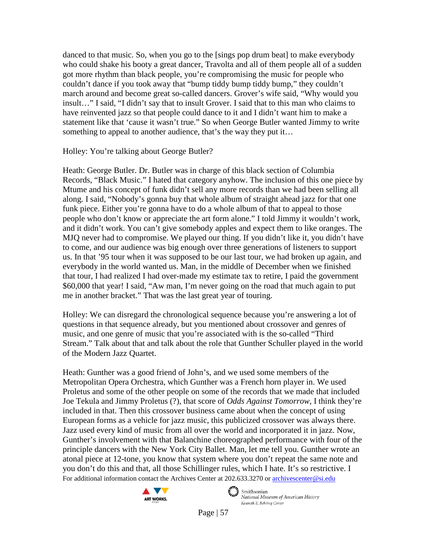danced to that music. So, when you go to the [sings pop drum beat] to make everybody who could shake his booty a great dancer, Travolta and all of them people all of a sudden got more rhythm than black people, you're compromising the music for people who couldn't dance if you took away that "bump tiddy bump tiddy bump," they couldn't march around and become great so-called dancers. Grover's wife said, "Why would you insult…" I said, "I didn't say that to insult Grover. I said that to this man who claims to have reinvented jazz so that people could dance to it and I didn't want him to make a statement like that 'cause it wasn't true." So when George Butler wanted Jimmy to write something to appeal to another audience, that's the way they put it...

Holley: You're talking about George Butler?

Heath: George Butler. Dr. Butler was in charge of this black section of Columbia Records, "Black Music." I hated that category anyhow. The inclusion of this one piece by Mtume and his concept of funk didn't sell any more records than we had been selling all along. I said, "Nobody's gonna buy that whole album of straight ahead jazz for that one funk piece. Either you're gonna have to do a whole album of that to appeal to those people who don't know or appreciate the art form alone." I told Jimmy it wouldn't work, and it didn't work. You can't give somebody apples and expect them to like oranges. The MJQ never had to compromise. We played our thing. If you didn't like it, you didn't have to come, and our audience was big enough over three generations of listeners to support us. In that '95 tour when it was supposed to be our last tour, we had broken up again, and everybody in the world wanted us. Man, in the middle of December when we finished that tour, I had realized I had over-made my estimate tax to retire, I paid the government \$60,000 that year! I said, "Aw man, I'm never going on the road that much again to put me in another bracket." That was the last great year of touring.

Holley: We can disregard the chronological sequence because you're answering a lot of questions in that sequence already, but you mentioned about crossover and genres of music, and one genre of music that you're associated with is the so-called "Third Stream." Talk about that and talk about the role that Gunther Schuller played in the world of the Modern Jazz Quartet.

For additional information contact the Archives Center at 202.633.3270 o[r archivescenter@si.edu](mailto:archivescenter@si.edu) Heath: Gunther was a good friend of John's, and we used some members of the Metropolitan Opera Orchestra, which Gunther was a French horn player in. We used Proletus and some of the other people on some of the records that we made that included Joe Tekula and Jimmy Proletus (?), that score of *Odds Against Tomorrow*, I think they're included in that. Then this crossover business came about when the concept of using European forms as a vehicle for jazz music, this publicized crossover was always there. Jazz used every kind of music from all over the world and incorporated it in jazz. Now, Gunther's involvement with that Balanchine choreographed performance with four of the principle dancers with the New York City Ballet. Man, let me tell you. Gunther wrote an atonal piece at 12-tone, you know that system where you don't repeat the same note and you don't do this and that, all those Schillinger rules, which I hate. It's so restrictive. I



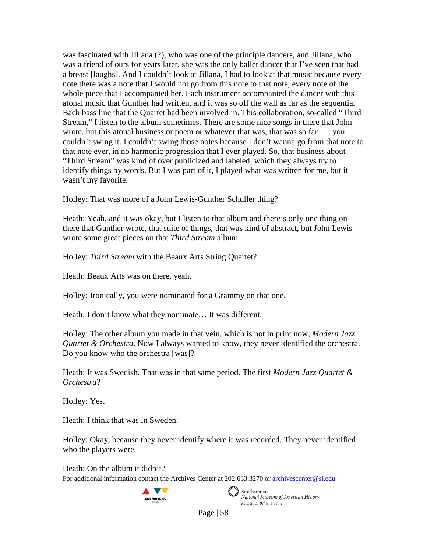was fascinated with Jillana (?), who was one of the principle dancers, and Jillana, who was a friend of ours for years later, she was the only ballet dancer that I've seen that had a breast [laughs]. And I couldn't look at Jillana, I had to look at that music because every note there was a note that I would not go from this note to that note, every note of the whole piece that I accompanied her. Each instrument accompanied the dancer with this atonal music that Gunther had written, and it was so off the wall as far as the sequential Bach bass line that the Quartet had been involved in. This collaboration, so-called "Third Stream," I listen to the album sometimes. There are some nice songs in there that John wrote, but this atonal business or poem or whatever that was, that was so far . . . you couldn't swing it. I couldn't swing those notes because I don't wanna go from that note to that note ever, in no harmonic progression that I ever played. So, that business about "Third Stream" was kind of over publicized and labeled, which they always try to identify things by words. But I was part of it, I played what was written for me, but it wasn't my favorite.

Holley: That was more of a John Lewis-Gunther Schuller thing?

Heath: Yeah, and it was okay, but I listen to that album and there's only one thing on there that Gunther wrote, that suite of things, that was kind of abstract, but John Lewis wrote some great pieces on that *Third Stream* album.

Holley: *Third Stream* with the Beaux Arts String Quartet?

Heath: Beaux Arts was on there, yeah.

Holley: Ironically, you were nominated for a Grammy on that one.

Heath: I don't know what they nominate… It was different.

Holley: The other album you made in that vein, which is not in print now, *Modern Jazz Quartet & Orchestra*. Now I always wanted to know, they never identified the orchestra. Do you know who the orchestra [was]?

Heath: It was Swedish. That was in that same period. The first *Modern Jazz Quartet & Orchestra*?

Holley: Yes.

Heath: I think that was in Sweden.

Holley: Okay, because they never identify where it was recorded. They never identified who the players were.

Heath: On the album it didn't?

For additional information contact the Archives Center at 202.633.3270 o[r archivescenter@si.edu](mailto:archivescenter@si.edu)



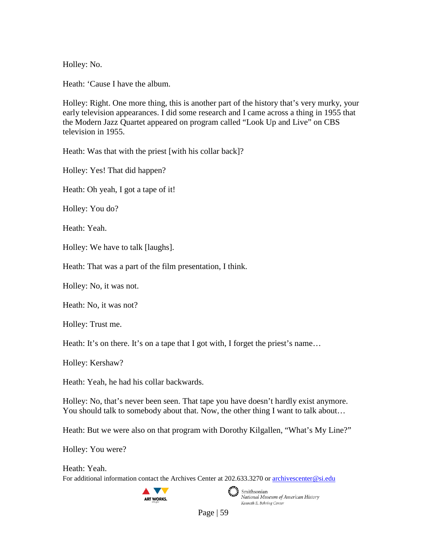Holley: No.

Heath: 'Cause I have the album.

Holley: Right. One more thing, this is another part of the history that's very murky, your early television appearances. I did some research and I came across a thing in 1955 that the Modern Jazz Quartet appeared on program called "Look Up and Live" on CBS television in 1955.

Heath: Was that with the priest [with his collar back]?

Holley: Yes! That did happen?

Heath: Oh yeah, I got a tape of it!

Holley: You do?

Heath: Yeah.

Holley: We have to talk [laughs].

Heath: That was a part of the film presentation, I think.

Holley: No, it was not.

Heath: No, it was not?

Holley: Trust me.

Heath: It's on there. It's on a tape that I got with, I forget the priest's name...

Holley: Kershaw?

Heath: Yeah, he had his collar backwards.

Holley: No, that's never been seen. That tape you have doesn't hardly exist anymore. You should talk to somebody about that. Now, the other thing I want to talk about...

Heath: But we were also on that program with Dorothy Kilgallen, "What's My Line?"

Holley: You were?

For additional information contact the Archives Center at 202.633.3270 o[r archivescenter@si.edu](mailto:archivescenter@si.edu) Heath: Yeah.





Smithsonian<br>National Museum of American History Kenneth E. Behring Center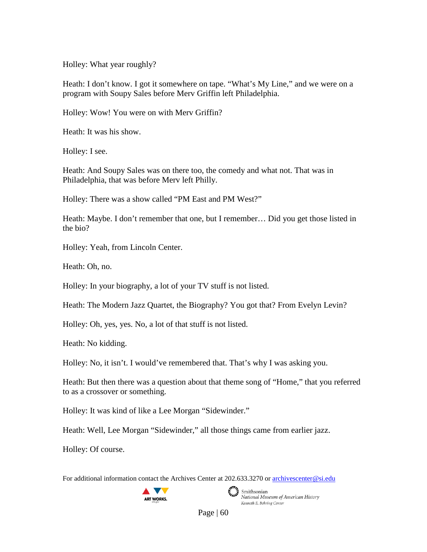Holley: What year roughly?

Heath: I don't know. I got it somewhere on tape. "What's My Line," and we were on a program with Soupy Sales before Merv Griffin left Philadelphia.

Holley: Wow! You were on with Merv Griffin?

Heath: It was his show.

Holley: I see.

Heath: And Soupy Sales was on there too, the comedy and what not. That was in Philadelphia, that was before Merv left Philly.

Holley: There was a show called "PM East and PM West?"

Heath: Maybe. I don't remember that one, but I remember… Did you get those listed in the bio?

Holley: Yeah, from Lincoln Center.

Heath: Oh, no.

Holley: In your biography, a lot of your TV stuff is not listed.

Heath: The Modern Jazz Quartet, the Biography? You got that? From Evelyn Levin?

Holley: Oh, yes, yes. No, a lot of that stuff is not listed.

Heath: No kidding.

Holley: No, it isn't. I would've remembered that. That's why I was asking you.

Heath: But then there was a question about that theme song of "Home," that you referred to as a crossover or something.

Holley: It was kind of like a Lee Morgan "Sidewinder."

Heath: Well, Lee Morgan "Sidewinder," all those things came from earlier jazz.

Holley: Of course.

For additional information contact the Archives Center at 202.633.3270 o[r archivescenter@si.edu](mailto:archivescenter@si.edu)





Smithsonian National Museum of American History Kenneth E. Behring Center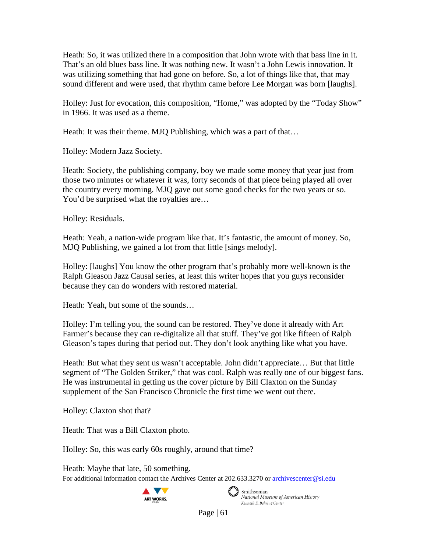Heath: So, it was utilized there in a composition that John wrote with that bass line in it. That's an old blues bass line. It was nothing new. It wasn't a John Lewis innovation. It was utilizing something that had gone on before. So, a lot of things like that, that may sound different and were used, that rhythm came before Lee Morgan was born [laughs].

Holley: Just for evocation, this composition, "Home," was adopted by the "Today Show" in 1966. It was used as a theme.

Heath: It was their theme. MJQ Publishing, which was a part of that…

Holley: Modern Jazz Society.

Heath: Society, the publishing company, boy we made some money that year just from those two minutes or whatever it was, forty seconds of that piece being played all over the country every morning. MJQ gave out some good checks for the two years or so. You'd be surprised what the royalties are...

Holley: Residuals.

Heath: Yeah, a nation-wide program like that. It's fantastic, the amount of money. So, MJQ Publishing, we gained a lot from that little [sings melody].

Holley: [laughs] You know the other program that's probably more well-known is the Ralph Gleason Jazz Causal series, at least this writer hopes that you guys reconsider because they can do wonders with restored material.

Heath: Yeah, but some of the sounds…

Holley: I'm telling you, the sound can be restored. They've done it already with Art Farmer's because they can re-digitalize all that stuff. They've got like fifteen of Ralph Gleason's tapes during that period out. They don't look anything like what you have.

Heath: But what they sent us wasn't acceptable. John didn't appreciate... But that little segment of "The Golden Striker," that was cool. Ralph was really one of our biggest fans. He was instrumental in getting us the cover picture by Bill Claxton on the Sunday supplement of the San Francisco Chronicle the first time we went out there.

Holley: Claxton shot that?

Heath: That was a Bill Claxton photo.

Holley: So, this was early 60s roughly, around that time?

For additional information contact the Archives Center at 202.633.3270 o[r archivescenter@si.edu](mailto:archivescenter@si.edu) Heath: Maybe that late, 50 something.





 $\epsilon$   $\rightarrow$  Smithsonian National Museum of American History Kenneth E. Behring Center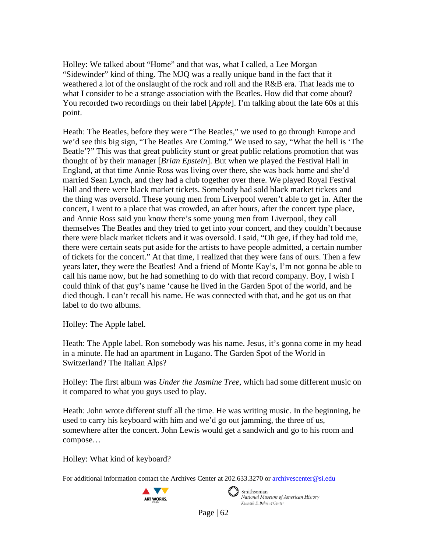Holley: We talked about "Home" and that was, what I called, a Lee Morgan "Sidewinder" kind of thing. The MJQ was a really unique band in the fact that it weathered a lot of the onslaught of the rock and roll and the R&B era. That leads me to what I consider to be a strange association with the Beatles. How did that come about? You recorded two recordings on their label [*Apple*]. I'm talking about the late 60s at this point.

Heath: The Beatles, before they were "The Beatles," we used to go through Europe and we'd see this big sign, "The Beatles Are Coming." We used to say, "What the hell is 'The Beatle'?" This was that great publicity stunt or great public relations promotion that was thought of by their manager [*Brian Epstein*]. But when we played the Festival Hall in England, at that time Annie Ross was living over there, she was back home and she'd married Sean Lynch, and they had a club together over there. We played Royal Festival Hall and there were black market tickets. Somebody had sold black market tickets and the thing was oversold. These young men from Liverpool weren't able to get in. After the concert, I went to a place that was crowded, an after hours, after the concert type place, and Annie Ross said you know there's some young men from Liverpool, they call themselves The Beatles and they tried to get into your concert, and they couldn't because there were black market tickets and it was oversold. I said, "Oh gee, if they had told me, there were certain seats put aside for the artists to have people admitted, a certain number of tickets for the concert." At that time, I realized that they were fans of ours. Then a few years later, they were the Beatles! And a friend of Monte Kay's, I'm not gonna be able to call his name now, but he had something to do with that record company. Boy, I wish I could think of that guy's name 'cause he lived in the Garden Spot of the world, and he died though. I can't recall his name. He was connected with that, and he got us on that label to do two albums.

Holley: The Apple label.

Heath: The Apple label. Ron somebody was his name. Jesus, it's gonna come in my head in a minute. He had an apartment in Lugano. The Garden Spot of the World in Switzerland? The Italian Alps?

Holley: The first album was *Under the Jasmine Tree*, which had some different music on it compared to what you guys used to play.

Heath: John wrote different stuff all the time. He was writing music. In the beginning, he used to carry his keyboard with him and we'd go out jamming, the three of us, somewhere after the concert. John Lewis would get a sandwich and go to his room and compose…

Holley: What kind of keyboard?

For additional information contact the Archives Center at 202.633.3270 o[r archivescenter@si.edu](mailto:archivescenter@si.edu)





 $\epsilon$   $\rightarrow$  Smithsonian National Museum of American History Kenneth E. Behring Center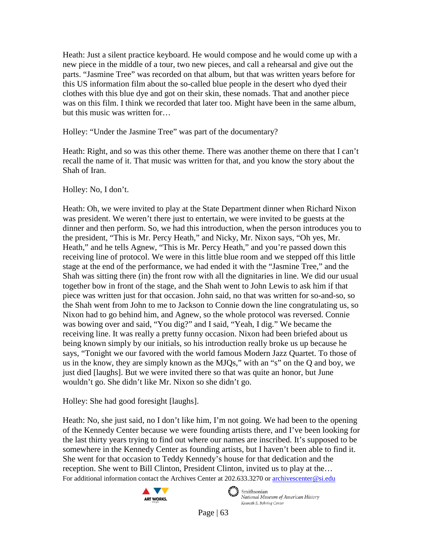Heath: Just a silent practice keyboard. He would compose and he would come up with a new piece in the middle of a tour, two new pieces, and call a rehearsal and give out the parts. "Jasmine Tree" was recorded on that album, but that was written years before for this US information film about the so-called blue people in the desert who dyed their clothes with this blue dye and got on their skin, these nomads. That and another piece was on this film. I think we recorded that later too. Might have been in the same album, but this music was written for…

Holley: "Under the Jasmine Tree" was part of the documentary?

Heath: Right, and so was this other theme. There was another theme on there that I can't recall the name of it. That music was written for that, and you know the story about the Shah of Iran.

## Holley: No, I don't.

Heath: Oh, we were invited to play at the State Department dinner when Richard Nixon was president. We weren't there just to entertain, we were invited to be guests at the dinner and then perform. So, we had this introduction, when the person introduces you to the president, "This is Mr. Percy Heath," and Nicky, Mr. Nixon says, "Oh yes, Mr. Heath," and he tells Agnew, "This is Mr. Percy Heath," and you're passed down this receiving line of protocol. We were in this little blue room and we stepped off this little stage at the end of the performance, we had ended it with the "Jasmine Tree," and the Shah was sitting there (in) the front row with all the dignitaries in line. We did our usual together bow in front of the stage, and the Shah went to John Lewis to ask him if that piece was written just for that occasion. John said, no that was written for so-and-so, so the Shah went from John to me to Jackson to Connie down the line congratulating us, so Nixon had to go behind him, and Agnew, so the whole protocol was reversed. Connie was bowing over and said, "You dig?" and I said, "Yeah, I dig." We became the receiving line. It was really a pretty funny occasion. Nixon had been briefed about us being known simply by our initials, so his introduction really broke us up because he says, "Tonight we our favored with the world famous Modern Jazz Quartet. To those of us in the know, they are simply known as the MJQs," with an "s" on the Q and boy, we just died [laughs]. But we were invited there so that was quite an honor, but June wouldn't go. She didn't like Mr. Nixon so she didn't go.

Holley: She had good foresight [laughs].

For additional information contact the Archives Center at 202.633.3270 o[r archivescenter@si.edu](mailto:archivescenter@si.edu) Heath: No, she just said, no I don't like him, I'm not going. We had been to the opening of the Kennedy Center because we were founding artists there, and I've been looking for the last thirty years trying to find out where our names are inscribed. It's supposed to be somewhere in the Kennedy Center as founding artists, but I haven't been able to find it. She went for that occasion to Teddy Kennedy's house for that dedication and the reception. She went to Bill Clinton, President Clinton, invited us to play at the…



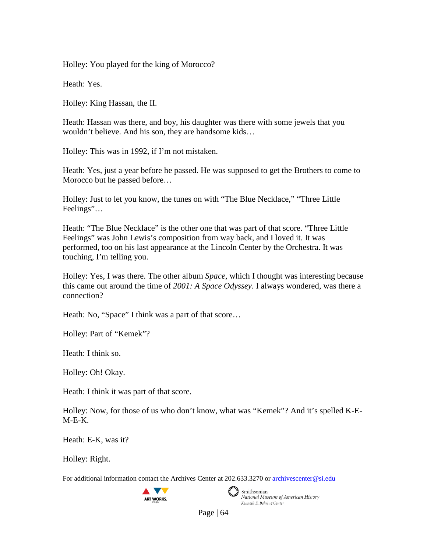Holley: You played for the king of Morocco?

Heath: Yes.

Holley: King Hassan, the II.

Heath: Hassan was there, and boy, his daughter was there with some jewels that you wouldn't believe. And his son, they are handsome kids…

Holley: This was in 1992, if I'm not mistaken.

Heath: Yes, just a year before he passed. He was supposed to get the Brothers to come to Morocco but he passed before…

Holley: Just to let you know, the tunes on with "The Blue Necklace," "Three Little Feelings"…

Heath: "The Blue Necklace" is the other one that was part of that score. "Three Little Feelings" was John Lewis's composition from way back, and I loved it. It was performed, too on his last appearance at the Lincoln Center by the Orchestra. It was touching, I'm telling you.

Holley: Yes, I was there. The other album *Space*, which I thought was interesting because this came out around the time of *2001: A Space Odyssey*. I always wondered, was there a connection?

Heath: No, "Space" I think was a part of that score...

Holley: Part of "Kemek"?

Heath: I think so.

Holley: Oh! Okay.

Heath: I think it was part of that score.

Holley: Now, for those of us who don't know, what was "Kemek"? And it's spelled K-E- $M-E-K$ .

Heath: E-K, was it?

Holley: Right.

For additional information contact the Archives Center at 202.633.3270 o[r archivescenter@si.edu](mailto:archivescenter@si.edu)





Smithsonian<br>National Museum of American History Kenneth E. Behring Center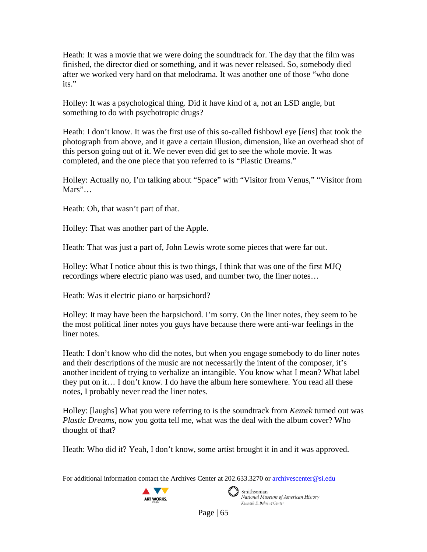Heath: It was a movie that we were doing the soundtrack for. The day that the film was finished, the director died or something, and it was never released. So, somebody died after we worked very hard on that melodrama. It was another one of those "who done its."

Holley: It was a psychological thing. Did it have kind of a, not an LSD angle, but something to do with psychotropic drugs?

Heath: I don't know. It was the first use of this so-called fishbowl eye [*lens*] that took the photograph from above, and it gave a certain illusion, dimension, like an overhead shot of this person going out of it. We never even did get to see the whole movie. It was completed, and the one piece that you referred to is "Plastic Dreams."

Holley: Actually no, I'm talking about "Space" with "Visitor from Venus," "Visitor from Mars"...

Heath: Oh, that wasn't part of that.

Holley: That was another part of the Apple.

Heath: That was just a part of, John Lewis wrote some pieces that were far out.

Holley: What I notice about this is two things, I think that was one of the first MJQ recordings where electric piano was used, and number two, the liner notes…

Heath: Was it electric piano or harpsichord?

Holley: It may have been the harpsichord. I'm sorry. On the liner notes, they seem to be the most political liner notes you guys have because there were anti-war feelings in the liner notes.

Heath: I don't know who did the notes, but when you engage somebody to do liner notes and their descriptions of the music are not necessarily the intent of the composer, it's another incident of trying to verbalize an intangible. You know what I mean? What label they put on it… I don't know. I do have the album here somewhere. You read all these notes, I probably never read the liner notes.

Holley: [laughs] What you were referring to is the soundtrack from *Kemek* turned out was *Plastic Dreams*, now you gotta tell me, what was the deal with the album cover? Who thought of that?

Heath: Who did it? Yeah, I don't know, some artist brought it in and it was approved.

For additional information contact the Archives Center at 202.633.3270 o[r archivescenter@si.edu](mailto:archivescenter@si.edu)



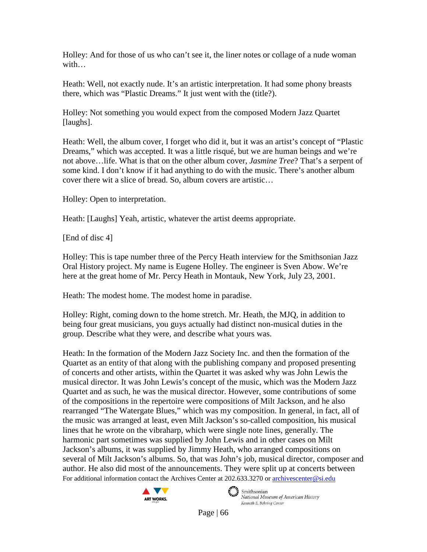Holley: And for those of us who can't see it, the liner notes or collage of a nude woman with…

Heath: Well, not exactly nude. It's an artistic interpretation. It had some phony breasts there, which was "Plastic Dreams." It just went with the (title?).

Holley: Not something you would expect from the composed Modern Jazz Quartet [laughs].

Heath: Well, the album cover, I forget who did it, but it was an artist's concept of "Plastic Dreams," which was accepted. It was a little risqué, but we are human beings and we're not above…life. What is that on the other album cover, *Jasmine Tree*? That's a serpent of some kind. I don't know if it had anything to do with the music. There's another album cover there wit a slice of bread. So, album covers are artistic…

Holley: Open to interpretation.

Heath: [Laughs] Yeah, artistic, whatever the artist deems appropriate.

[End of disc 4]

Holley: This is tape number three of the Percy Heath interview for the Smithsonian Jazz Oral History project. My name is Eugene Holley. The engineer is Sven Abow. We're here at the great home of Mr. Percy Heath in Montauk, New York, July 23, 2001.

Heath: The modest home. The modest home in paradise.

Holley: Right, coming down to the home stretch. Mr. Heath, the MJQ, in addition to being four great musicians, you guys actually had distinct non-musical duties in the group. Describe what they were, and describe what yours was.

For additional information contact the Archives Center at 202.633.3270 o[r archivescenter@si.edu](mailto:archivescenter@si.edu) Heath: In the formation of the Modern Jazz Society Inc. and then the formation of the Quartet as an entity of that along with the publishing company and proposed presenting of concerts and other artists, within the Quartet it was asked why was John Lewis the musical director. It was John Lewis's concept of the music, which was the Modern Jazz Quartet and as such, he was the musical director. However, some contributions of some of the compositions in the repertoire were compositions of Milt Jackson, and he also rearranged "The Watergate Blues," which was my composition. In general, in fact, all of the music was arranged at least, even Milt Jackson's so-called composition, his musical lines that he wrote on the vibraharp, which were single note lines, generally. The harmonic part sometimes was supplied by John Lewis and in other cases on Milt Jackson's albums, it was supplied by Jimmy Heath, who arranged compositions on several of Milt Jackson's albums. So, that was John's job, musical director, composer and author. He also did most of the announcements. They were split up at concerts between



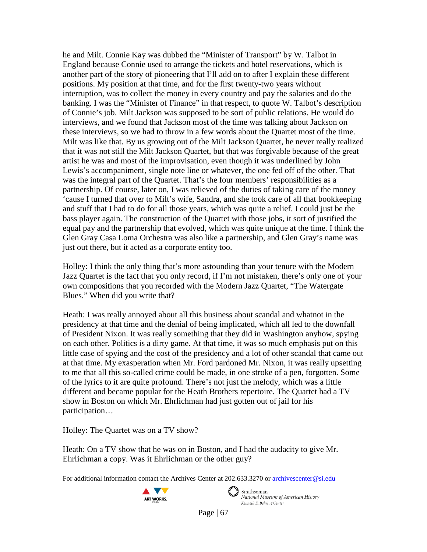he and Milt. Connie Kay was dubbed the "Minister of Transport" by W. Talbot in England because Connie used to arrange the tickets and hotel reservations, which is another part of the story of pioneering that I'll add on to after I explain these different positions. My position at that time, and for the first twenty-two years without interruption, was to collect the money in every country and pay the salaries and do the banking. I was the "Minister of Finance" in that respect, to quote W. Talbot's description of Connie's job. Milt Jackson was supposed to be sort of public relations. He would do interviews, and we found that Jackson most of the time was talking about Jackson on these interviews, so we had to throw in a few words about the Quartet most of the time. Milt was like that. By us growing out of the Milt Jackson Quartet, he never really realized that it was not still the Milt Jackson Quartet, but that was forgivable because of the great artist he was and most of the improvisation, even though it was underlined by John Lewis's accompaniment, single note line or whatever, the one fed off of the other. That was the integral part of the Quartet. That's the four members' responsibilities as a partnership. Of course, later on, I was relieved of the duties of taking care of the money 'cause I turned that over to Milt's wife, Sandra, and she took care of all that bookkeeping and stuff that I had to do for all those years, which was quite a relief. I could just be the bass player again. The construction of the Quartet with those jobs, it sort of justified the equal pay and the partnership that evolved, which was quite unique at the time. I think the Glen Gray Casa Loma Orchestra was also like a partnership, and Glen Gray's name was just out there, but it acted as a corporate entity too.

Holley: I think the only thing that's more astounding than your tenure with the Modern Jazz Quartet is the fact that you only record, if I'm not mistaken, there's only one of your own compositions that you recorded with the Modern Jazz Quartet, "The Watergate Blues." When did you write that?

Heath: I was really annoyed about all this business about scandal and whatnot in the presidency at that time and the denial of being implicated, which all led to the downfall of President Nixon. It was really something that they did in Washington anyhow, spying on each other. Politics is a dirty game. At that time, it was so much emphasis put on this little case of spying and the cost of the presidency and a lot of other scandal that came out at that time. My exasperation when Mr. Ford pardoned Mr. Nixon, it was really upsetting to me that all this so-called crime could be made, in one stroke of a pen, forgotten. Some of the lyrics to it are quite profound. There's not just the melody, which was a little different and became popular for the Heath Brothers repertoire. The Quartet had a TV show in Boston on which Mr. Ehrlichman had just gotten out of jail for his participation…

Holley: The Quartet was on a TV show?

Heath: On a TV show that he was on in Boston, and I had the audacity to give Mr. Ehrlichman a copy. Was it Ehrlichman or the other guy?

For additional information contact the Archives Center at 202.633.3270 o[r archivescenter@si.edu](mailto:archivescenter@si.edu)



 $\epsilon$   $\rightarrow$  Smithsonian National Museum of American History Kenneth E. Behring Center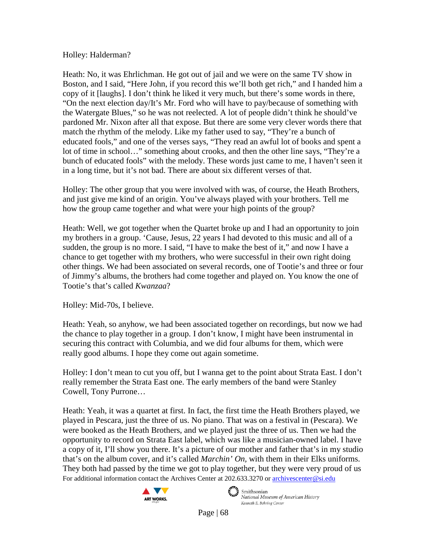Holley: Halderman?

Heath: No, it was Ehrlichman. He got out of jail and we were on the same TV show in Boston, and I said, "Here John, if you record this we'll both get rich," and I handed him a copy of it [laughs]. I don't think he liked it very much, but there's some words in there, "On the next election day/It's Mr. Ford who will have to pay/because of something with the Watergate Blues," so he was not reelected. A lot of people didn't think he should've pardoned Mr. Nixon after all that expose. But there are some very clever words there that match the rhythm of the melody. Like my father used to say, "They're a bunch of educated fools," and one of the verses says, "They read an awful lot of books and spent a lot of time in school…" something about crooks, and then the other line says, "They're a bunch of educated fools" with the melody. These words just came to me, I haven't seen it in a long time, but it's not bad. There are about six different verses of that.

Holley: The other group that you were involved with was, of course, the Heath Brothers, and just give me kind of an origin. You've always played with your brothers. Tell me how the group came together and what were your high points of the group?

Heath: Well, we got together when the Quartet broke up and I had an opportunity to join my brothers in a group. 'Cause, Jesus, 22 years I had devoted to this music and all of a sudden, the group is no more. I said, "I have to make the best of it," and now I have a chance to get together with my brothers, who were successful in their own right doing other things. We had been associated on several records, one of Tootie's and three or four of Jimmy's albums, the brothers had come together and played on. You know the one of Tootie's that's called *Kwanzaa*?

Holley: Mid-70s, I believe.

Heath: Yeah, so anyhow, we had been associated together on recordings, but now we had the chance to play together in a group. I don't know, I might have been instrumental in securing this contract with Columbia, and we did four albums for them, which were really good albums. I hope they come out again sometime.

Holley: I don't mean to cut you off, but I wanna get to the point about Strata East. I don't really remember the Strata East one. The early members of the band were Stanley Cowell, Tony Purrone…

For additional information contact the Archives Center at 202.633.3270 o[r archivescenter@si.edu](mailto:archivescenter@si.edu) Heath: Yeah, it was a quartet at first. In fact, the first time the Heath Brothers played, we played in Pescara, just the three of us. No piano. That was on a festival in (Pescara). We were booked as the Heath Brothers, and we played just the three of us. Then we had the opportunity to record on Strata East label, which was like a musician-owned label. I have a copy of it, I'll show you there. It's a picture of our mother and father that's in my studio that's on the album cover, and it's called *Marchin' On,* with them in their Elks uniforms. They both had passed by the time we got to play together, but they were very proud of us





 $\epsilon$   $\rightarrow$  Smithsonian National Museum of American History Kenneth E. Behring Center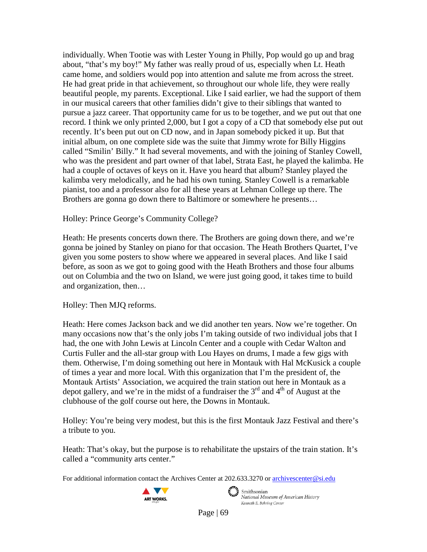individually. When Tootie was with Lester Young in Philly, Pop would go up and brag about, "that's my boy!" My father was really proud of us, especially when Lt. Heath came home, and soldiers would pop into attention and salute me from across the street. He had great pride in that achievement, so throughout our whole life, they were really beautiful people, my parents. Exceptional. Like I said earlier, we had the support of them in our musical careers that other families didn't give to their siblings that wanted to pursue a jazz career. That opportunity came for us to be together, and we put out that one record. I think we only printed 2,000, but I got a copy of a CD that somebody else put out recently. It's been put out on CD now, and in Japan somebody picked it up. But that initial album, on one complete side was the suite that Jimmy wrote for Billy Higgins called "Smilin' Billy." It had several movements, and with the joining of Stanley Cowell, who was the president and part owner of that label, Strata East, he played the kalimba. He had a couple of octaves of keys on it. Have you heard that album? Stanley played the kalimba very melodically, and he had his own tuning. Stanley Cowell is a remarkable pianist, too and a professor also for all these years at Lehman College up there. The Brothers are gonna go down there to Baltimore or somewhere he presents…

Holley: Prince George's Community College?

Heath: He presents concerts down there. The Brothers are going down there, and we're gonna be joined by Stanley on piano for that occasion. The Heath Brothers Quartet, I've given you some posters to show where we appeared in several places. And like I said before, as soon as we got to going good with the Heath Brothers and those four albums out on Columbia and the two on Island, we were just going good, it takes time to build and organization, then…

# Holley: Then MJQ reforms.

Heath: Here comes Jackson back and we did another ten years. Now we're together. On many occasions now that's the only jobs I'm taking outside of two individual jobs that I had, the one with John Lewis at Lincoln Center and a couple with Cedar Walton and Curtis Fuller and the all-star group with Lou Hayes on drums, I made a few gigs with them. Otherwise, I'm doing something out here in Montauk with Hal McKusick a couple of times a year and more local. With this organization that I'm the president of, the Montauk Artists' Association, we acquired the train station out here in Montauk as a depot gallery, and we're in the midst of a fundraiser the  $3<sup>rd</sup>$  and  $4<sup>th</sup>$  of August at the clubhouse of the golf course out here, the Downs in Montauk.

Holley: You're being very modest, but this is the first Montauk Jazz Festival and there's a tribute to you.

Heath: That's okay, but the purpose is to rehabilitate the upstairs of the train station. It's called a "community arts center."

For additional information contact the Archives Center at 202.633.3270 o[r archivescenter@si.edu](mailto:archivescenter@si.edu)



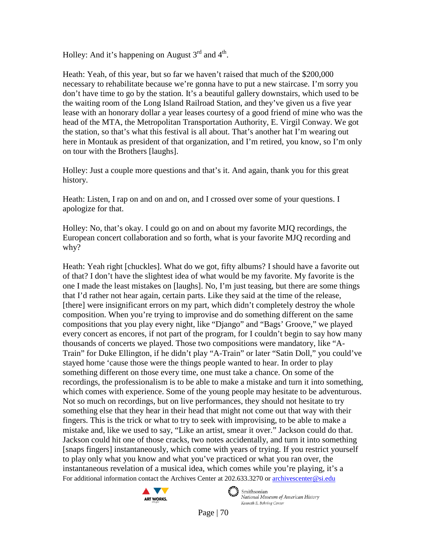Holley: And it's happening on August  $3<sup>rd</sup>$  and  $4<sup>th</sup>$ .

Heath: Yeah, of this year, but so far we haven't raised that much of the \$200,000 necessary to rehabilitate because we're gonna have to put a new staircase. I'm sorry you don't have time to go by the station. It's a beautiful gallery downstairs, which used to be the waiting room of the Long Island Railroad Station, and they've given us a five year lease with an honorary dollar a year leases courtesy of a good friend of mine who was the head of the MTA, the Metropolitan Transportation Authority, E. Virgil Conway. We got the station, so that's what this festival is all about. That's another hat I'm wearing out here in Montauk as president of that organization, and I'm retired, you know, so I'm only on tour with the Brothers [laughs].

Holley: Just a couple more questions and that's it. And again, thank you for this great history.

Heath: Listen, I rap on and on and on, and I crossed over some of your questions. I apologize for that.

Holley: No, that's okay. I could go on and on about my favorite MJQ recordings, the European concert collaboration and so forth, what is your favorite MJQ recording and why?

For additional information contact the Archives Center at 202.633.3270 o[r archivescenter@si.edu](mailto:archivescenter@si.edu) Heath: Yeah right [chuckles]. What do we got, fifty albums? I should have a favorite out of that? I don't have the slightest idea of what would be my favorite. My favorite is the one I made the least mistakes on [laughs]. No, I'm just teasing, but there are some things that I'd rather not hear again, certain parts. Like they said at the time of the release, [there] were insignificant errors on my part, which didn't completely destroy the whole composition. When you're trying to improvise and do something different on the same compositions that you play every night, like "Django" and "Bags' Groove," we played every concert as encores, if not part of the program, for I couldn't begin to say how many thousands of concerts we played. Those two compositions were mandatory, like "A-Train" for Duke Ellington, if he didn't play "A-Train" or later "Satin Doll," you could've stayed home 'cause those were the things people wanted to hear. In order to play something different on those every time, one must take a chance. On some of the recordings, the professionalism is to be able to make a mistake and turn it into something, which comes with experience. Some of the young people may hesitate to be adventurous. Not so much on recordings, but on live performances, they should not hesitate to try something else that they hear in their head that might not come out that way with their fingers. This is the trick or what to try to seek with improvising, to be able to make a mistake and, like we used to say, "Like an artist, smear it over." Jackson could do that. Jackson could hit one of those cracks, two notes accidentally, and turn it into something [snaps fingers] instantaneously, which come with years of trying. If you restrict yourself to play only what you know and what you've practiced or what you ran over, the instantaneous revelation of a musical idea, which comes while you're playing, it's a



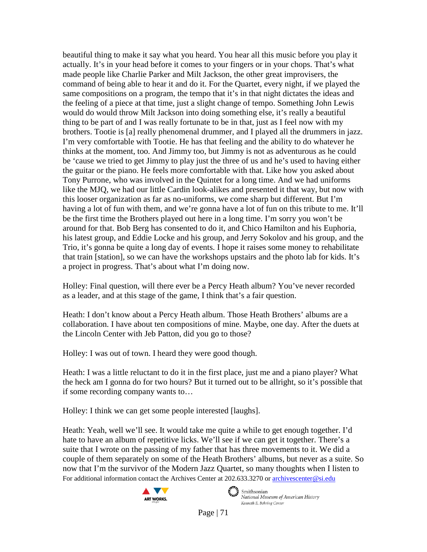beautiful thing to make it say what you heard. You hear all this music before you play it actually. It's in your head before it comes to your fingers or in your chops. That's what made people like Charlie Parker and Milt Jackson, the other great improvisers, the command of being able to hear it and do it. For the Quartet, every night, if we played the same compositions on a program, the tempo that it's in that night dictates the ideas and the feeling of a piece at that time, just a slight change of tempo. Something John Lewis would do would throw Milt Jackson into doing something else, it's really a beautiful thing to be part of and I was really fortunate to be in that, just as I feel now with my brothers. Tootie is [a] really phenomenal drummer, and I played all the drummers in jazz. I'm very comfortable with Tootie. He has that feeling and the ability to do whatever he thinks at the moment, too. And Jimmy too, but Jimmy is not as adventurous as he could be 'cause we tried to get Jimmy to play just the three of us and he's used to having either the guitar or the piano. He feels more comfortable with that. Like how you asked about Tony Purrone, who was involved in the Quintet for a long time. And we had uniforms like the MJQ, we had our little Cardin look-alikes and presented it that way, but now with this looser organization as far as no-uniforms, we come sharp but different. But I'm having a lot of fun with them, and we're gonna have a lot of fun on this tribute to me. It'll be the first time the Brothers played out here in a long time. I'm sorry you won't be around for that. Bob Berg has consented to do it, and Chico Hamilton and his Euphoria, his latest group, and Eddie Locke and his group, and Jerry Sokolov and his group, and the Trio, it's gonna be quite a long day of events. I hope it raises some money to rehabilitate that train [station], so we can have the workshops upstairs and the photo lab for kids. It's a project in progress. That's about what I'm doing now.

Holley: Final question, will there ever be a Percy Heath album? You've never recorded as a leader, and at this stage of the game, I think that's a fair question.

Heath: I don't know about a Percy Heath album. Those Heath Brothers' albums are a collaboration. I have about ten compositions of mine. Maybe, one day. After the duets at the Lincoln Center with Jeb Patton, did you go to those?

Holley: I was out of town. I heard they were good though.

Heath: I was a little reluctant to do it in the first place, just me and a piano player? What the heck am I gonna do for two hours? But it turned out to be allright, so it's possible that if some recording company wants to…

Holley: I think we can get some people interested [laughs].

For additional information contact the Archives Center at 202.633.3270 o[r archivescenter@si.edu](mailto:archivescenter@si.edu) Heath: Yeah, well we'll see. It would take me quite a while to get enough together. I'd hate to have an album of repetitive licks. We'll see if we can get it together. There's a suite that I wrote on the passing of my father that has three movements to it. We did a couple of them separately on some of the Heath Brothers' albums, but never as a suite. So now that I'm the survivor of the Modern Jazz Quartet, so many thoughts when I listen to





 $\epsilon$   $\rightarrow$  Smithsonian National Museum of American History Kenneth E. Behring Center